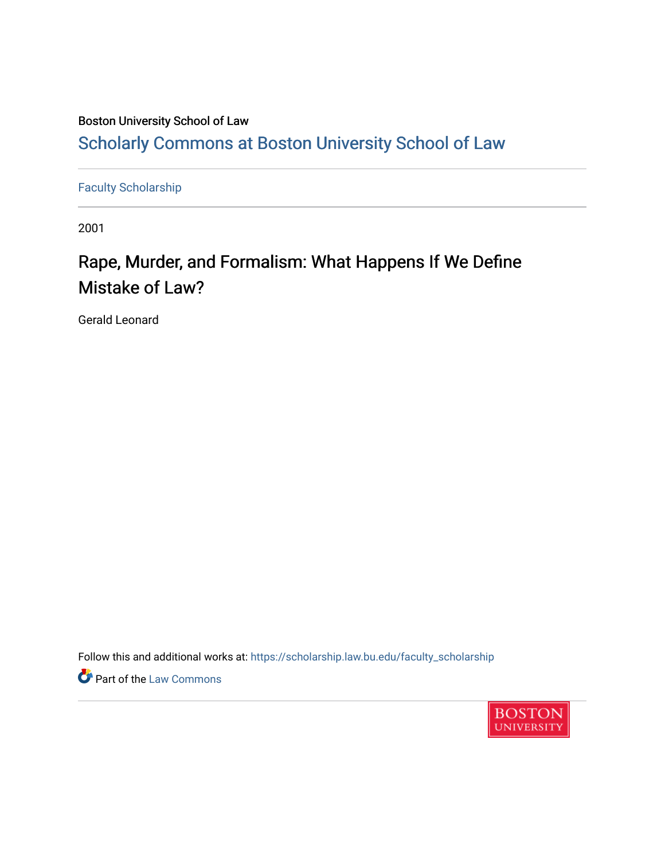### Boston University School of Law [Scholarly Commons at Boston University School of Law](https://scholarship.law.bu.edu/)

[Faculty Scholarship](https://scholarship.law.bu.edu/faculty_scholarship)

2001

# Rape, Murder, and Formalism: What Happens If We Define Mistake of Law?

Gerald Leonard

Follow this and additional works at: [https://scholarship.law.bu.edu/faculty\\_scholarship](https://scholarship.law.bu.edu/faculty_scholarship?utm_source=scholarship.law.bu.edu%2Ffaculty_scholarship%2F727&utm_medium=PDF&utm_campaign=PDFCoverPages)

**Part of the [Law Commons](http://network.bepress.com/hgg/discipline/578?utm_source=scholarship.law.bu.edu%2Ffaculty_scholarship%2F727&utm_medium=PDF&utm_campaign=PDFCoverPages)** 

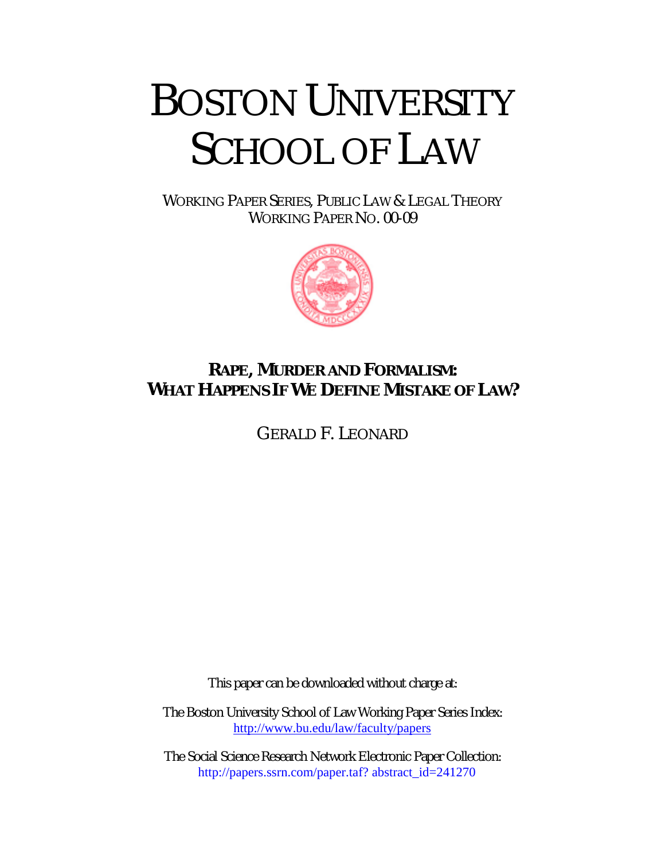# BOSTON UNIVERSITY SCHOOL OF LAW

WORKING PAPER SERIES, PUBLIC LAW & LEGAL THEORY WORKING PAPER NO. 00-09



## **RAPE, MURDER AND FORMALISM: WHAT HAPPENS IF WE DEFINE MISTAKE OF LAW?**

GERALD F. LEONARD

This paper can be downloaded without charge at:

The Boston University School of Law Working Paper Series Index: <http://www.bu.edu/law/faculty/papers>

The Social Science Research Network Electronic Paper Collection: [http://papers.ssrn.com/paper.taf?](http://papers.ssrn.com/paper.taf? abstract_id=241270) abstract\_id=241270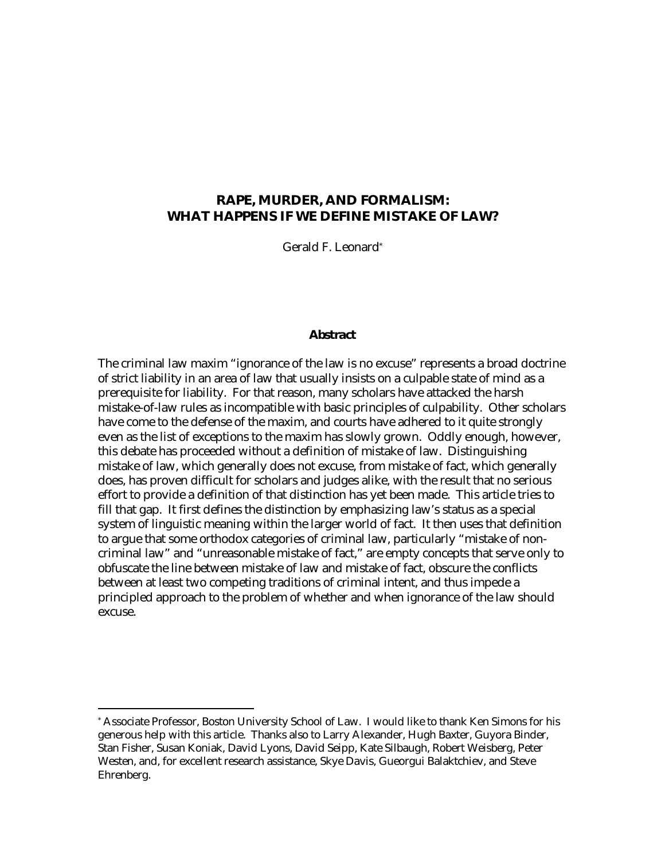#### **RAPE, MURDER, AND FORMALISM: WHAT HAPPENS IF WE DEFINE MISTAKE OF LAW?**

Gerald F. Leonard\*

#### *Abstract*

The criminal law maxim "ignorance of the law is no excuse" represents a broad doctrine of strict liability in an area of law that usually insists on a culpable state of mind as a prerequisite for liability. For that reason, many scholars have attacked the harsh mistake-of-law rules as incompatible with basic principles of culpability. Other scholars have come to the defense of the maxim, and courts have adhered to it quite strongly even as the list of exceptions to the maxim has slowly grown. Oddly enough, however, this debate has proceeded without a definition of mistake of law. Distinguishing mistake of law, which generally does not excuse, from mistake of fact, which generally does, has proven difficult for scholars and judges alike, with the result that no serious effort to provide a definition of that distinction has yet been made. This article tries to fill that gap. It first defines the distinction by emphasizing law's status as a special system of linguistic meaning within the larger world of fact. It then uses that definition to argue that some orthodox categories of criminal law, particularly "mistake of noncriminal law" and "unreasonable mistake of fact," are empty concepts that serve only to obfuscate the line between mistake of law and mistake of fact, obscure the conflicts between at least two competing traditions of criminal intent, and thus impede a principled approach to the problem of whether and when ignorance of the law should excuse.

<sup>\*</sup> Associate Professor, Boston University School of Law. I would like to thank Ken Simons for his generous help with this article. Thanks also to Larry Alexander, Hugh Baxter, Guyora Binder, Stan Fisher, Susan Koniak, David Lyons, David Seipp, Kate Silbaugh, Robert Weisberg, Peter Westen, and, for excellent research assistance, Skye Davis, Gueorgui Balaktchiev, and Steve Ehrenberg.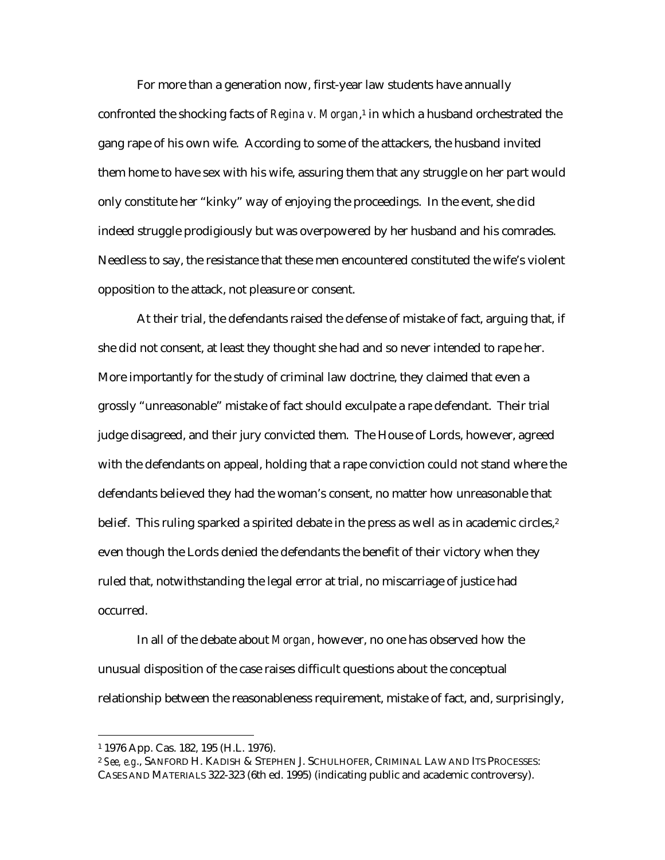For more than a generation now, first-year law students have annually confronted the shocking facts of *Regina v. Morgan*,1 in which a husband orchestrated the gang rape of his own wife. According to some of the attackers, the husband invited them home to have sex with his wife, assuring them that any struggle on her part would only constitute her "kinky" way of enjoying the proceedings. In the event, she did indeed struggle prodigiously but was overpowered by her husband and his comrades. Needless to say, the resistance that these men encountered constituted the wife's violent opposition to the attack, not pleasure or consent.

At their trial, the defendants raised the defense of mistake of fact, arguing that, if she did not consent, at least they thought she had and so never intended to rape her. More importantly for the study of criminal law doctrine, they claimed that even a grossly "unreasonable" mistake of fact should exculpate a rape defendant. Their trial judge disagreed, and their jury convicted them. The House of Lords, however, agreed with the defendants on appeal, holding that a rape conviction could not stand where the defendants believed they had the woman's consent, no matter how unreasonable that belief. This ruling sparked a spirited debate in the press as well as in academic circles, $2$ even though the Lords denied the defendants the benefit of their victory when they ruled that, notwithstanding the legal error at trial, no miscarriage of justice had occurred.

In all of the debate about *Morgan*, however, no one has observed how the unusual disposition of the case raises difficult questions about the conceptual relationship between the reasonableness requirement, mistake of fact, and, surprisingly,

<sup>1 1976</sup> App. Cas. 182, 195 (H.L. 1976).

<sup>2</sup> *See, e.g*., SANFORD H. KADISH & STEPHEN J. SCHULHOFER, CRIMINAL LAW AND ITS PROCESSES: CASES AND MATERIALS 322-323 (6th ed. 1995) (indicating public and academic controversy).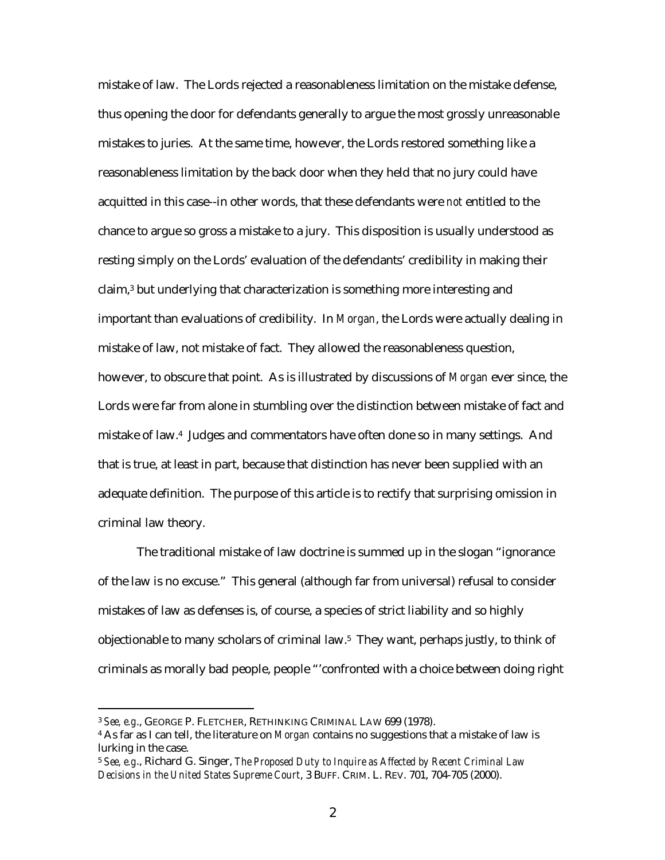mistake of law. The Lords rejected a reasonableness limitation on the mistake defense, thus opening the door for defendants generally to argue the most grossly unreasonable mistakes to juries. At the same time, however, the Lords restored something like a reasonableness limitation by the back door when they held that no jury could have acquitted in this case--in other words, that these defendants were *not* entitled to the chance to argue so gross a mistake to a jury. This disposition is usually understood as resting simply on the Lords' evaluation of the defendants' credibility in making their claim,3 but underlying that characterization is something more interesting and important than evaluations of credibility. In *Morgan*, the Lords were actually dealing in mistake of law, not mistake of fact. They allowed the reasonableness question, however, to obscure that point. As is illustrated by discussions of *Morgan* ever since, the Lords were far from alone in stumbling over the distinction between mistake of fact and mistake of law.4 Judges and commentators have often done so in many settings. And that is true, at least in part, because that distinction has never been supplied with an adequate definition. The purpose of this article is to rectify that surprising omission in criminal law theory.

The traditional mistake of law doctrine is summed up in the slogan "ignorance of the law is no excuse." This general (although far from universal) refusal to consider mistakes of law as defenses is, of course, a species of strict liability and so highly objectionable to many scholars of criminal law.5 They want, perhaps justly, to think of criminals as morally bad people, people "'confronted with a choice between doing right

<sup>3</sup> *See, e.g*., GEORGE P. FLETCHER, RETHINKING CRIMINAL LAW 699 (1978).

<sup>4</sup> As far as I can tell, the literature on *Morgan* contains no suggestions that a mistake of law is lurking in the case.

<sup>5</sup> *See, e.g*., Richard G. Singer, *The Proposed Duty to Inquire as Affected by Recent Criminal Law Decisions in the United States Supreme Court*, 3 BUFF. CRIM. L. REV. 701, 704-705 (2000).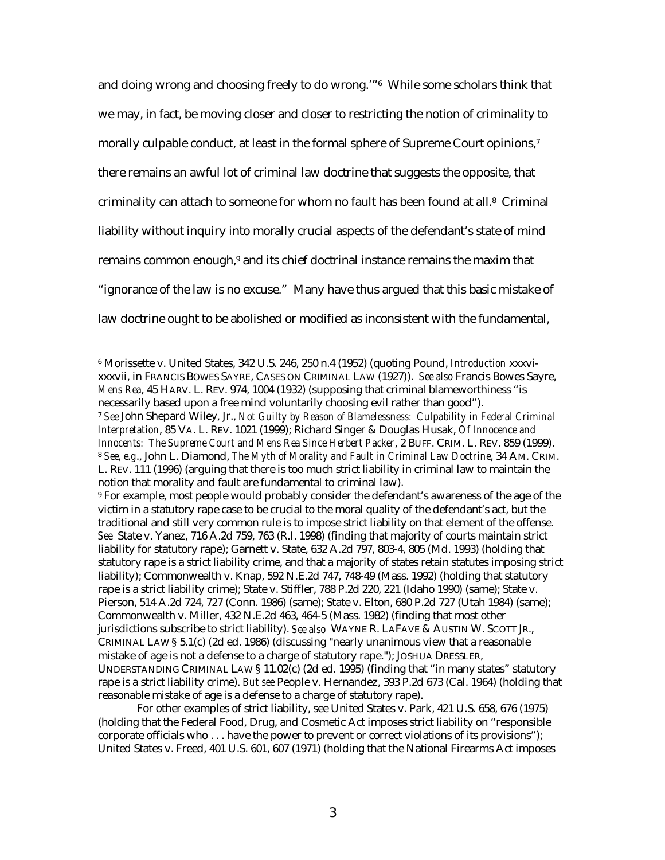and doing wrong and choosing freely to do wrong.'"6 While some scholars think that we may, in fact, be moving closer and closer to restricting the notion of criminality to morally culpable conduct, at least in the formal sphere of Supreme Court opinions,<sup>7</sup> there remains an awful lot of criminal law doctrine that suggests the opposite, that criminality can attach to someone for whom no fault has been found at all.<sup>8</sup> Criminal liability without inquiry into morally crucial aspects of the defendant's state of mind remains common enough,<sup>9</sup> and its chief doctrinal instance remains the maxim that "ignorance of the law is no excuse." Many have thus argued that this basic mistake of law doctrine ought to be abolished or modified as inconsistent with the fundamental,

 $\overline{a}$ 

For other examples of strict liability, see United States v. Park, 421 U.S. 658, 676 (1975) (holding that the Federal Food, Drug, and Cosmetic Act imposes strict liability on "responsible corporate officials who . . . have the power to prevent or correct violations of its provisions"); United States v. Freed, 401 U.S. 601, 607 (1971) (holding that the National Firearms Act imposes

<sup>6</sup> Morissette v. United States, 342 U.S. 246, 250 n.4 (1952) (quoting Pound, *Introduction* xxxvixxxvii, in FRANCIS BOWES SAYRE, CASES ON CRIMINAL LAW (1927)). *See also* Francis Bowes Sayre, *Mens Rea*, 45 HARV. L. REV. 974, 1004 (1932) (supposing that criminal blameworthiness "is necessarily based upon a free mind voluntarily choosing evil rather than good").

<sup>7</sup> *See* John Shepard Wiley, Jr., *Not Guilty by Reason of Blamelessness: Culpability in Federal Criminal Interpretation*, 85 VA. L. REV. 1021 (1999); Richard Singer & Douglas Husak, *Of Innocence and Innocents: The Supreme Court and Mens Rea Since Herbert Packer*, 2 BUFF. CRIM. L. REV. 859 (1999). <sup>8</sup> *See, e.g*., John L. Diamond, *The Myth of Morality and Fault in Criminal Law Doctrine*, 34 AM. CRIM. L. REV. 111 (1996) (arguing that there is too much strict liability in criminal law to maintain the notion that morality and fault are fundamental to criminal law).

<sup>9</sup> For example, most people would probably consider the defendant's awareness of the age of the victim in a statutory rape case to be crucial to the moral quality of the defendant's act, but the traditional and still very common rule is to impose strict liability on that element of the offense. *See* State v. Yanez, 716 A.2d 759, 763 (R.I. 1998) (finding that majority of courts maintain strict liability for statutory rape); Garnett v. State, 632 A.2d 797, 803-4, 805 (Md. 1993) (holding that statutory rape is a strict liability crime, and that a majority of states retain statutes imposing strict liability); Commonwealth v. Knap, 592 N.E.2d 747, 748-49 (Mass. 1992) (holding that statutory rape is a strict liability crime); State v. Stiffler, 788 P.2d 220, 221 (Idaho 1990) (same); State v. Pierson, 514 A.2d 724, 727 (Conn. 1986) (same); State v. Elton, 680 P.2d 727 (Utah 1984) (same); Commonwealth v. Miller, 432 N.E.2d 463, 464-5 (Mass. 1982) (finding that most other jurisdictions subscribe to strict liability). *See also* WAYNE R. LAFAVE & AUSTIN W. SCOTT JR., CRIMINAL LAW § 5.1(c) (2d ed. 1986) (discussing "nearly unanimous view that a reasonable mistake of age is not a defense to a charge of statutory rape."); JOSHUA DRESSLER, UNDERSTANDING CRIMINAL LAW § 11.02(c) (2d ed. 1995) (finding that "in many states" statutory rape is a strict liability crime). *But see* People v. Hernandez, 393 P.2d 673 (Cal. 1964) (holding that reasonable mistake of age is a defense to a charge of statutory rape).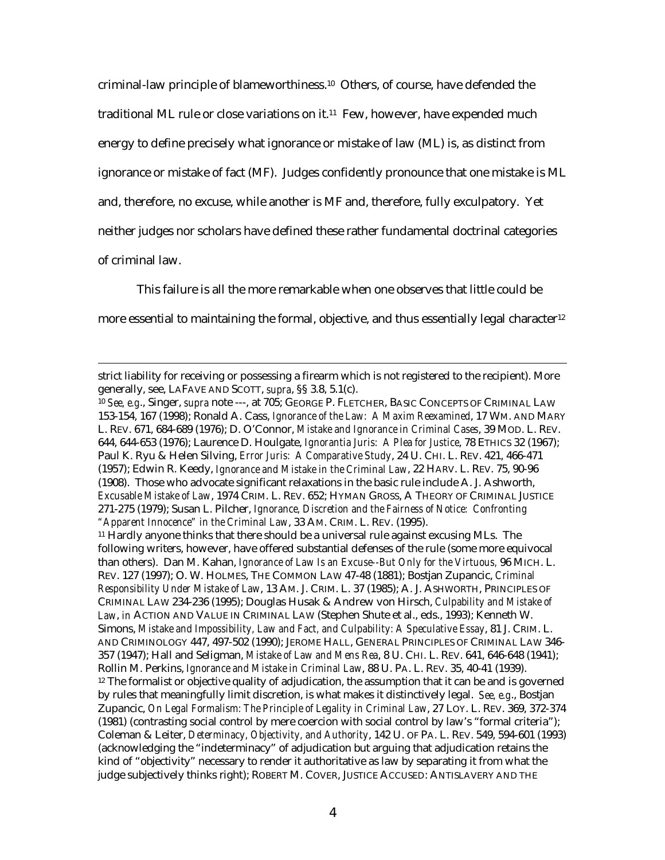criminal-law principle of blameworthiness.10 Others, of course, have defended the traditional ML rule or close variations on it.11 Few, however, have expended much energy to define precisely what ignorance or mistake of law (ML) is, as distinct from ignorance or mistake of fact (MF). Judges confidently pronounce that one mistake is ML and, therefore, no excuse, while another is MF and, therefore, fully exculpatory. Yet neither judges nor scholars have defined these rather fundamental doctrinal categories of criminal law.

This failure is all the more remarkable when one observes that little could be more essential to maintaining the formal, objective, and thus essentially legal character<sup>12</sup>

strict liability for receiving or possessing a firearm which is not registered to the recipient). More generally, see, LAFAVE AND SCOTT, *supra*, §§ 3.8, 5.1(c).

<sup>10</sup> *See, e.g*., Singer, *supra* note ---, at 705; GEORGE P. FLETCHER, BASIC CONCEPTS OF CRIMINAL LAW 153-154, 167 (1998); Ronald A. Cass, *Ignorance of the Law: A Maxim Reexamined*, 17 WM. AND MARY L. REV. 671, 684-689 (1976); D. O'Connor, *Mistake and Ignorance in Criminal Cases*, 39 MOD. L. REV. 644, 644-653 (1976); Laurence D. Houlgate, *Ignorantia Juris: A Plea for Justice*, 78 ETHICS 32 (1967); Paul K. Ryu & Helen Silving, *Error Juris: A Comparative Study*, 24 U. CHI. L. REV. 421, 466-471 (1957); Edwin R. Keedy, *Ignorance and Mistake in the Criminal Law*, 22 HARV. L. REV. 75, 90-96 (1908). Those who advocate significant relaxations in the basic rule include A. J. Ashworth, *Excusable Mistake of Law*, 1974 CRIM. L. REV. 652; HYMAN GROSS, A THEORY OF CRIMINAL JUSTICE 271-275 (1979); Susan L. Pilcher, *Ignorance, Discretion and the Fairness of Notice: Confronting "Apparent Innocence" in the Criminal Law*, 33 AM. CRIM. L. REV. (1995).

<sup>11</sup> Hardly anyone thinks that there should be a universal rule against excusing MLs. The following writers, however, have offered substantial defenses of the rule (some more equivocal than others). Dan M. Kahan, *Ignorance of Law Is an Excuse--But Only for the Virtuous,* 96 MICH. L. REV. 127 (1997); O. W. HOLMES, THE COMMON LAW 47-48 (1881); Bostjan Zupancic, *Criminal Responsibility Under Mistake of Law*, 13 AM. J. CRIM. L. 37 (1985); A. J. ASHWORTH, PRINCIPLES OF CRIMINAL LAW 234-236 (1995); Douglas Husak & Andrew von Hirsch, *Culpability and Mistake of Law*, *in* ACTION AND VALUE IN CRIMINAL LAW (Stephen Shute et al., eds., 1993); Kenneth W. Simons, *Mistake and Impossibility, Law and Fact, and Culpability: A Speculative Essay*, 81 J. CRIM. L. AND CRIMINOLOGY 447, 497-502 (1990); JEROME HALL, GENERAL PRINCIPLES OF CRIMINAL LAW 346- 357 (1947); Hall and Seligman, *Mistake of Law and Mens Rea*, 8 U. CHI. L. REV. 641, 646-648 (1941); Rollin M. Perkins, *Ignorance and Mistake in Criminal Law*, 88 U. PA. L. REV. 35, 40-41 (1939).  $12$  The formalist or objective quality of adjudication, the assumption that it can be and is governed by rules that meaningfully limit discretion, is what makes it distinctively legal. *See, e.g*., Bostjan Zupancic, *On Legal Formalism: The Principle of Legality in Criminal Law*, 27 LOY. L. REV. 369, 372-374 (1981) (contrasting social control by mere coercion with social control by law's "formal criteria"); Coleman & Leiter, *Determinacy, Objectivity, and Authority*, 142 U. OF PA. L. REV. 549, 594-601 (1993) (acknowledging the "indeterminacy" of adjudication but arguing that adjudication retains the kind of "objectivity" necessary to render it authoritative as law by separating it from what the judge subjectively thinks right); ROBERT M. COVER, JUSTICE ACCUSED: ANTISLAVERY AND THE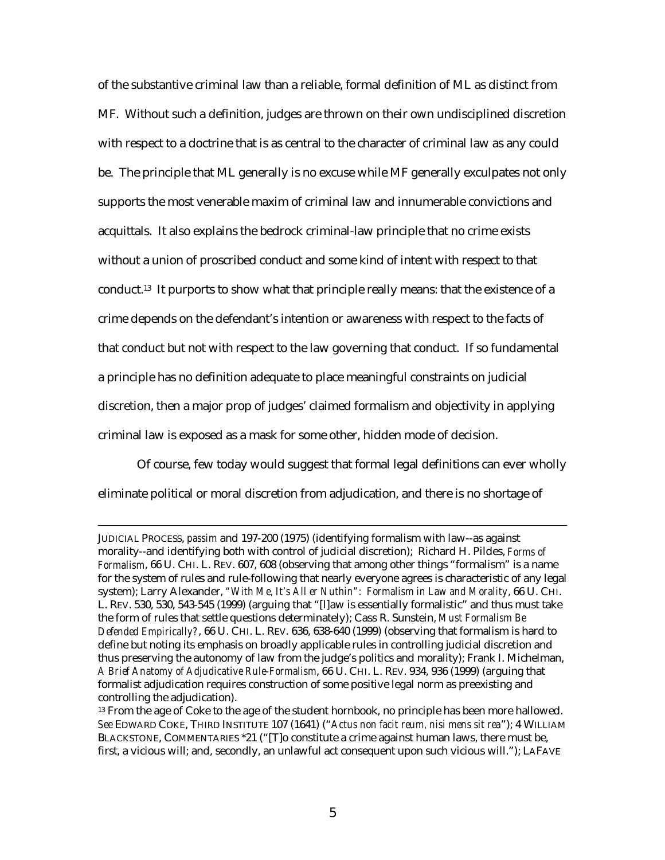of the substantive criminal law than a reliable, formal definition of ML as distinct from MF. Without such a definition, judges are thrown on their own undisciplined discretion with respect to a doctrine that is as central to the character of criminal law as any could be. The principle that ML generally is no excuse while MF generally exculpates not only supports the most venerable maxim of criminal law and innumerable convictions and acquittals. It also explains the bedrock criminal-law principle that no crime exists without a union of proscribed conduct and some kind of intent with respect to that conduct.13 It purports to show what that principle really means: that the existence of a crime depends on the defendant's intention or awareness with respect to the facts of that conduct but not with respect to the law governing that conduct. If so fundamental a principle has no definition adequate to place meaningful constraints on judicial discretion, then a major prop of judges' claimed formalism and objectivity in applying criminal law is exposed as a mask for some other, hidden mode of decision.

Of course, few today would suggest that formal legal definitions can ever wholly eliminate political or moral discretion from adjudication, and there is no shortage of

JUDICIAL PROCESS, *passim* and 197-200 (1975) (identifying formalism with law--as against morality--and identifying both with control of judicial discretion); Richard H. Pildes, *Forms of Formalism*, 66 U. CHI. L. REV. 607, 608 (observing that among other things "formalism" is a name for the system of rules and rule-following that nearly everyone agrees is characteristic of any legal system); Larry Alexander, *"With Me, It's All er Nuthin": Formalism in Law and Morality*, 66 U. CHI. L. REV. 530, 530, 543-545 (1999) (arguing that "[l]aw is essentially formalistic" and thus must take the form of rules that settle questions determinately); Cass R. Sunstein, *Must Formalism Be Defended Empirically?*, 66 U. CHI. L. REV. 636, 638-640 (1999) (observing that formalism is hard to define but noting its emphasis on broadly applicable rules in controlling judicial discretion and thus preserving the autonomy of law from the judge's politics and morality); Frank I. Michelman, *A Brief Anatomy of Adjudicative Rule-Formalism*, 66 U. CHI. L. REV. 934, 936 (1999) (arguing that formalist adjudication requires construction of some positive legal norm as preexisting and controlling the adjudication).

<sup>&</sup>lt;sup>13</sup> From the age of Coke to the age of the student hornbook, no principle has been more hallowed. *See* EDWARD COKE, THIRD INSTITUTE 107 (1641) ("*Actus non facit reum, nisi mens sit rea*"); 4 WILLIAM BLACKSTONE, COMMENTARIES \*21 ("[T]o constitute a crime against human laws, there must be, first, a vicious will; and, secondly, an unlawful act consequent upon such vicious will."); LAFAVE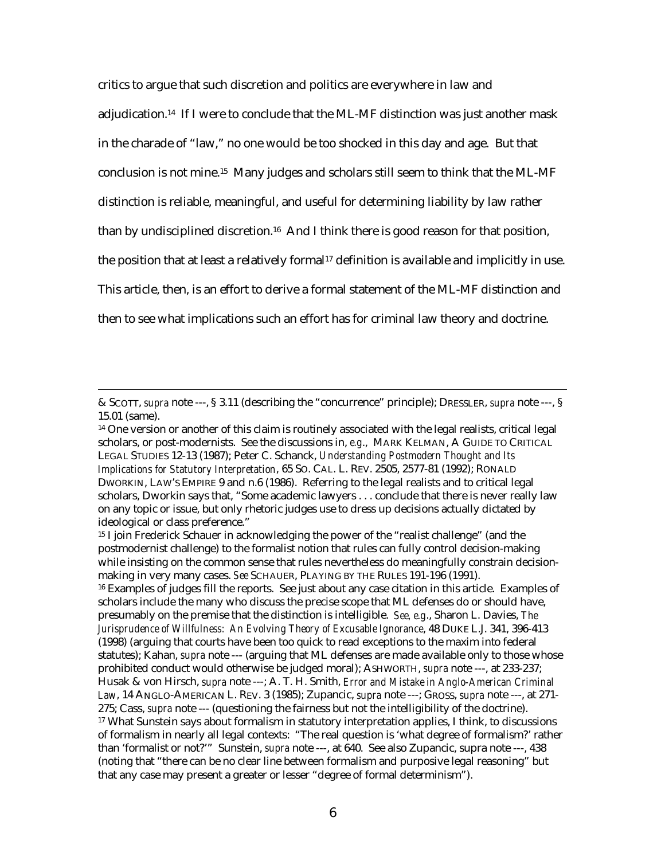critics to argue that such discretion and politics are everywhere in law and adjudication.14 If I were to conclude that the ML-MF distinction was just another mask in the charade of "law," no one would be too shocked in this day and age. But that conclusion is not mine.15 Many judges and scholars still seem to think that the ML-MF distinction is reliable, meaningful, and useful for determining liability by law rather than by undisciplined discretion.16 And I think there is good reason for that position, the position that at least a relatively formal<sup>17</sup> definition is available and implicitly in use. This article, then, is an effort to derive a formal statement of the ML-MF distinction and then to see what implications such an effort has for criminal law theory and doctrine.

 $\overline{a}$ 

16 Examples of judges fill the reports. See just about any case citation in this article. Examples of scholars include the many who discuss the precise scope that ML defenses do or should have, presumably on the premise that the distinction is intelligible. *See, e.g*., Sharon L. Davies, *The Jurisprudence of Willfulness: An Evolving Theory of Excusable Ignorance*, 48 DUKE L.J. 341, 396-413 (1998) (arguing that courts have been too quick to read exceptions to the maxim into federal statutes); Kahan, *supra* note --- (arguing that ML defenses are made available only to those whose prohibited conduct would otherwise be judged moral); ASHWORTH, *supra* note ---, at 233-237; Husak & von Hirsch, *supra* note ---; A. T. H. Smith, *Error and Mistake in Anglo-American Criminal Law*, 14 ANGLO-AMERICAN L. REV. 3 (1985); Zupancic, *supra* note ---; GROSS, *supra* note ---, at 271- 275; Cass, *supra* note --- (questioning the fairness but not the intelligibility of the doctrine). 17 What Sunstein says about formalism in statutory interpretation applies, I think, to discussions of formalism in nearly all legal contexts: "The real question is 'what degree of formalism?' rather than 'formalist or not?'" Sunstein, *supra* note ---, at 640. See also Zupancic, supra note ---, 438 (noting that "there can be no clear line between formalism and purposive legal reasoning" but that any case may present a greater or lesser "degree of formal determinism").

<sup>&</sup>amp; SCOTT, *supra* note ---, § 3.11 (describing the "concurrence" principle); DRESSLER, *supra* note ---, § 15.01 (same).

<sup>&</sup>lt;sup>14</sup> One version or another of this claim is routinely associated with the legal realists, critical legal scholars, or post-modernists. See the discussions in, *e.g*., MARK KELMAN, A GUIDE TO CRITICAL LEGAL STUDIES 12-13 (1987); Peter C. Schanck, *Understanding Postmodern Thought and Its Implications for Statutory Interpretation*, 65 SO. CAL. L. REV. 2505, 2577-81 (1992); RONALD DWORKIN, LAW'S EMPIRE 9 and n.6 (1986). Referring to the legal realists and to critical legal scholars, Dworkin says that, "Some academic lawyers . . . conclude that there is never really law on any topic or issue, but only rhetoric judges use to dress up decisions actually dictated by ideological or class preference."

<sup>&</sup>lt;sup>15</sup> I join Frederick Schauer in acknowledging the power of the "realist challenge" (and the postmodernist challenge) to the formalist notion that rules can fully control decision-making while insisting on the common sense that rules nevertheless do meaningfully constrain decisionmaking in very many cases. *See* SCHAUER, PLAYING BY THE RULES 191-196 (1991).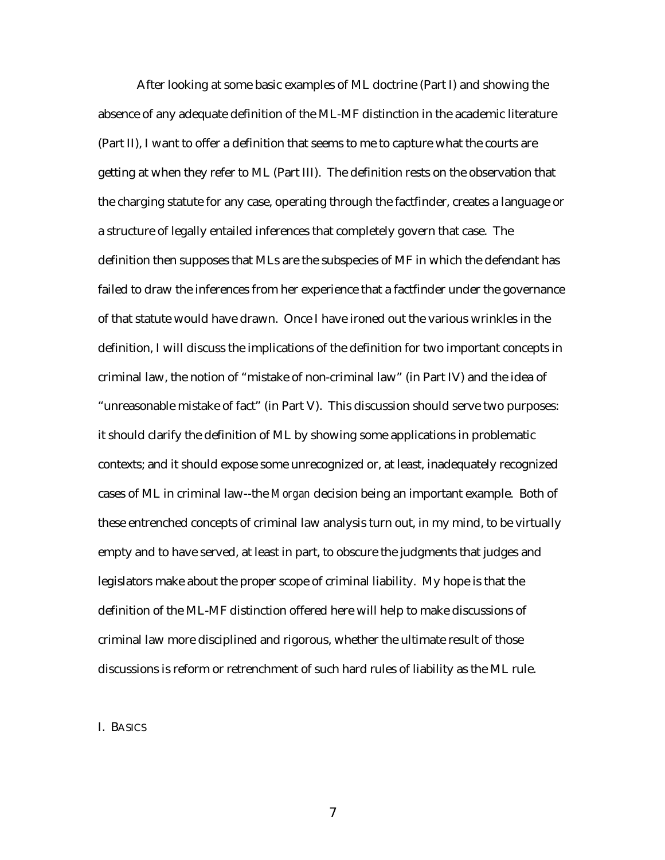After looking at some basic examples of ML doctrine (Part I) and showing the absence of any adequate definition of the ML-MF distinction in the academic literature (Part II), I want to offer a definition that seems to me to capture what the courts are getting at when they refer to ML (Part III). The definition rests on the observation that the charging statute for any case, operating through the factfinder, creates a language or a structure of legally entailed inferences that completely govern that case. The definition then supposes that MLs are the subspecies of MF in which the defendant has failed to draw the inferences from her experience that a factfinder under the governance of that statute would have drawn. Once I have ironed out the various wrinkles in the definition, I will discuss the implications of the definition for two important concepts in criminal law, the notion of "mistake of non-criminal law" (in Part IV) and the idea of "unreasonable mistake of fact" (in Part V). This discussion should serve two purposes: it should clarify the definition of ML by showing some applications in problematic contexts; and it should expose some unrecognized or, at least, inadequately recognized cases of ML in criminal law--the *Morgan* decision being an important example. Both of these entrenched concepts of criminal law analysis turn out, in my mind, to be virtually empty and to have served, at least in part, to obscure the judgments that judges and legislators make about the proper scope of criminal liability. My hope is that the definition of the ML-MF distinction offered here will help to make discussions of criminal law more disciplined and rigorous, whether the ultimate result of those discussions is reform or retrenchment of such hard rules of liability as the ML rule.

#### I. BASICS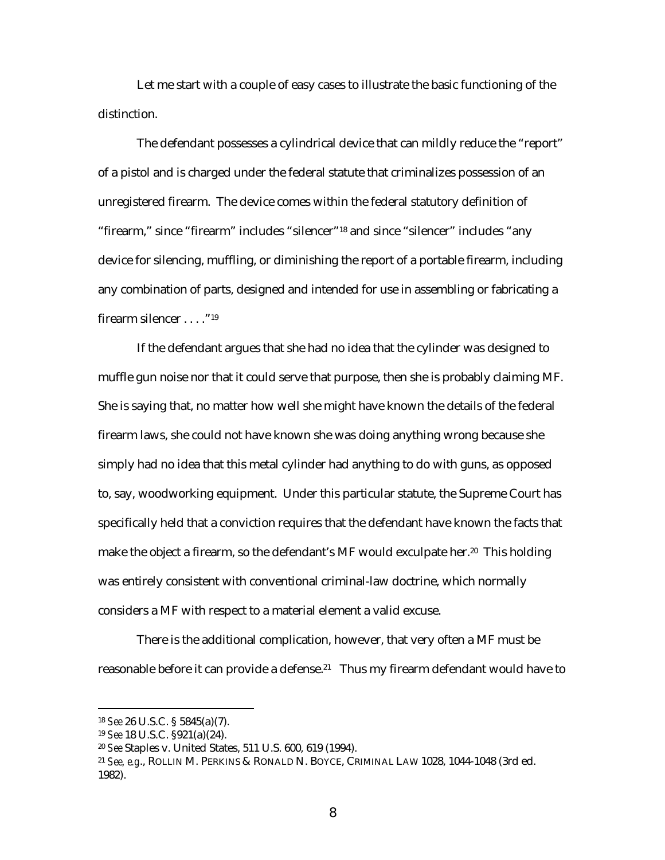Let me start with a couple of easy cases to illustrate the basic functioning of the distinction.

The defendant possesses a cylindrical device that can mildly reduce the "report" of a pistol and is charged under the federal statute that criminalizes possession of an unregistered firearm. The device comes within the federal statutory definition of "firearm," since "firearm" includes "silencer"18 and since "silencer" includes "any device for silencing, muffling, or diminishing the report of a portable firearm, including any combination of parts, designed and intended for use in assembling or fabricating a firearm silencer . . . . "<sup>19</sup>

If the defendant argues that she had no idea that the cylinder was designed to muffle gun noise nor that it could serve that purpose, then she is probably claiming MF. She is saying that, no matter how well she might have known the details of the federal firearm laws, she could not have known she was doing anything wrong because she simply had no idea that this metal cylinder had anything to do with guns, as opposed to, say, woodworking equipment. Under this particular statute, the Supreme Court has specifically held that a conviction requires that the defendant have known the facts that make the object a firearm, so the defendant's MF would exculpate her.<sup>20</sup> This holding was entirely consistent with conventional criminal-law doctrine, which normally considers a MF with respect to a material element a valid excuse.

There is the additional complication, however, that very often a MF must be reasonable before it can provide a defense.<sup>21</sup> Thus my firearm defendant would have to

<sup>18</sup> *See* 26 U.S.C. § 5845(a)(7).

<sup>19</sup> *See* 18 U.S.C. §921(a)(24).

<sup>20</sup> *See* Staples v. United States, 511 U.S. 600, 619 (1994).

<sup>21</sup> *See, e.g*., ROLLIN M. PERKINS & RONALD N. BOYCE, CRIMINAL LAW 1028, 1044-1048 (3rd ed. 1982).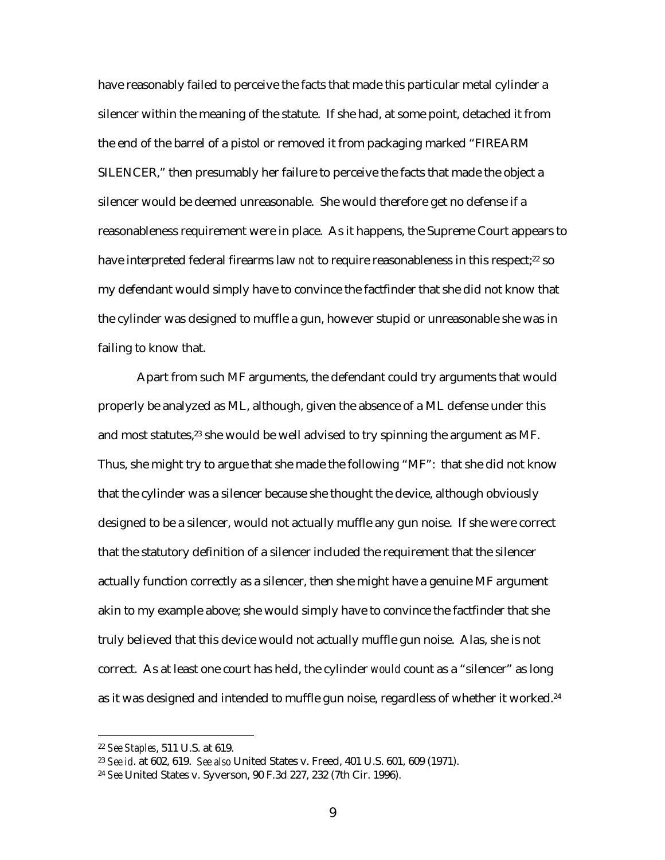have reasonably failed to perceive the facts that made this particular metal cylinder a silencer within the meaning of the statute. If she had, at some point, detached it from the end of the barrel of a pistol or removed it from packaging marked "FIREARM SILENCER," then presumably her failure to perceive the facts that made the object a silencer would be deemed unreasonable. She would therefore get no defense if a reasonableness requirement were in place. As it happens, the Supreme Court appears to have interpreted federal firearms law *not* to require reasonableness in this respect;<sup>22</sup> so my defendant would simply have to convince the factfinder that she did not know that the cylinder was designed to muffle a gun, however stupid or unreasonable she was in failing to know that.

Apart from such MF arguments, the defendant could try arguments that would properly be analyzed as ML, although, given the absence of a ML defense under this and most statutes,<sup>23</sup> she would be well advised to try spinning the argument as MF. Thus, she might try to argue that she made the following "MF": that she did not know that the cylinder was a silencer because she thought the device, although obviously designed to be a silencer, would not actually muffle any gun noise. If she were correct that the statutory definition of a silencer included the requirement that the silencer actually function correctly as a silencer, then she might have a genuine MF argument akin to my example above; she would simply have to convince the factfinder that she truly believed that this device would not actually muffle gun noise. Alas, she is not correct. As at least one court has held, the cylinder *would* count as a "silencer" as long as it was designed and intended to muffle gun noise, regardless of whether it worked.<sup>24</sup>

<sup>22</sup> *See Staples*, 511 U.S. at 619.

<sup>23</sup> *See id*. at 602, 619. *See also* United States v. Freed, 401 U.S. 601, 609 (1971).

<sup>24</sup> *See* United States v. Syverson, 90 F.3d 227, 232 (7th Cir. 1996).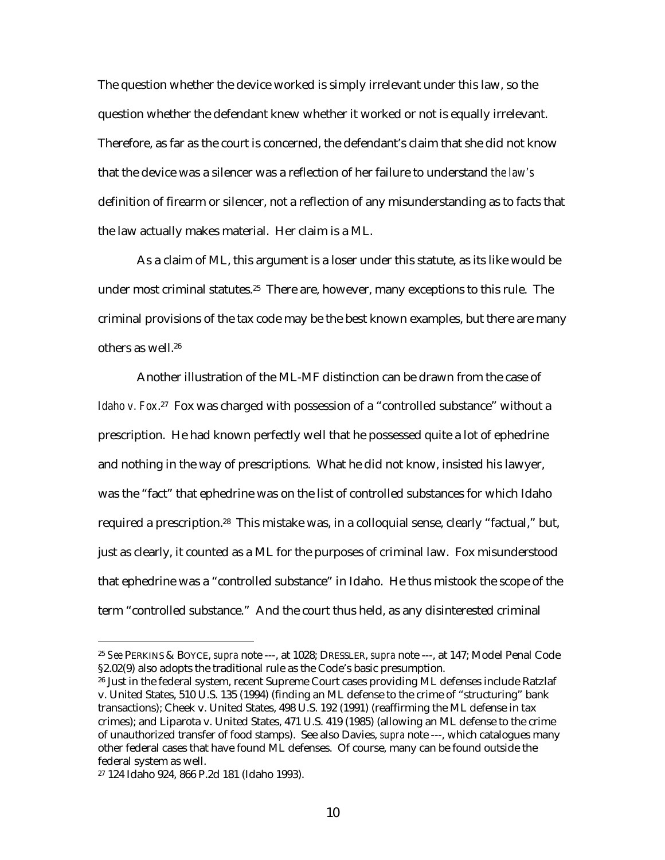The question whether the device worked is simply irrelevant under this law, so the question whether the defendant knew whether it worked or not is equally irrelevant. Therefore, as far as the court is concerned, the defendant's claim that she did not know that the device was a silencer was a reflection of her failure to understand *the law's* definition of firearm or silencer, not a reflection of any misunderstanding as to facts that the law actually makes material. Her claim is a ML.

As a claim of ML, this argument is a loser under this statute, as its like would be under most criminal statutes.25 There are, however, many exceptions to this rule. The criminal provisions of the tax code may be the best known examples, but there are many others as well.26

Another illustration of the ML-MF distinction can be drawn from the case of *Idaho v. Fox.*<sup>27</sup> Fox was charged with possession of a "controlled substance" without a prescription. He had known perfectly well that he possessed quite a lot of ephedrine and nothing in the way of prescriptions. What he did not know, insisted his lawyer, was the "fact" that ephedrine was on the list of controlled substances for which Idaho required a prescription.<sup>28</sup> This mistake was, in a colloquial sense, clearly "factual," but, just as clearly, it counted as a ML for the purposes of criminal law. Fox misunderstood that ephedrine was a "controlled substance" in Idaho. He thus mistook the scope of the term "controlled substance." And the court thus held, as any disinterested criminal

<sup>25</sup> *See* PERKINS & BOYCE, *supra* note ---, at 1028; DRESSLER, *supra* note ---, at 147; Model Penal Code §2.02(9) also adopts the traditional rule as the Code's basic presumption.

<sup>26</sup> Just in the federal system, recent Supreme Court cases providing ML defenses include Ratzlaf v. United States, 510 U.S. 135 (1994) (finding an ML defense to the crime of "structuring" bank transactions); Cheek v. United States, 498 U.S. 192 (1991) (reaffirming the ML defense in tax crimes); and Liparota v. United States, 471 U.S. 419 (1985) (allowing an ML defense to the crime of unauthorized transfer of food stamps). See also Davies, *supra* note ---, which catalogues many other federal cases that have found ML defenses. Of course, many can be found outside the federal system as well.

<sup>27 124</sup> Idaho 924, 866 P.2d 181 (Idaho 1993).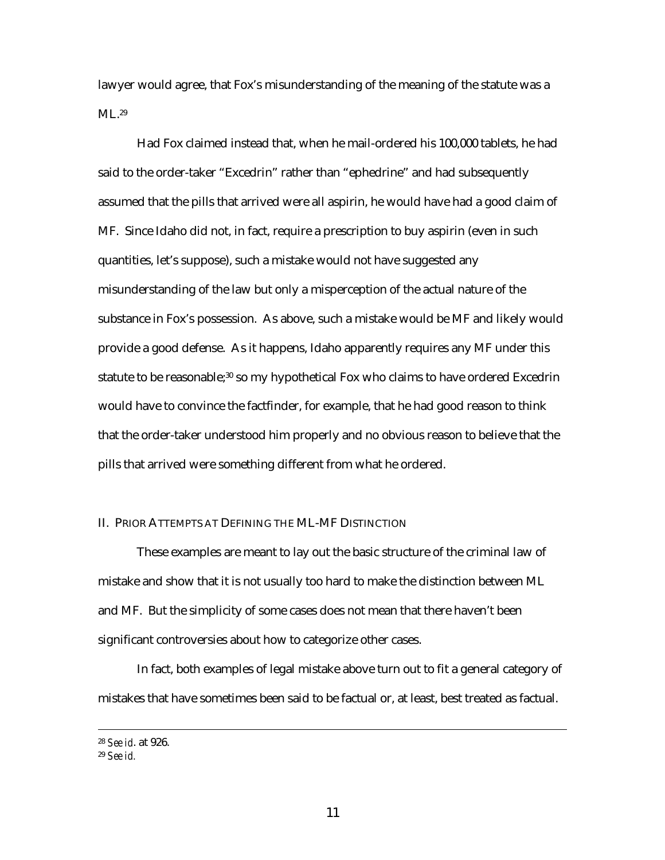lawyer would agree, that Fox's misunderstanding of the meaning of the statute was a ML.<sup>29</sup>

Had Fox claimed instead that, when he mail-ordered his 100,000 tablets, he had said to the order-taker "Excedrin" rather than "ephedrine" and had subsequently assumed that the pills that arrived were all aspirin, he would have had a good claim of MF. Since Idaho did not, in fact, require a prescription to buy aspirin (even in such quantities, let's suppose), such a mistake would not have suggested any misunderstanding of the law but only a misperception of the actual nature of the substance in Fox's possession. As above, such a mistake would be MF and likely would provide a good defense. As it happens, Idaho apparently requires any MF under this statute to be reasonable;<sup>30</sup> so my hypothetical Fox who claims to have ordered Excedrin would have to convince the factfinder, for example, that he had good reason to think that the order-taker understood him properly and no obvious reason to believe that the pills that arrived were something different from what he ordered.

#### II. PRIOR ATTEMPTS AT DEFINING THE ML-MF DISTINCTION

These examples are meant to lay out the basic structure of the criminal law of mistake and show that it is not usually too hard to make the distinction between ML and MF. But the simplicity of some cases does not mean that there haven't been significant controversies about how to categorize other cases.

In fact, both examples of legal mistake above turn out to fit a general category of mistakes that have sometimes been said to be factual or, at least, best treated as factual.

 <sup>28</sup> *See id*. at 926.

<sup>29</sup> *See id.*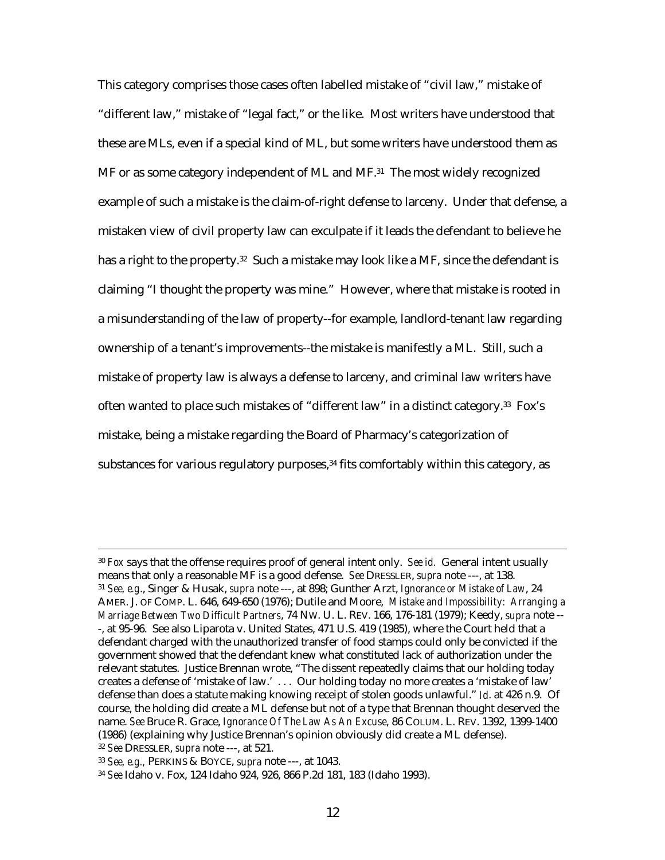This category comprises those cases often labelled mistake of "civil law," mistake of "different law," mistake of "legal fact," or the like. Most writers have understood that these are MLs, even if a special kind of ML, but some writers have understood them as MF or as some category independent of ML and MF.<sup>31</sup> The most widely recognized example of such a mistake is the claim-of-right defense to larceny. Under that defense, a mistaken view of civil property law can exculpate if it leads the defendant to believe he has a right to the property.<sup>32</sup> Such a mistake may look like a MF, since the defendant is claiming "I thought the property was mine." However, where that mistake is rooted in a misunderstanding of the law of property--for example, landlord-tenant law regarding ownership of a tenant's improvements--the mistake is manifestly a ML. Still, such a mistake of property law is always a defense to larceny, and criminal law writers have often wanted to place such mistakes of "different law" in a distinct category.33 Fox's mistake, being a mistake regarding the Board of Pharmacy's categorization of substances for various regulatory purposes,<sup>34</sup> fits comfortably within this category, as

 <sup>30</sup> *Fox* says that the offense requires proof of general intent only. *See id.* General intent usually means that only a reasonable MF is a good defense. *See* DRESSLER, *supra* note ---, at 138. <sup>31</sup> *See, e.g*., Singer & Husak, *supra* note ---, at 898; Gunther Arzt, *Ignorance or Mistake of Law*, 24 AMER. J. OF COMP. L. 646, 649-650 (1976); Dutile and Moore, *Mistake and Impossibility: Arranging a Marriage Between Two Difficult Partners*, 74 NW. U. L. REV. 166, 176-181 (1979); Keedy, *supra* note -- -, at 95-96. See also Liparota v. United States, 471 U.S. 419 (1985), where the Court held that a defendant charged with the unauthorized transfer of food stamps could only be convicted if the government showed that the defendant knew what constituted lack of authorization under the relevant statutes. Justice Brennan wrote, "The dissent repeatedly claims that our holding today creates a defense of 'mistake of law.' . . . Our holding today no more creates a 'mistake of law' defense than does a statute making knowing receipt of stolen goods unlawful." *Id*. at 426 n.9. Of course, the holding did create a ML defense but not of a type that Brennan thought deserved the name. *See* Bruce R. Grace, *Ignorance Of The Law As An Excuse*, 86 COLUM. L. REV. 1392, 1399-1400 (1986) (explaining why Justice Brennan's opinion obviously did create a ML defense). <sup>32</sup> *See* DRESSLER, *supra* note ---, at 521.

<sup>33</sup> *See, e.g.,* PERKINS & BOYCE, *supra* note ---, at 1043.

<sup>34</sup> *See* Idaho v. Fox, 124 Idaho 924, 926, 866 P.2d 181, 183 (Idaho 1993).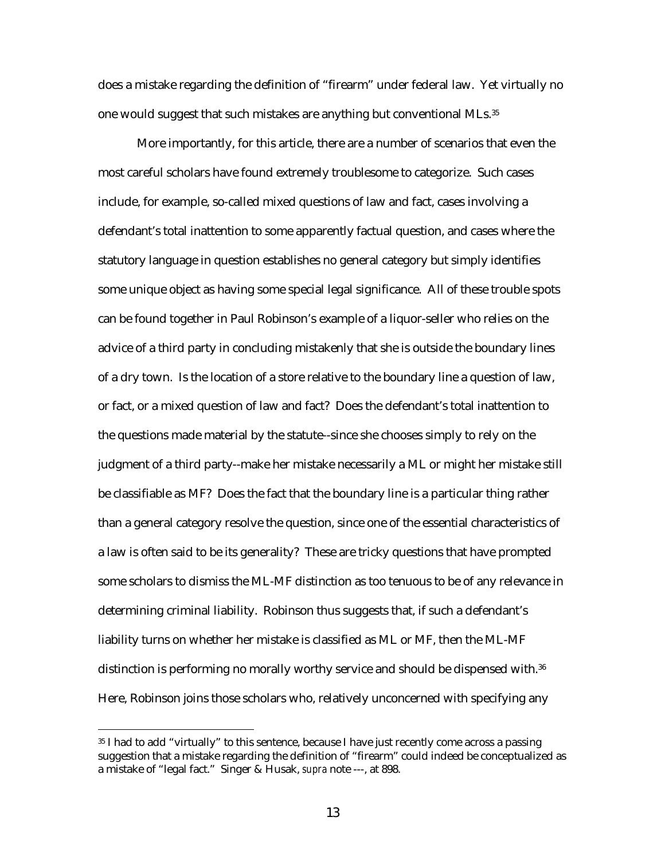does a mistake regarding the definition of "firearm" under federal law. Yet virtually no one would suggest that such mistakes are anything but conventional MLs.35

More importantly, for this article, there are a number of scenarios that even the most careful scholars have found extremely troublesome to categorize. Such cases include, for example, so-called mixed questions of law and fact, cases involving a defendant's total inattention to some apparently factual question, and cases where the statutory language in question establishes no general category but simply identifies some unique object as having some special legal significance. All of these trouble spots can be found together in Paul Robinson's example of a liquor-seller who relies on the advice of a third party in concluding mistakenly that she is outside the boundary lines of a dry town. Is the location of a store relative to the boundary line a question of law, or fact, or a mixed question of law and fact? Does the defendant's total inattention to the questions made material by the statute--since she chooses simply to rely on the judgment of a third party--make her mistake necessarily a ML or might her mistake still be classifiable as MF? Does the fact that the boundary line is a particular thing rather than a general category resolve the question, since one of the essential characteristics of a law is often said to be its generality? These are tricky questions that have prompted some scholars to dismiss the ML-MF distinction as too tenuous to be of any relevance in determining criminal liability. Robinson thus suggests that, if such a defendant's liability turns on whether her mistake is classified as ML or MF, then the ML-MF distinction is performing no morally worthy service and should be dispensed with.36 Here, Robinson joins those scholars who, relatively unconcerned with specifying any

<sup>35</sup> I had to add "virtually" to this sentence, because I have just recently come across a passing suggestion that a mistake regarding the definition of "firearm" could indeed be conceptualized as a mistake of "legal fact." Singer & Husak, *supra* note ---, at 898.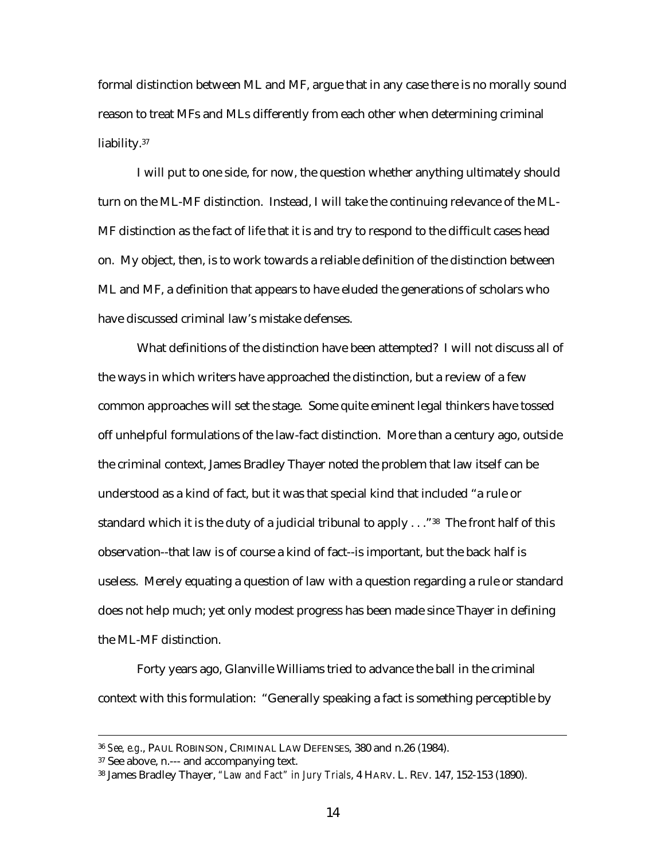formal distinction between ML and MF, argue that in any case there is no morally sound reason to treat MFs and MLs differently from each other when determining criminal liability.<sup>37</sup>

I will put to one side, for now, the question whether anything ultimately should turn on the ML-MF distinction. Instead, I will take the continuing relevance of the ML-MF distinction as the fact of life that it is and try to respond to the difficult cases head on. My object, then, is to work towards a reliable definition of the distinction between ML and MF, a definition that appears to have eluded the generations of scholars who have discussed criminal law's mistake defenses.

What definitions of the distinction have been attempted? I will not discuss all of the ways in which writers have approached the distinction, but a review of a few common approaches will set the stage. Some quite eminent legal thinkers have tossed off unhelpful formulations of the law-fact distinction. More than a century ago, outside the criminal context, James Bradley Thayer noted the problem that law itself can be understood as a kind of fact, but it was that special kind that included "a rule or standard which it is the duty of a judicial tribunal to apply  $\dots$  "38 The front half of this observation--that law is of course a kind of fact--is important, but the back half is useless. Merely equating a question of law with a question regarding a rule or standard does not help much; yet only modest progress has been made since Thayer in defining the ML-MF distinction.

Forty years ago, Glanville Williams tried to advance the ball in the criminal context with this formulation: "Generally speaking a fact is something perceptible by

 <sup>36</sup> *See, e.g*., PAUL ROBINSON, CRIMINAL LAW DEFENSES, 380 and n.26 (1984).

<sup>37</sup> See above, n.--- and accompanying text.

<sup>38</sup> James Bradley Thayer, *"Law and Fact" in Jury Trials*, 4 HARV. L. REV. 147, 152-153 (1890).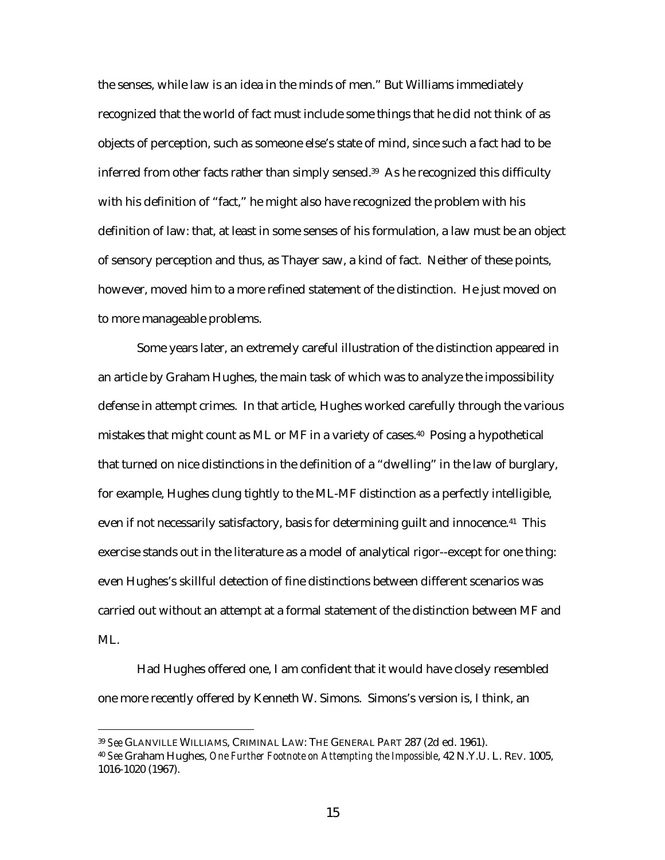the senses, while law is an idea in the minds of men." But Williams immediately recognized that the world of fact must include some things that he did not think of as objects of perception, such as someone else's state of mind, since such a fact had to be inferred from other facts rather than simply sensed.<sup>39</sup> As he recognized this difficulty with his definition of "fact," he might also have recognized the problem with his definition of law: that, at least in some senses of his formulation, a law must be an object of sensory perception and thus, as Thayer saw, a kind of fact. Neither of these points, however, moved him to a more refined statement of the distinction. He just moved on to more manageable problems.

Some years later, an extremely careful illustration of the distinction appeared in an article by Graham Hughes, the main task of which was to analyze the impossibility defense in attempt crimes. In that article, Hughes worked carefully through the various mistakes that might count as ML or MF in a variety of cases.40 Posing a hypothetical that turned on nice distinctions in the definition of a "dwelling" in the law of burglary, for example, Hughes clung tightly to the ML-MF distinction as a perfectly intelligible, even if not necessarily satisfactory, basis for determining guilt and innocence.<sup>41</sup> This exercise stands out in the literature as a model of analytical rigor--except for one thing: even Hughes's skillful detection of fine distinctions between different scenarios was carried out without an attempt at a formal statement of the distinction between MF and ML.

Had Hughes offered one, I am confident that it would have closely resembled one more recently offered by Kenneth W. Simons. Simons's version is, I think, an

<sup>39</sup> *See* GLANVILLE WILLIAMS, CRIMINAL LAW: THE GENERAL PART 287 (2d ed. 1961).

<sup>40</sup> *See* Graham Hughes, *One Further Footnote on Attempting the Impossible*, 42 N.Y.U. L. REV. 1005, 1016-1020 (1967).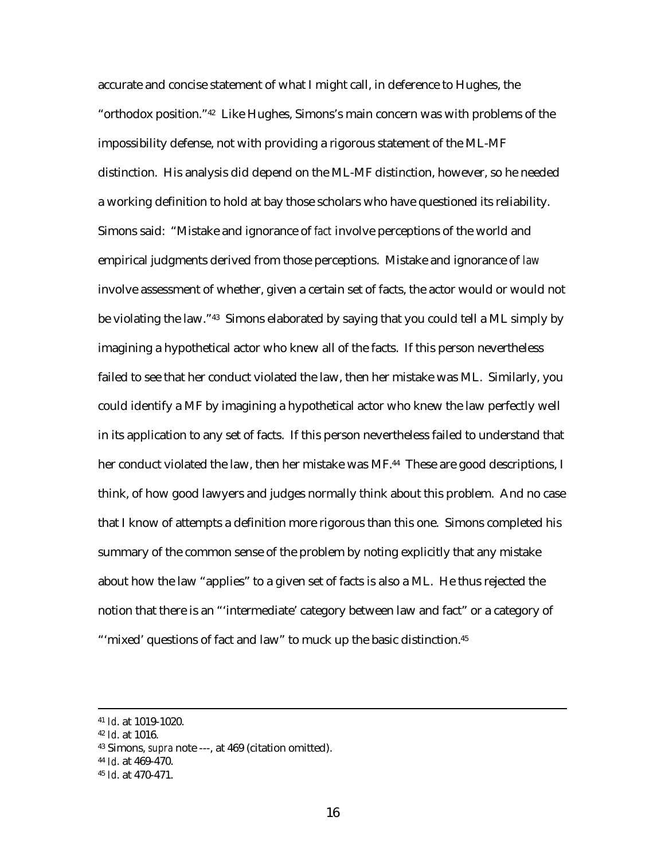accurate and concise statement of what I might call, in deference to Hughes, the "orthodox position."42 Like Hughes, Simons's main concern was with problems of the impossibility defense, not with providing a rigorous statement of the ML-MF distinction. His analysis did depend on the ML-MF distinction, however, so he needed a working definition to hold at bay those scholars who have questioned its reliability. Simons said: "Mistake and ignorance of *fact* involve perceptions of the world and empirical judgments derived from those perceptions. Mistake and ignorance of *law* involve assessment of whether, given a certain set of facts, the actor would or would not be violating the law."43 Simons elaborated by saying that you could tell a ML simply by imagining a hypothetical actor who knew all of the facts. If this person nevertheless failed to see that her conduct violated the law, then her mistake was ML. Similarly, you could identify a MF by imagining a hypothetical actor who knew the law perfectly well in its application to any set of facts. If this person nevertheless failed to understand that her conduct violated the law, then her mistake was MF.<sup>44</sup> These are good descriptions, I think, of how good lawyers and judges normally think about this problem. And no case that I know of attempts a definition more rigorous than this one. Simons completed his summary of the common sense of the problem by noting explicitly that any mistake about how the law "applies" to a given set of facts is also a ML. He thus rejected the notion that there is an "'intermediate' category between law and fact" or a category of "'mixed' questions of fact and law" to muck up the basic distinction.<sup>45</sup>

<sup>44</sup> *Id*. at 469-470.

 <sup>41</sup> *Id*. at 1019-1020.

<sup>42</sup> *Id*. at 1016.

<sup>43</sup> Simons, *supra* note ---, at 469 (citation omitted).

<sup>45</sup> *Id*. at 470-471.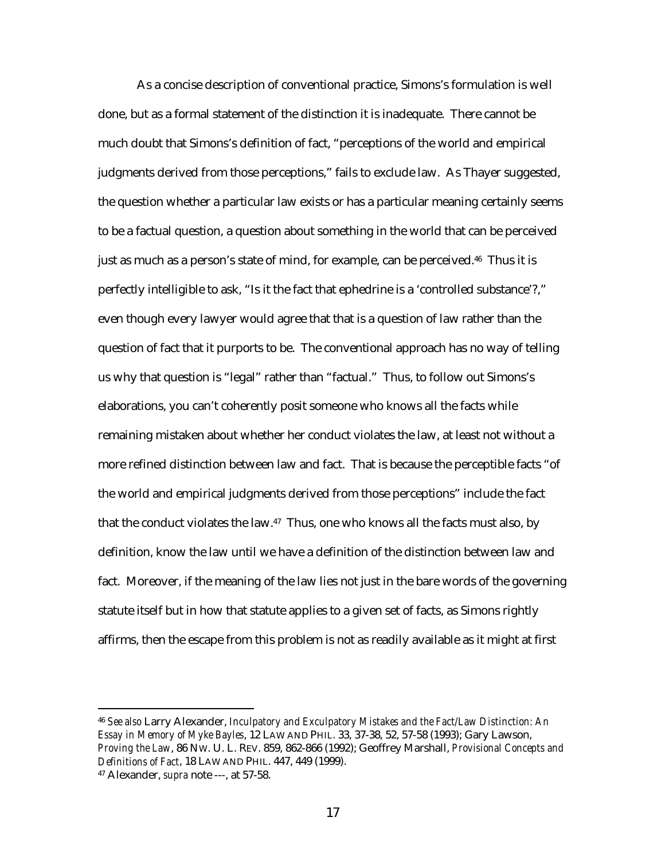As a concise description of conventional practice, Simons's formulation is well done, but as a formal statement of the distinction it is inadequate. There cannot be much doubt that Simons's definition of fact, "perceptions of the world and empirical judgments derived from those perceptions," fails to exclude law. As Thayer suggested, the question whether a particular law exists or has a particular meaning certainly seems to be a factual question, a question about something in the world that can be perceived just as much as a person's state of mind, for example, can be perceived.46 Thus it is perfectly intelligible to ask, "Is it the fact that ephedrine is a 'controlled substance'?," even though every lawyer would agree that that is a question of law rather than the question of fact that it purports to be. The conventional approach has no way of telling us why that question is "legal" rather than "factual." Thus, to follow out Simons's elaborations, you can't coherently posit someone who knows all the facts while remaining mistaken about whether her conduct violates the law, at least not without a more refined distinction between law and fact. That is because the perceptible facts "of the world and empirical judgments derived from those perceptions" include the fact that the conduct violates the law. $47$  Thus, one who knows all the facts must also, by definition, know the law until we have a definition of the distinction between law and fact. Moreover, if the meaning of the law lies not just in the bare words of the governing statute itself but in how that statute applies to a given set of facts, as Simons rightly affirms, then the escape from this problem is not as readily available as it might at first

<sup>46</sup> *See also* Larry Alexander, *Inculpatory and Exculpatory Mistakes and the Fact/Law Distinction: An Essay in Memory of Myke Bayles*, 12 LAW AND PHIL. 33, 37-38, 52, 57-58 (1993); Gary Lawson, *Proving the Law*, 86 NW. U. L. REV. 859, 862-866 (1992); Geoffrey Marshall, *Provisional Concepts and Definitions of Fact*, 18 LAW AND PHIL. 447, 449 (1999).

<sup>47</sup> Alexander, *supra* note ---, at 57-58.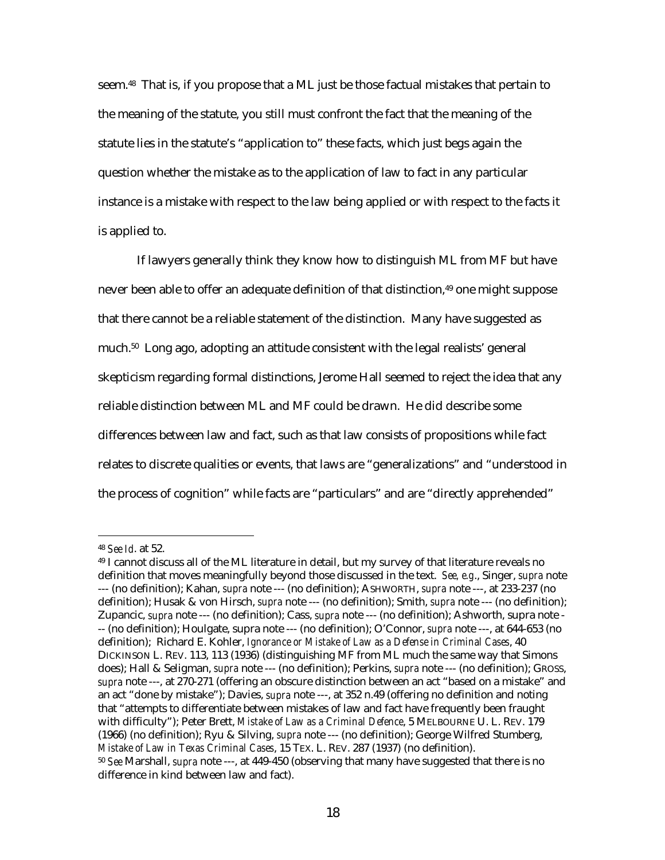seem.48 That is, if you propose that a ML just be those factual mistakes that pertain to the meaning of the statute, you still must confront the fact that the meaning of the statute lies in the statute's "application to" these facts, which just begs again the question whether the mistake as to the application of law to fact in any particular instance is a mistake with respect to the law being applied or with respect to the facts it is applied to.

If lawyers generally think they know how to distinguish ML from MF but have never been able to offer an adequate definition of that distinction,<sup>49</sup> one might suppose that there cannot be a reliable statement of the distinction. Many have suggested as much.50 Long ago, adopting an attitude consistent with the legal realists' general skepticism regarding formal distinctions, Jerome Hall seemed to reject the idea that any reliable distinction between ML and MF could be drawn. He did describe some differences between law and fact, such as that law consists of propositions while fact relates to discrete qualities or events, that laws are "generalizations" and "understood in the process of cognition" while facts are "particulars" and are "directly apprehended"

<sup>48</sup> *See Id*. at 52.

<sup>49</sup> I cannot discuss all of the ML literature in detail, but my survey of that literature reveals no definition that moves meaningfully beyond those discussed in the text. *See, e.g*., Singer, *supra* note --- (no definition); Kahan, *supra* note --- (no definition); ASHWORTH, *supra* note ---, at 233-237 (no definition); Husak & von Hirsch, *supra* note --- (no definition); Smith, *supra* note --- (no definition); Zupancic, *supra* note --- (no definition); Cass, *supra* note --- (no definition); Ashworth, supra note - -- (no definition); Houlgate, supra note --- (no definition); O'Connor, *supra* note ---, at 644-653 (no definition); Richard E. Kohler, *Ignorance or Mistake of Law as a Defense in Criminal Cases*, 40 DICKINSON L. REV. 113, 113 (1936) (distinguishing MF from ML much the same way that Simons does); Hall & Seligman, *supra* note --- (no definition); Perkins, *supra* note --- (no definition); GROSS, *supra* note ---, at 270-271 (offering an obscure distinction between an act "based on a mistake" and an act "done by mistake"); Davies, *supra* note ---, at 352 n.49 (offering no definition and noting that "attempts to differentiate between mistakes of law and fact have frequently been fraught with difficulty"); Peter Brett, *Mistake of Law as a Criminal Defence*, 5 MELBOURNE U. L. REV. 179 (1966) (no definition); Ryu & Silving, *supra* note --- (no definition); George Wilfred Stumberg, *Mistake of Law in Texas Criminal Cases*, 15 TEX. L. REV. 287 (1937) (no definition). <sup>50</sup> *See* Marshall, *supra* note ---, at 449-450 (observing that many have suggested that there is no difference in kind between law and fact).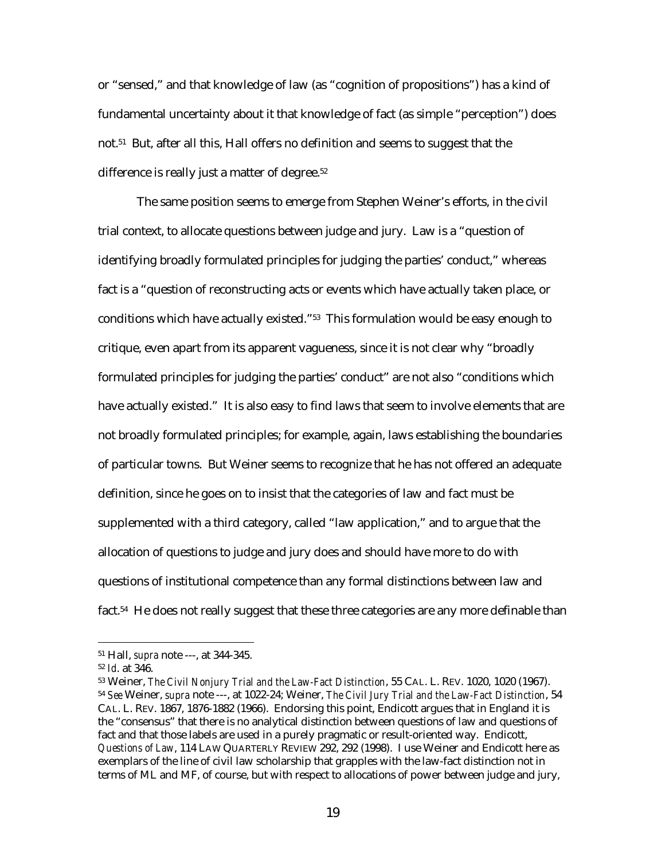or "sensed," and that knowledge of law (as "cognition of propositions") has a kind of fundamental uncertainty about it that knowledge of fact (as simple "perception") does not.51 But, after all this, Hall offers no definition and seems to suggest that the difference is really just a matter of degree.<sup>52</sup>

The same position seems to emerge from Stephen Weiner's efforts, in the civil trial context, to allocate questions between judge and jury. Law is a "question of identifying broadly formulated principles for judging the parties' conduct," whereas fact is a "question of reconstructing acts or events which have actually taken place, or conditions which have actually existed."53 This formulation would be easy enough to critique, even apart from its apparent vagueness, since it is not clear why "broadly formulated principles for judging the parties' conduct" are not also "conditions which have actually existed." It is also easy to find laws that seem to involve elements that are not broadly formulated principles; for example, again, laws establishing the boundaries of particular towns. But Weiner seems to recognize that he has not offered an adequate definition, since he goes on to insist that the categories of law and fact must be supplemented with a third category, called "law application," and to argue that the allocation of questions to judge and jury does and should have more to do with questions of institutional competence than any formal distinctions between law and fact.<sup>54</sup> He does not really suggest that these three categories are any more definable than

<sup>51</sup> Hall, *supra* note ---, at 344-345.

<sup>52</sup> *Id*. at 346.

<sup>53</sup> Weiner, *The Civil Nonjury Trial and the Law-Fact Distinction*, 55 CAL. L. REV. 1020, 1020 (1967). <sup>54</sup> *See* Weiner, *supra* note ---, at 1022-24; Weiner, *The Civil Jury Trial and the Law-Fact Distinction*, 54 CAL. L. REV. 1867, 1876-1882 (1966). Endorsing this point, Endicott argues that in England it is the "consensus" that there is no analytical distinction between questions of law and questions of fact and that those labels are used in a purely pragmatic or result-oriented way. Endicott, *Questions of Law*, 114 LAW QUARTERLY REVIEW 292, 292 (1998). I use Weiner and Endicott here as exemplars of the line of civil law scholarship that grapples with the law-fact distinction not in terms of ML and MF, of course, but with respect to allocations of power between judge and jury,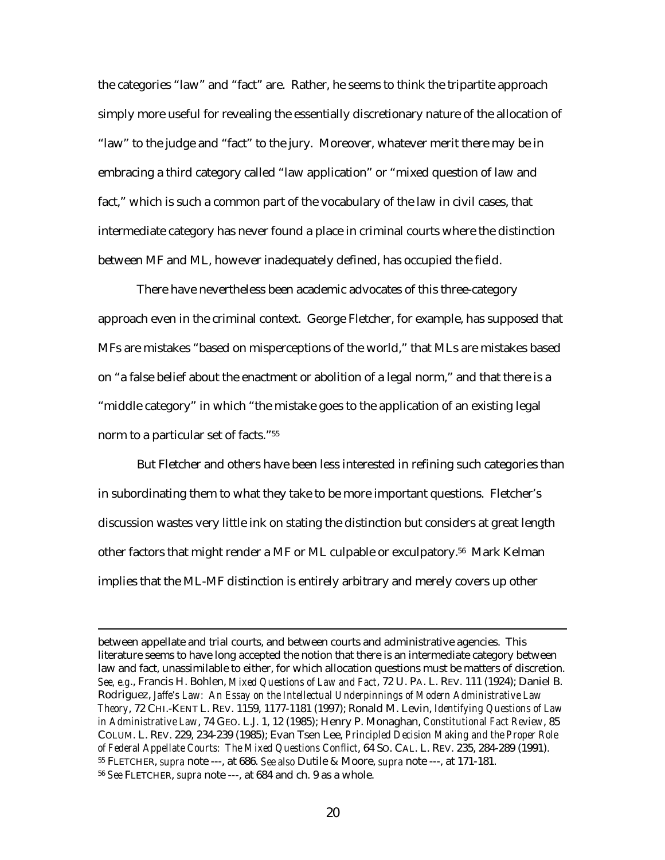the categories "law" and "fact" are. Rather, he seems to think the tripartite approach simply more useful for revealing the essentially discretionary nature of the allocation of "law" to the judge and "fact" to the jury. Moreover, whatever merit there may be in embracing a third category called "law application" or "mixed question of law and fact," which is such a common part of the vocabulary of the law in civil cases, that intermediate category has never found a place in criminal courts where the distinction between MF and ML, however inadequately defined, has occupied the field.

There have nevertheless been academic advocates of this three-category approach even in the criminal context. George Fletcher, for example, has supposed that MFs are mistakes "based on misperceptions of the world," that MLs are mistakes based on "a false belief about the enactment or abolition of a legal norm," and that there is a "middle category" in which "the mistake goes to the application of an existing legal norm to a particular set of facts."55

But Fletcher and others have been less interested in refining such categories than in subordinating them to what they take to be more important questions. Fletcher's discussion wastes very little ink on stating the distinction but considers at great length other factors that might render a MF or ML culpable or exculpatory.56 Mark Kelman implies that the ML-MF distinction is entirely arbitrary and merely covers up other

between appellate and trial courts, and between courts and administrative agencies. This literature seems to have long accepted the notion that there is an intermediate category between law and fact, unassimilable to either, for which allocation questions must be matters of discretion. *See, e.g*., Francis H. Bohlen, *Mixed Questions of Law and Fact*, 72 U. PA. L. REV. 111 (1924); Daniel B. Rodriguez, *Jaffe's Law: An Essay on the Intellectual Underpinnings of Modern Administrative Law Theory*, 72 CHI.-KENT L. REV. 1159, 1177-1181 (1997); Ronald M. Levin, *Identifying Questions of Law in Administrative Law*, 74 GEO. L.J. 1, 12 (1985); Henry P. Monaghan, *Constitutional Fact Review*, 85 COLUM. L. REV. 229, 234-239 (1985); Evan Tsen Lee, *Principled Decision Making and the Proper Role of Federal Appellate Courts: The Mixed Questions Conflict*, 64 SO. CAL. L. REV. 235, 284-289 (1991). 55 FLETCHER, *supra* note ---, at 686. *See also* Dutile & Moore, *supra* note ---, at 171-181. <sup>56</sup> *See* FLETCHER, *supra* note ---, at 684 and ch. 9 as a whole.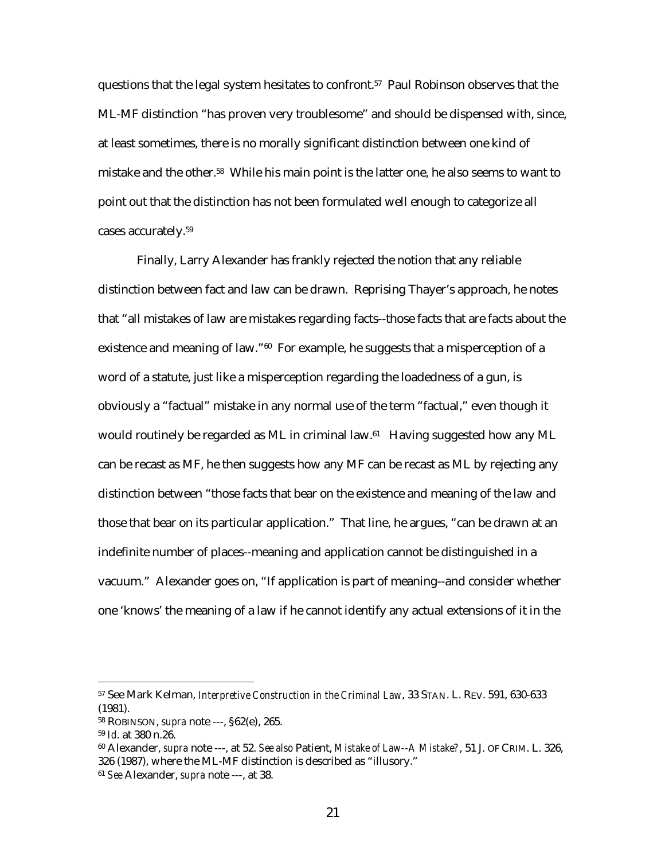questions that the legal system hesitates to confront.57 Paul Robinson observes that the ML-MF distinction "has proven very troublesome" and should be dispensed with, since, at least sometimes, there is no morally significant distinction between one kind of mistake and the other.58 While his main point is the latter one, he also seems to want to point out that the distinction has not been formulated well enough to categorize all cases accurately.59

Finally, Larry Alexander has frankly rejected the notion that any reliable distinction between fact and law can be drawn. Reprising Thayer's approach, he notes that "all mistakes of law are mistakes regarding facts--those facts that are facts about the existence and meaning of law."<sup>60</sup> For example, he suggests that a misperception of a word of a statute, just like a misperception regarding the loadedness of a gun, is obviously a "factual" mistake in any normal use of the term "factual," even though it would routinely be regarded as ML in criminal law.61 Having suggested how any ML can be recast as MF, he then suggests how any MF can be recast as ML by rejecting any distinction between "those facts that bear on the existence and meaning of the law and those that bear on its particular application." That line, he argues, "can be drawn at an indefinite number of places--meaning and application cannot be distinguished in a vacuum." Alexander goes on, "If application is part of meaning--and consider whether one 'knows' the meaning of a law if he cannot identify any actual extensions of it in the

<sup>57</sup> See Mark Kelman, *Interpretive Construction in the Criminal Law*, 33 STAN. L. REV. 591, 630-633 (1981).

<sup>58</sup> ROBINSON, *supra* note ---, §62(e), 265.

<sup>59</sup> *Id*. at 380 n.26.

<sup>60</sup> Alexander, *supra* note ---, at 52. *See also* Patient, *Mistake of Law--A Mistake?*, 51 J. OF CRIM. L. 326, 326 (1987), where the ML-MF distinction is described as "illusory."

<sup>61</sup> *See* Alexander, *supra* note ---, at 38.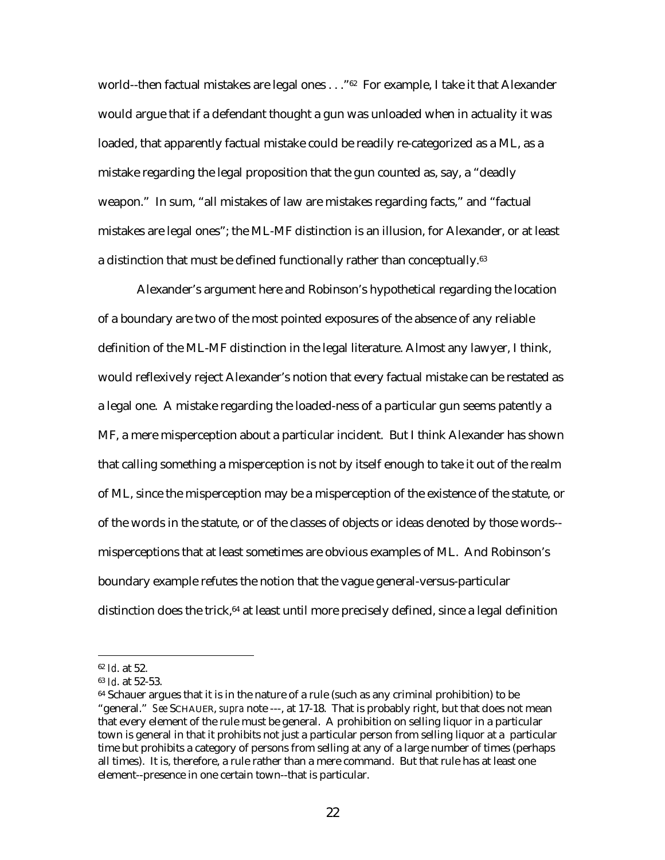world--then factual mistakes are legal ones . . . "<sup>62</sup> For example, I take it that Alexander would argue that if a defendant thought a gun was unloaded when in actuality it was loaded, that apparently factual mistake could be readily re-categorized as a ML, as a mistake regarding the legal proposition that the gun counted as, say, a "deadly weapon." In sum, "all mistakes of law are mistakes regarding facts," and "factual mistakes are legal ones"; the ML-MF distinction is an illusion, for Alexander, or at least a distinction that must be defined functionally rather than conceptually.<sup>63</sup>

Alexander's argument here and Robinson's hypothetical regarding the location of a boundary are two of the most pointed exposures of the absence of any reliable definition of the ML-MF distinction in the legal literature. Almost any lawyer, I think, would reflexively reject Alexander's notion that every factual mistake can be restated as a legal one. A mistake regarding the loaded-ness of a particular gun seems patently a MF, a mere misperception about a particular incident. But I think Alexander has shown that calling something a misperception is not by itself enough to take it out of the realm of ML, since the misperception may be a misperception of the existence of the statute, or of the words in the statute, or of the classes of objects or ideas denoted by those words- misperceptions that at least sometimes are obvious examples of ML. And Robinson's boundary example refutes the notion that the vague general-versus-particular distinction does the trick, $64$  at least until more precisely defined, since a legal definition

<sup>62</sup> *Id*. at 52.

<sup>63</sup> *Id*. at 52-53.

 $64$  Schauer argues that it is in the nature of a rule (such as any criminal prohibition) to be "general." *See* SCHAUER, *supra* note ---, at 17-18. That is probably right, but that does not mean that every element of the rule must be general. A prohibition on selling liquor in a particular town is general in that it prohibits not just a particular person from selling liquor at a particular time but prohibits a category of persons from selling at any of a large number of times (perhaps all times). It is, therefore, a rule rather than a mere command. But that rule has at least one element--presence in one certain town--that is particular.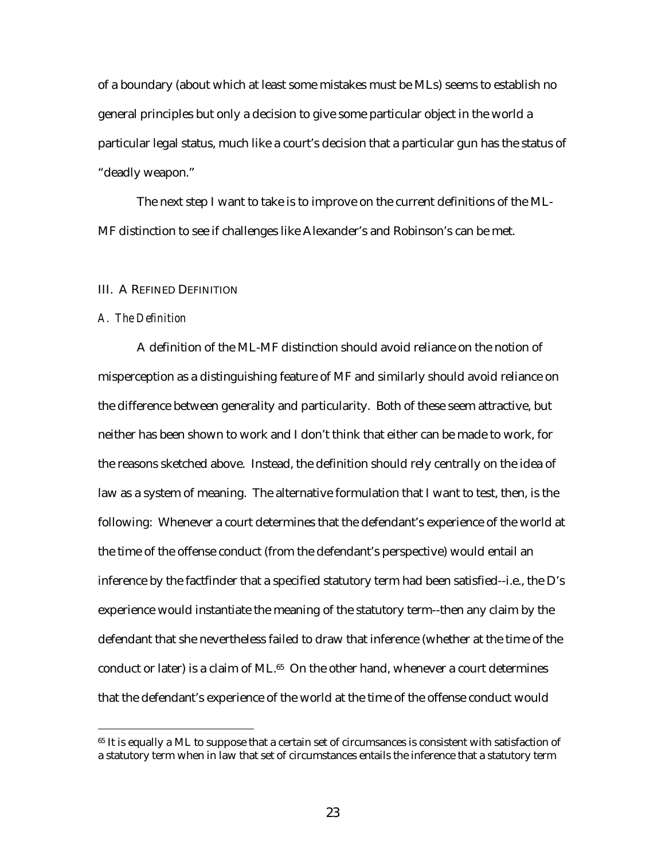of a boundary (about which at least some mistakes must be MLs) seems to establish no general principles but only a decision to give some particular object in the world a particular legal status, much like a court's decision that a particular gun has the status of "deadly weapon."

The next step I want to take is to improve on the current definitions of the ML-MF distinction to see if challenges like Alexander's and Robinson's can be met.

#### III. A REFINED DEFINITION

#### *A. The Definition*

 $\overline{a}$ 

A definition of the ML-MF distinction should avoid reliance on the notion of misperception as a distinguishing feature of MF and similarly should avoid reliance on the difference between generality and particularity. Both of these seem attractive, but neither has been shown to work and I don't think that either can be made to work, for the reasons sketched above. Instead, the definition should rely centrally on the idea of law as a system of meaning. The alternative formulation that I want to test, then, is the following: Whenever a court determines that the defendant's experience of the world at the time of the offense conduct (from the defendant's perspective) would entail an inference by the factfinder that a specified statutory term had been satisfied--i.e., the D's experience would instantiate the meaning of the statutory term--then any claim by the defendant that she nevertheless failed to draw that inference (whether at the time of the conduct or later) is a claim of ML.<sup>65</sup> On the other hand, whenever a court determines that the defendant's experience of the world at the time of the offense conduct would

<sup>&</sup>lt;sup>65</sup> It is equally a ML to suppose that a certain set of circumsances is consistent with satisfaction of a statutory term when in law that set of circumstances entails the inference that a statutory term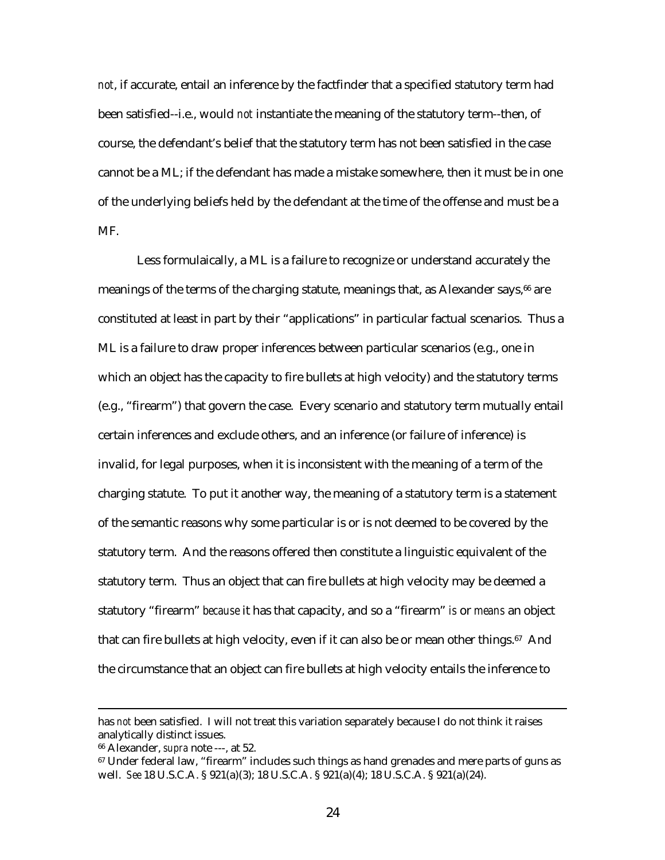*not*, if accurate, entail an inference by the factfinder that a specified statutory term had been satisfied--i.e., would *not* instantiate the meaning of the statutory term--then, of course, the defendant's belief that the statutory term has not been satisfied in the case cannot be a ML; if the defendant has made a mistake somewhere, then it must be in one of the underlying beliefs held by the defendant at the time of the offense and must be a MF.

Less formulaically, a ML is a failure to recognize or understand accurately the meanings of the terms of the charging statute, meanings that, as Alexander says,<sup>66</sup> are constituted at least in part by their "applications" in particular factual scenarios. Thus a ML is a failure to draw proper inferences between particular scenarios (e.g., one in which an object has the capacity to fire bullets at high velocity) and the statutory terms (e.g., "firearm") that govern the case. Every scenario and statutory term mutually entail certain inferences and exclude others, and an inference (or failure of inference) is invalid, for legal purposes, when it is inconsistent with the meaning of a term of the charging statute. To put it another way, the meaning of a statutory term is a statement of the semantic reasons why some particular is or is not deemed to be covered by the statutory term. And the reasons offered then constitute a linguistic equivalent of the statutory term. Thus an object that can fire bullets at high velocity may be deemed a statutory "firearm" *because* it has that capacity, and so a "firearm" *is* or *means* an object that can fire bullets at high velocity, even if it can also be or mean other things.67 And the circumstance that an object can fire bullets at high velocity entails the inference to

has *not* been satisfied. I will not treat this variation separately because I do not think it raises analytically distinct issues.

<sup>66</sup> Alexander, *supra* note ---, at 52.

<sup>67</sup> Under federal law, "firearm" includes such things as hand grenades and mere parts of guns as well. *See* 18 U.S.C.A. § 921(a)(3); 18 U.S.C.A. § 921(a)(4); 18 U.S.C.A. § 921(a)(24).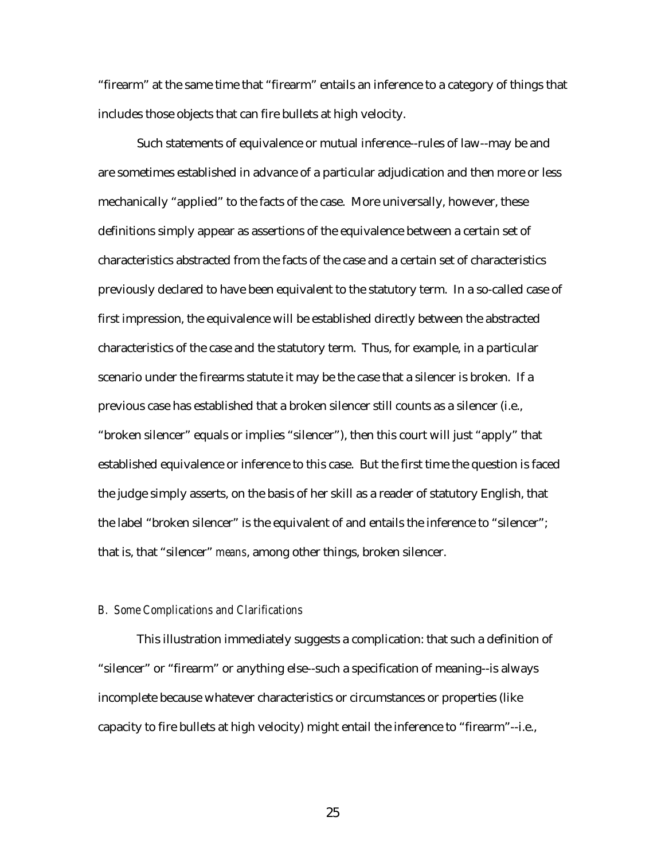"firearm" at the same time that "firearm" entails an inference to a category of things that includes those objects that can fire bullets at high velocity.

Such statements of equivalence or mutual inference--rules of law--may be and are sometimes established in advance of a particular adjudication and then more or less mechanically "applied" to the facts of the case. More universally, however, these definitions simply appear as assertions of the equivalence between a certain set of characteristics abstracted from the facts of the case and a certain set of characteristics previously declared to have been equivalent to the statutory term. In a so-called case of first impression, the equivalence will be established directly between the abstracted characteristics of the case and the statutory term. Thus, for example, in a particular scenario under the firearms statute it may be the case that a silencer is broken. If a previous case has established that a broken silencer still counts as a silencer (i.e., "broken silencer" equals or implies "silencer"), then this court will just "apply" that established equivalence or inference to this case. But the first time the question is faced the judge simply asserts, on the basis of her skill as a reader of statutory English, that the label "broken silencer" is the equivalent of and entails the inference to "silencer"; that is, that "silencer" *means*, among other things, broken silencer.

#### *B. Some Complications and Clarifications*

This illustration immediately suggests a complication: that such a definition of "silencer" or "firearm" or anything else--such a specification of meaning--is always incomplete because whatever characteristics or circumstances or properties (like capacity to fire bullets at high velocity) might entail the inference to "firearm"--i.e.,

25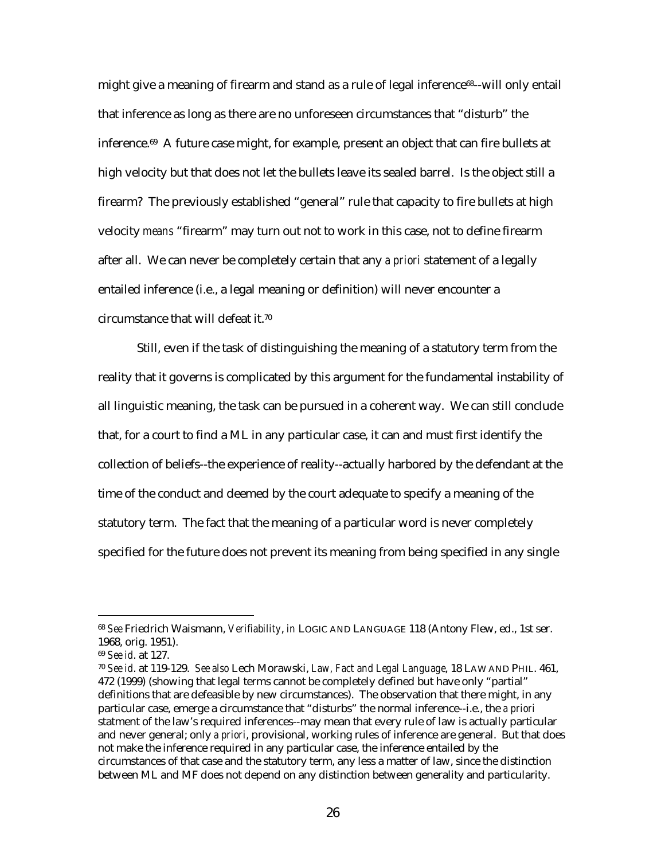might give a meaning of firearm and stand as a rule of legal inference<sup>68</sup>--will only entail that inference as long as there are no unforeseen circumstances that "disturb" the inference.69 A future case might, for example, present an object that can fire bullets at high velocity but that does not let the bullets leave its sealed barrel. Is the object still a firearm? The previously established "general" rule that capacity to fire bullets at high velocity *means* "firearm" may turn out not to work in this case, not to define firearm after all. We can never be completely certain that any *a priori* statement of a legally entailed inference (i.e., a legal meaning or definition) will never encounter a circumstance that will defeat it.70

Still, even if the task of distinguishing the meaning of a statutory term from the reality that it governs is complicated by this argument for the fundamental instability of all linguistic meaning, the task can be pursued in a coherent way. We can still conclude that, for a court to find a ML in any particular case, it can and must first identify the collection of beliefs--the experience of reality--actually harbored by the defendant at the time of the conduct and deemed by the court adequate to specify a meaning of the statutory term. The fact that the meaning of a particular word is never completely specified for the future does not prevent its meaning from being specified in any single

<sup>68</sup> *See* Friedrich Waismann, *Verifiability*, *in* LOGIC AND LANGUAGE 118 (Antony Flew, ed., 1st ser. 1968, orig. 1951).

<sup>69</sup> *See id*. at 127.

<sup>70</sup> *See id*. at 119-129. *See also* Lech Morawski, *Law, Fact and Legal Language*, 18 LAW AND PHIL. 461, 472 (1999) (showing that legal terms cannot be completely defined but have only "partial" definitions that are defeasible by new circumstances). The observation that there might, in any particular case, emerge a circumstance that "disturbs" the normal inference--i.e., the *a priori* statment of the law's required inferences--may mean that every rule of law is actually particular and never general; only *a priori*, provisional, working rules of inference are general. But that does not make the inference required in any particular case, the inference entailed by the circumstances of that case and the statutory term, any less a matter of law, since the distinction between ML and MF does not depend on any distinction between generality and particularity.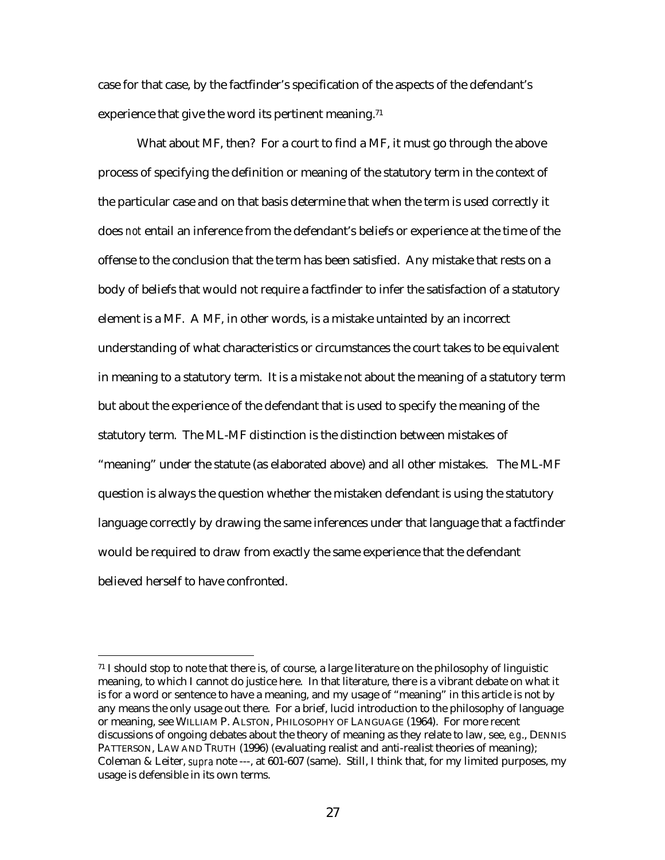case for that case, by the factfinder's specification of the aspects of the defendant's experience that give the word its pertinent meaning.<sup>71</sup>

What about MF, then? For a court to find a MF, it must go through the above process of specifying the definition or meaning of the statutory term in the context of the particular case and on that basis determine that when the term is used correctly it does *not* entail an inference from the defendant's beliefs or experience at the time of the offense to the conclusion that the term has been satisfied. Any mistake that rests on a body of beliefs that would not require a factfinder to infer the satisfaction of a statutory element is a MF. A MF, in other words, is a mistake untainted by an incorrect understanding of what characteristics or circumstances the court takes to be equivalent in meaning to a statutory term. It is a mistake not about the meaning of a statutory term but about the experience of the defendant that is used to specify the meaning of the statutory term. The ML-MF distinction is the distinction between mistakes of "meaning" under the statute (as elaborated above) and all other mistakes. The ML-MF question is always the question whether the mistaken defendant is using the statutory language correctly by drawing the same inferences under that language that a factfinder would be required to draw from exactly the same experience that the defendant believed herself to have confronted.

<sup>71</sup> I should stop to note that there is, of course, a large literature on the philosophy of linguistic meaning, to which I cannot do justice here. In that literature, there is a vibrant debate on what it is for a word or sentence to have a meaning, and my usage of "meaning" in this article is not by any means the only usage out there. For a brief, lucid introduction to the philosophy of language or meaning, see WILLIAM P. ALSTON, PHILOSOPHY OF LANGUAGE (1964). For more recent discussions of ongoing debates about the theory of meaning as they relate to law, see, *e.g*., DENNIS PATTERSON, LAW AND TRUTH (1996) (evaluating realist and anti-realist theories of meaning); Coleman & Leiter, *supra* note ---, at 601-607 (same). Still, I think that, for my limited purposes, my usage is defensible in its own terms.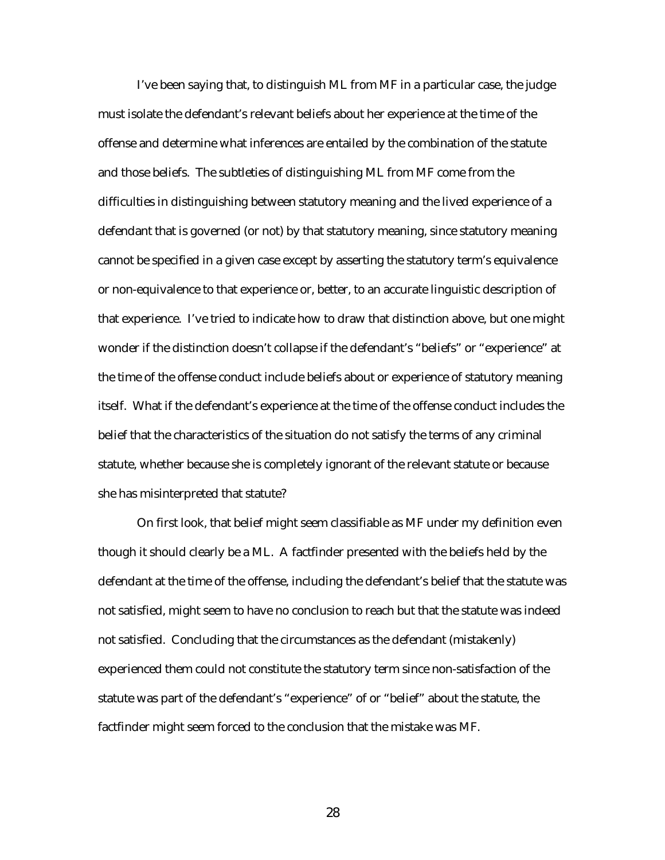I've been saying that, to distinguish ML from MF in a particular case, the judge must isolate the defendant's relevant beliefs about her experience at the time of the offense and determine what inferences are entailed by the combination of the statute and those beliefs. The subtleties of distinguishing ML from MF come from the difficulties in distinguishing between statutory meaning and the lived experience of a defendant that is governed (or not) by that statutory meaning, since statutory meaning cannot be specified in a given case except by asserting the statutory term's equivalence or non-equivalence to that experience or, better, to an accurate linguistic description of that experience. I've tried to indicate how to draw that distinction above, but one might wonder if the distinction doesn't collapse if the defendant's "beliefs" or "experience" at the time of the offense conduct include beliefs about or experience of statutory meaning itself. What if the defendant's experience at the time of the offense conduct includes the belief that the characteristics of the situation do not satisfy the terms of any criminal statute, whether because she is completely ignorant of the relevant statute or because she has misinterpreted that statute?

On first look, that belief might seem classifiable as MF under my definition even though it should clearly be a ML. A factfinder presented with the beliefs held by the defendant at the time of the offense, including the defendant's belief that the statute was not satisfied, might seem to have no conclusion to reach but that the statute was indeed not satisfied. Concluding that the circumstances as the defendant (mistakenly) experienced them could not constitute the statutory term since non-satisfaction of the statute was part of the defendant's "experience" of or "belief" about the statute, the factfinder might seem forced to the conclusion that the mistake was MF.

28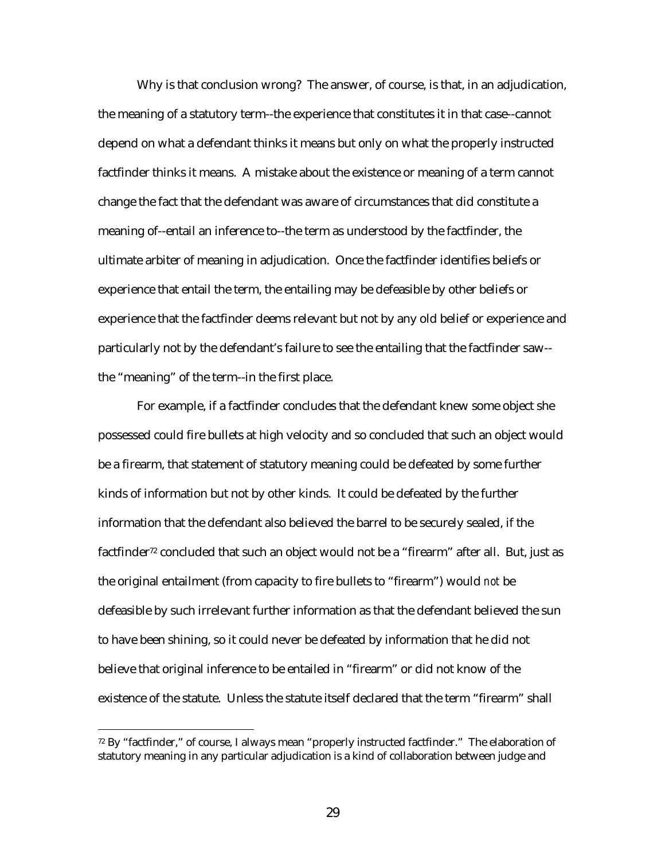Why is that conclusion wrong? The answer, of course, is that, in an adjudication, the meaning of a statutory term--the experience that constitutes it in that case--cannot depend on what a defendant thinks it means but only on what the properly instructed factfinder thinks it means. A mistake about the existence or meaning of a term cannot change the fact that the defendant was aware of circumstances that did constitute a meaning of--entail an inference to--the term as understood by the factfinder, the ultimate arbiter of meaning in adjudication. Once the factfinder identifies beliefs or experience that entail the term, the entailing may be defeasible by other beliefs or experience that the factfinder deems relevant but not by any old belief or experience and particularly not by the defendant's failure to see the entailing that the factfinder saw- the "meaning" of the term--in the first place.

For example, if a factfinder concludes that the defendant knew some object she possessed could fire bullets at high velocity and so concluded that such an object would be a firearm, that statement of statutory meaning could be defeated by some further kinds of information but not by other kinds. It could be defeated by the further information that the defendant also believed the barrel to be securely sealed, if the factfinder<sup>72</sup> concluded that such an object would not be a "firearm" after all. But, just as the original entailment (from capacity to fire bullets to "firearm") would *not* be defeasible by such irrelevant further information as that the defendant believed the sun to have been shining, so it could never be defeated by information that he did not believe that original inference to be entailed in "firearm" or did not know of the existence of the statute. Unless the statute itself declared that the term "firearm" shall

<sup>72</sup> By "factfinder," of course, I always mean "properly instructed factfinder." The elaboration of statutory meaning in any particular adjudication is a kind of collaboration between judge and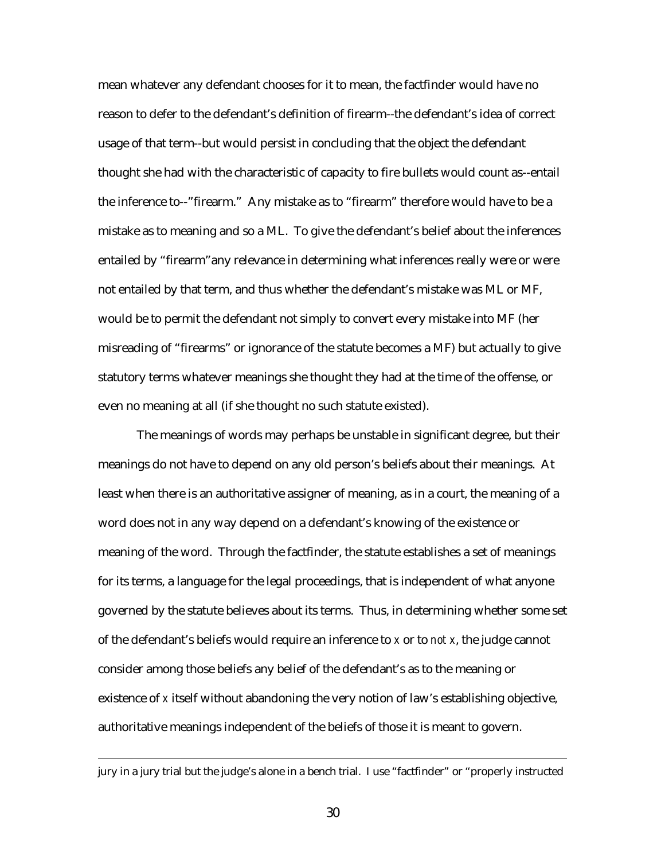mean whatever any defendant chooses for it to mean, the factfinder would have no reason to defer to the defendant's definition of firearm--the defendant's idea of correct usage of that term--but would persist in concluding that the object the defendant thought she had with the characteristic of capacity to fire bullets would count as--entail the inference to--"firearm." Any mistake as to "firearm" therefore would have to be a mistake as to meaning and so a ML. To give the defendant's belief about the inferences entailed by "firearm"any relevance in determining what inferences really were or were not entailed by that term, and thus whether the defendant's mistake was ML or MF, would be to permit the defendant not simply to convert every mistake into MF (her misreading of "firearms" or ignorance of the statute becomes a MF) but actually to give statutory terms whatever meanings she thought they had at the time of the offense, or even no meaning at all (if she thought no such statute existed).

The meanings of words may perhaps be unstable in significant degree, but their meanings do not have to depend on any old person's beliefs about their meanings. At least when there is an authoritative assigner of meaning, as in a court, the meaning of a word does not in any way depend on a defendant's knowing of the existence or meaning of the word. Through the factfinder, the statute establishes a set of meanings for its terms, a language for the legal proceedings, that is independent of what anyone governed by the statute believes about its terms. Thus, in determining whether some set of the defendant's beliefs would require an inference to *x* or to *not x*, the judge cannot consider among those beliefs any belief of the defendant's as to the meaning or existence of *x* itself without abandoning the very notion of law's establishing objective, authoritative meanings independent of the beliefs of those it is meant to govern.

jury in a jury trial but the judge's alone in a bench trial. I use "factfinder" or "properly instructed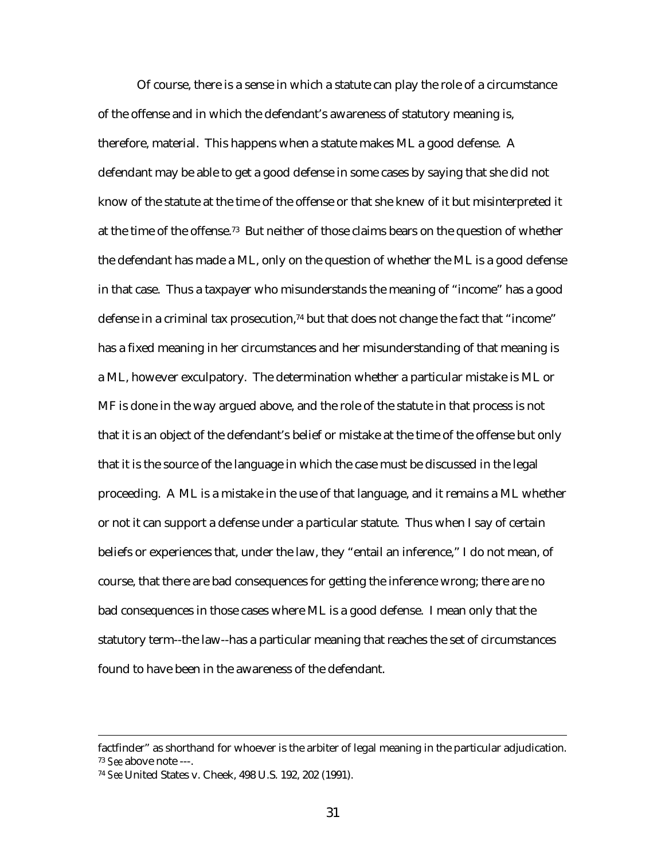Of course, there is a sense in which a statute can play the role of a circumstance of the offense and in which the defendant's awareness of statutory meaning is, therefore, material. This happens when a statute makes ML a good defense. A defendant may be able to get a good defense in some cases by saying that she did not know of the statute at the time of the offense or that she knew of it but misinterpreted it at the time of the offense.73 But neither of those claims bears on the question of whether the defendant has made a ML, only on the question of whether the ML is a good defense in that case. Thus a taxpayer who misunderstands the meaning of "income" has a good defense in a criminal tax prosecution, $74$  but that does not change the fact that "income" has a fixed meaning in her circumstances and her misunderstanding of that meaning is a ML, however exculpatory. The determination whether a particular mistake is ML or MF is done in the way argued above, and the role of the statute in that process is not that it is an object of the defendant's belief or mistake at the time of the offense but only that it is the source of the language in which the case must be discussed in the legal proceeding. A ML is a mistake in the use of that language, and it remains a ML whether or not it can support a defense under a particular statute. Thus when I say of certain beliefs or experiences that, under the law, they "entail an inference," I do not mean, of course, that there are bad consequences for getting the inference wrong; there are no bad consequences in those cases where ML is a good defense. I mean only that the statutory term--the law--has a particular meaning that reaches the set of circumstances found to have been in the awareness of the defendant.

factfinder" as shorthand for whoever is the arbiter of legal meaning in the particular adjudication. <sup>73</sup> *See* above note ---.

<sup>74</sup> *See* United States v. Cheek, 498 U.S. 192, 202 (1991).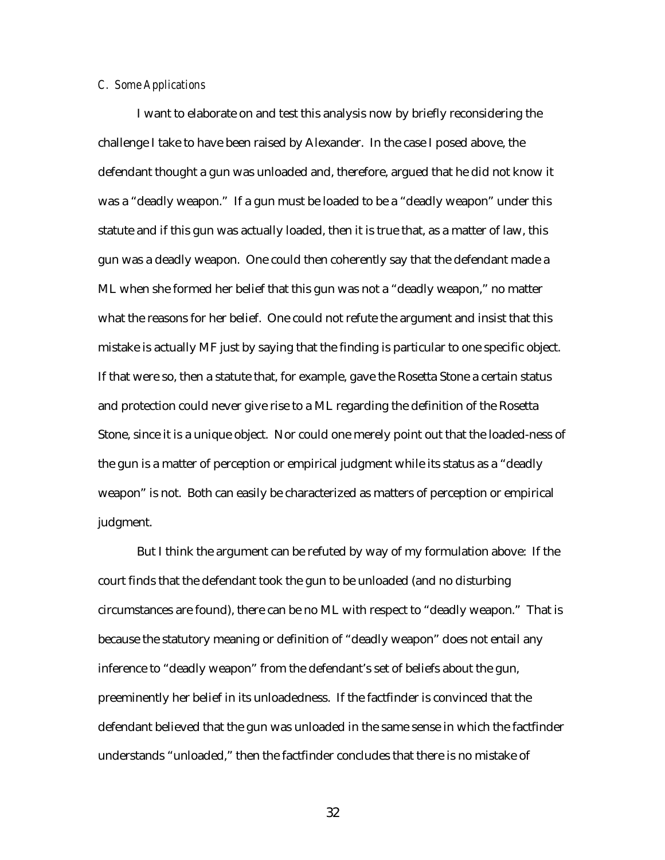#### *C. Some Applications*

I want to elaborate on and test this analysis now by briefly reconsidering the challenge I take to have been raised by Alexander. In the case I posed above, the defendant thought a gun was unloaded and, therefore, argued that he did not know it was a "deadly weapon." If a gun must be loaded to be a "deadly weapon" under this statute and if this gun was actually loaded, then it is true that, as a matter of law, this gun was a deadly weapon. One could then coherently say that the defendant made a ML when she formed her belief that this gun was not a "deadly weapon," no matter what the reasons for her belief. One could not refute the argument and insist that this mistake is actually MF just by saying that the finding is particular to one specific object. If that were so, then a statute that, for example, gave the Rosetta Stone a certain status and protection could never give rise to a ML regarding the definition of the Rosetta Stone, since it is a unique object. Nor could one merely point out that the loaded-ness of the gun is a matter of perception or empirical judgment while its status as a "deadly weapon" is not. Both can easily be characterized as matters of perception or empirical judgment.

But I think the argument can be refuted by way of my formulation above: If the court finds that the defendant took the gun to be unloaded (and no disturbing circumstances are found), there can be no ML with respect to "deadly weapon." That is because the statutory meaning or definition of "deadly weapon" does not entail any inference to "deadly weapon" from the defendant's set of beliefs about the gun, preeminently her belief in its unloadedness. If the factfinder is convinced that the defendant believed that the gun was unloaded in the same sense in which the factfinder understands "unloaded," then the factfinder concludes that there is no mistake of

32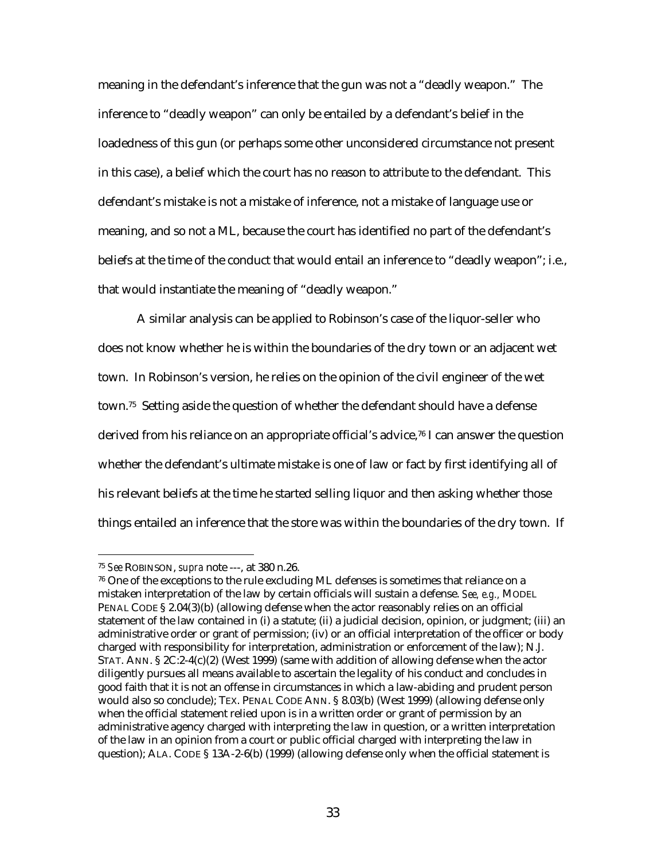meaning in the defendant's inference that the gun was not a "deadly weapon." The inference to "deadly weapon" can only be entailed by a defendant's belief in the loadedness of this gun (or perhaps some other unconsidered circumstance not present in this case), a belief which the court has no reason to attribute to the defendant. This defendant's mistake is not a mistake of inference, not a mistake of language use or meaning, and so not a ML, because the court has identified no part of the defendant's beliefs at the time of the conduct that would entail an inference to "deadly weapon"; i.e., that would instantiate the meaning of "deadly weapon."

A similar analysis can be applied to Robinson's case of the liquor-seller who does not know whether he is within the boundaries of the dry town or an adjacent wet town. In Robinson's version, he relies on the opinion of the civil engineer of the wet town.75 Setting aside the question of whether the defendant should have a defense derived from his reliance on an appropriate official's advice,<sup>76</sup> I can answer the question whether the defendant's ultimate mistake is one of law or fact by first identifying all of his relevant beliefs at the time he started selling liquor and then asking whether those things entailed an inference that the store was within the boundaries of the dry town. If

<sup>75</sup> *See* ROBINSON, *supra* note ---, at 380 n.26.

 $76$  One of the exceptions to the rule excluding ML defenses is sometimes that reliance on a mistaken interpretation of the law by certain officials will sustain a defense. *See, e.g.,* MODEL PENAL CODE § 2.04(3)(b) (allowing defense when the actor reasonably relies on an official statement of the law contained in (i) a statute; (ii) a judicial decision, opinion, or judgment; (iii) an administrative order or grant of permission; (iv) or an official interpretation of the officer or body charged with responsibility for interpretation, administration or enforcement of the law); N.J. STAT. ANN. § 2C:2-4(c)(2) (West 1999) (same with addition of allowing defense when the actor diligently pursues all means available to ascertain the legality of his conduct and concludes in good faith that it is not an offense in circumstances in which a law-abiding and prudent person would also so conclude); TEX. PENAL CODE ANN. § 8.03(b) (West 1999) (allowing defense only when the official statement relied upon is in a written order or grant of permission by an administrative agency charged with interpreting the law in question, or a written interpretation of the law in an opinion from a court or public official charged with interpreting the law in question); ALA. CODE § 13A-2-6(b) (1999) (allowing defense only when the official statement is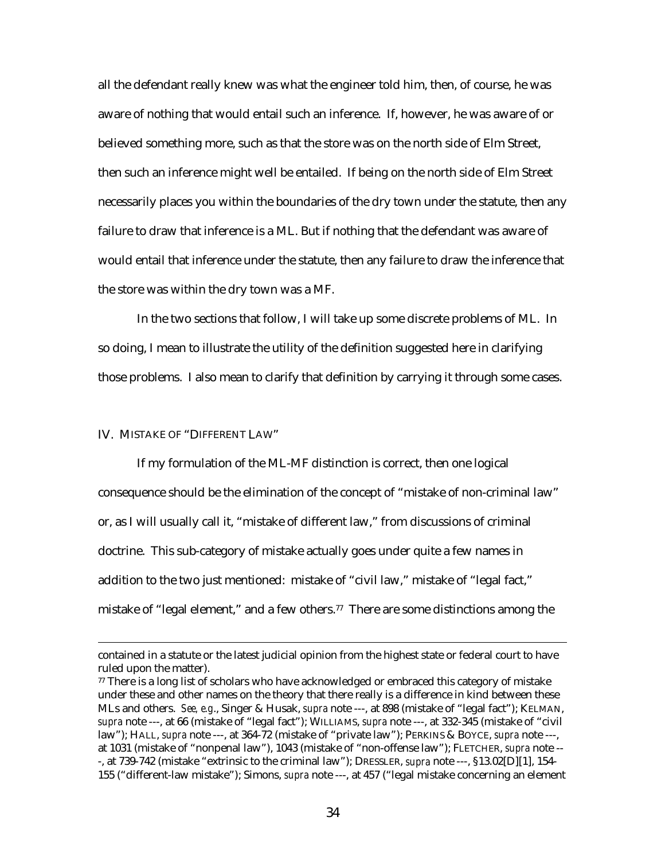all the defendant really knew was what the engineer told him, then, of course, he was aware of nothing that would entail such an inference. If, however, he was aware of or believed something more, such as that the store was on the north side of Elm Street, then such an inference might well be entailed. If being on the north side of Elm Street necessarily places you within the boundaries of the dry town under the statute, then any failure to draw that inference is a ML. But if nothing that the defendant was aware of would entail that inference under the statute, then any failure to draw the inference that the store was within the dry town was a MF.

In the two sections that follow, I will take up some discrete problems of ML. In so doing, I mean to illustrate the utility of the definition suggested here in clarifying those problems. I also mean to clarify that definition by carrying it through some cases.

### IV. MISTAKE OF "DIFFERENT LAW"

 $\overline{a}$ 

If my formulation of the ML-MF distinction is correct, then one logical consequence should be the elimination of the concept of "mistake of non-criminal law" or, as I will usually call it, "mistake of different law," from discussions of criminal doctrine. This sub-category of mistake actually goes under quite a few names in addition to the two just mentioned: mistake of "civil law," mistake of "legal fact," mistake of "legal element," and a few others.77 There are some distinctions among the

contained in a statute or the latest judicial opinion from the highest state or federal court to have ruled upon the matter).

 $77$  There is a long list of scholars who have acknowledged or embraced this category of mistake under these and other names on the theory that there really is a difference in kind between these MLs and others. *See, e.g*., Singer & Husak, *supra* note ---, at 898 (mistake of "legal fact"); KELMAN, *supra* note ---, at 66 (mistake of "legal fact"); WILLIAMS, *supra* note ---, at 332-345 (mistake of "civil law"); HALL, *supra* note ---, at 364-72 (mistake of "private law"); PERKINS & BOYCE, *supra* note ---, at 1031 (mistake of "nonpenal law"), 1043 (mistake of "non-offense law"); FLETCHER, *supra* note -- -, at 739-742 (mistake "extrinsic to the criminal law"); DRESSLER, *supra* note ---, §13.02[D][1], 154- 155 ("different-law mistake"); Simons, *supra* note ---, at 457 ("legal mistake concerning an element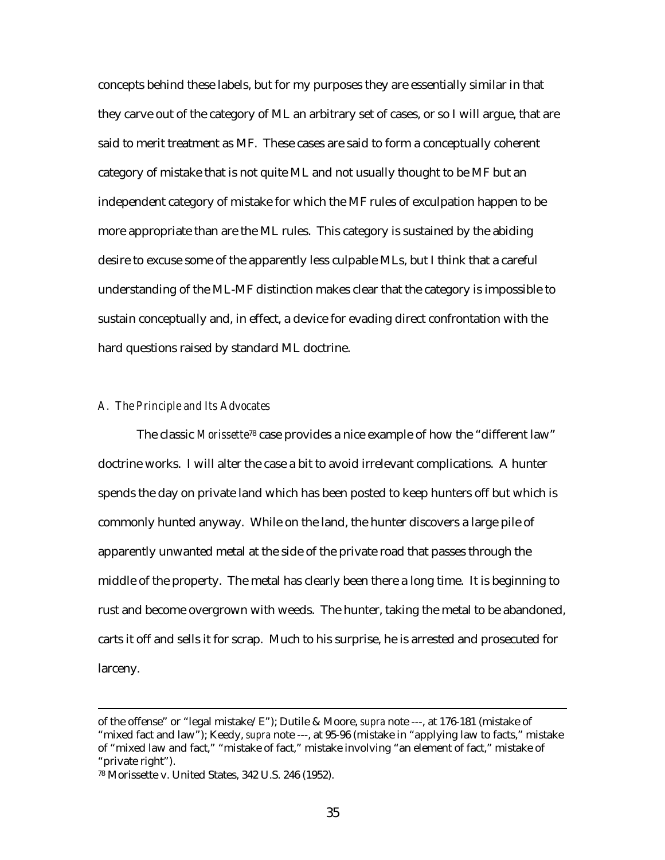concepts behind these labels, but for my purposes they are essentially similar in that they carve out of the category of ML an arbitrary set of cases, or so I will argue, that are said to merit treatment as MF. These cases are said to form a conceptually coherent category of mistake that is not quite ML and not usually thought to be MF but an independent category of mistake for which the MF rules of exculpation happen to be more appropriate than are the ML rules. This category is sustained by the abiding desire to excuse some of the apparently less culpable MLs, but I think that a careful understanding of the ML-MF distinction makes clear that the category is impossible to sustain conceptually and, in effect, a device for evading direct confrontation with the hard questions raised by standard ML doctrine.

### *A. The Principle and Its Advocates*

The classic *Morissette*78 case provides a nice example of how the "different law" doctrine works. I will alter the case a bit to avoid irrelevant complications. A hunter spends the day on private land which has been posted to keep hunters off but which is commonly hunted anyway. While on the land, the hunter discovers a large pile of apparently unwanted metal at the side of the private road that passes through the middle of the property. The metal has clearly been there a long time. It is beginning to rust and become overgrown with weeds. The hunter, taking the metal to be abandoned, carts it off and sells it for scrap. Much to his surprise, he is arrested and prosecuted for larceny.

of the offense" or "legal mistake/E"); Dutile & Moore, *supra* note ---, at 176-181 (mistake of "mixed fact and law"); Keedy, *supra* note ---, at 95-96 (mistake in "applying law to facts," mistake of "mixed law and fact," "mistake of fact," mistake involving "an element of fact," mistake of "private right").

<sup>78</sup> Morissette v. United States, 342 U.S. 246 (1952).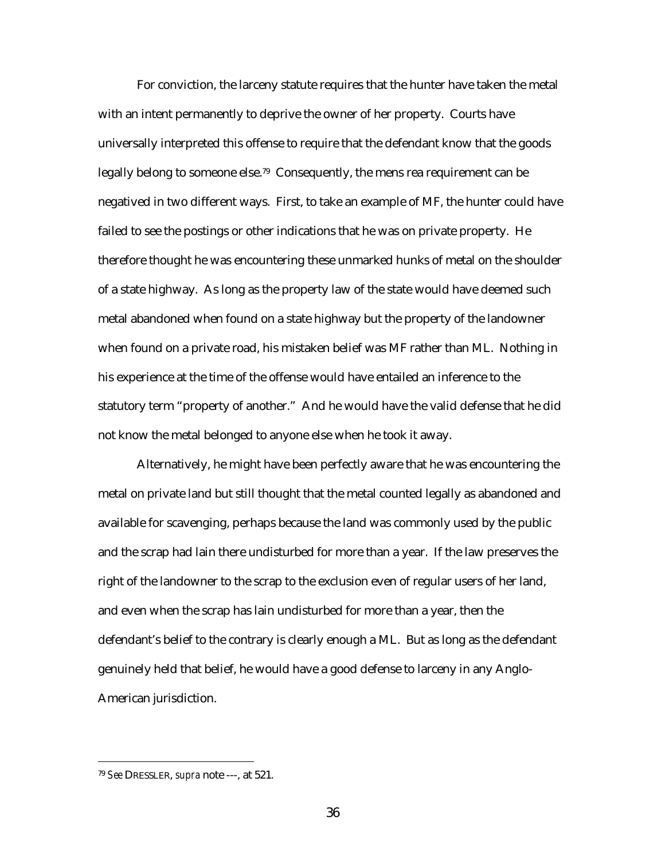For conviction, the larceny statute requires that the hunter have taken the metal with an intent permanently to deprive the owner of her property. Courts have universally interpreted this offense to require that the defendant know that the goods legally belong to someone else.<sup>79</sup> Consequently, the mens rea requirement can be negatived in two different ways. First, to take an example of MF, the hunter could have failed to see the postings or other indications that he was on private property. He therefore thought he was encountering these unmarked hunks of metal on the shoulder of a state highway. As long as the property law of the state would have deemed such metal abandoned when found on a state highway but the property of the landowner when found on a private road, his mistaken belief was MF rather than ML. Nothing in his experience at the time of the offense would have entailed an inference to the statutory term "property of another." And he would have the valid defense that he did not know the metal belonged to anyone else when he took it away.

Alternatively, he might have been perfectly aware that he was encountering the metal on private land but still thought that the metal counted legally as abandoned and available for scavenging, perhaps because the land was commonly used by the public and the scrap had lain there undisturbed for more than a year. If the law preserves the right of the landowner to the scrap to the exclusion even of regular users of her land, and even when the scrap has lain undisturbed for more than a year, then the defendant's belief to the contrary is clearly enough a ML. But as long as the defendant genuinely held that belief, he would have a good defense to larceny in any Anglo-American jurisdiction.

<sup>79</sup> *See* DRESSLER, *supra* note ---, at 521.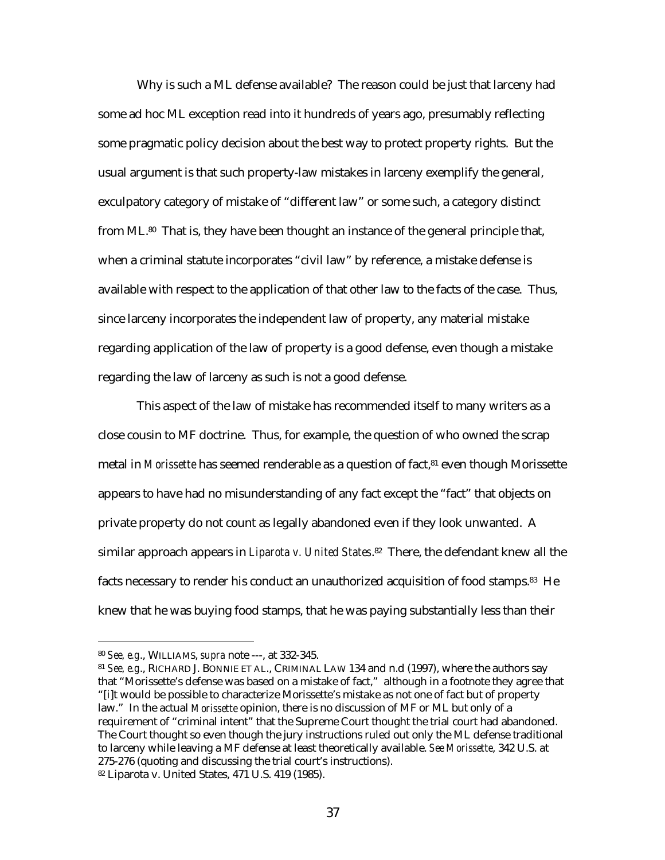Why is such a ML defense available? The reason could be just that larceny had some ad hoc ML exception read into it hundreds of years ago, presumably reflecting some pragmatic policy decision about the best way to protect property rights. But the usual argument is that such property-law mistakes in larceny exemplify the general, exculpatory category of mistake of "different law" or some such, a category distinct from ML.80 That is, they have been thought an instance of the general principle that, when a criminal statute incorporates "civil law" by reference, a mistake defense is available with respect to the application of that other law to the facts of the case. Thus, since larceny incorporates the independent law of property, any material mistake regarding application of the law of property is a good defense, even though a mistake regarding the law of larceny as such is not a good defense.

This aspect of the law of mistake has recommended itself to many writers as a close cousin to MF doctrine. Thus, for example, the question of who owned the scrap metal in *Morissette* has seemed renderable as a question of fact,<sup>81</sup> even though Morissette appears to have had no misunderstanding of any fact except the "fact" that objects on private property do not count as legally abandoned even if they look unwanted. A similar approach appears in *Liparota v. United States*.82 There, the defendant knew all the facts necessary to render his conduct an unauthorized acquisition of food stamps.<sup>83</sup> He knew that he was buying food stamps, that he was paying substantially less than their

<sup>80</sup> *See, e.g*., WILLIAMS, *supra* note ---, at 332-345.

<sup>81</sup> *See, e.g*., RICHARD J. BONNIE ET AL., CRIMINAL LAW 134 and n.d (1997), where the authors say that "Morissette's defense was based on a mistake of fact," although in a footnote they agree that "[i]t would be possible to characterize Morissette's mistake as not one of fact but of property law." In the actual *Morissette* opinion, there is no discussion of MF or ML but only of a requirement of "criminal intent" that the Supreme Court thought the trial court had abandoned. The Court thought so even though the jury instructions ruled out only the ML defense traditional to larceny while leaving a MF defense at least theoretically available. *See Morissette*, 342 U.S. at 275-276 (quoting and discussing the trial court's instructions). 82 Liparota v. United States, 471 U.S. 419 (1985).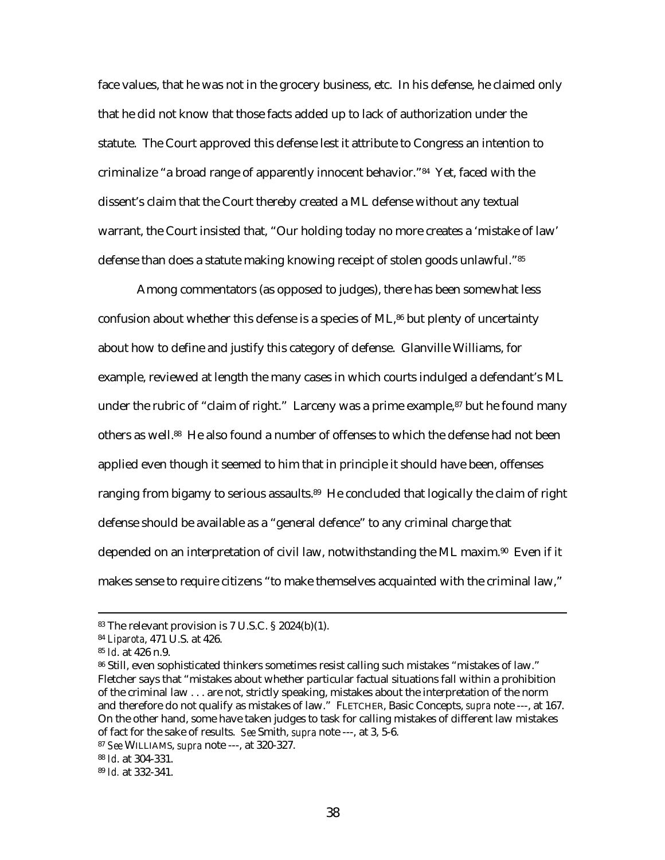face values, that he was not in the grocery business, etc. In his defense, he claimed only that he did not know that those facts added up to lack of authorization under the statute. The Court approved this defense lest it attribute to Congress an intention to criminalize "a broad range of apparently innocent behavior."84 Yet, faced with the dissent's claim that the Court thereby created a ML defense without any textual warrant, the Court insisted that, "Our holding today no more creates a 'mistake of law' defense than does a statute making knowing receipt of stolen goods unlawful."85

Among commentators (as opposed to judges), there has been somewhat less confusion about whether this defense is a species of ML,86 but plenty of uncertainty about how to define and justify this category of defense. Glanville Williams, for example, reviewed at length the many cases in which courts indulged a defendant's ML under the rubric of "claim of right." Larceny was a prime example,<sup>87</sup> but he found many others as well.88 He also found a number of offenses to which the defense had not been applied even though it seemed to him that in principle it should have been, offenses ranging from bigamy to serious assaults.<sup>89</sup> He concluded that logically the claim of right defense should be available as a "general defence" to any criminal charge that depended on an interpretation of civil law, notwithstanding the ML maxim.<sup>90</sup> Even if it makes sense to require citizens "to make themselves acquainted with the criminal law,"

 <sup>83</sup> The relevant provision is 7 U.S.C. § 2024(b)(1).

<sup>84</sup> *Liparota*, 471 U.S. at 426.

<sup>85</sup> *Id*. at 426 n.9.

<sup>86</sup> Still, even sophisticated thinkers sometimes resist calling such mistakes "mistakes of law." Fletcher says that "mistakes about whether particular factual situations fall within a prohibition of the criminal law . . . are not, strictly speaking, mistakes about the interpretation of the norm and therefore do not qualify as mistakes of law." FLETCHER, Basic Concepts, *supra* note ---, at 167. On the other hand, some have taken judges to task for calling mistakes of different law mistakes of fact for the sake of results. *See* Smith, *supra* note ---, at 3, 5-6.

<sup>87</sup> *See* WILLIAMS, *supra* note ---, at 320-327.

<sup>88</sup> *Id*. at 304-331.

<sup>89</sup> *Id.* at 332-341.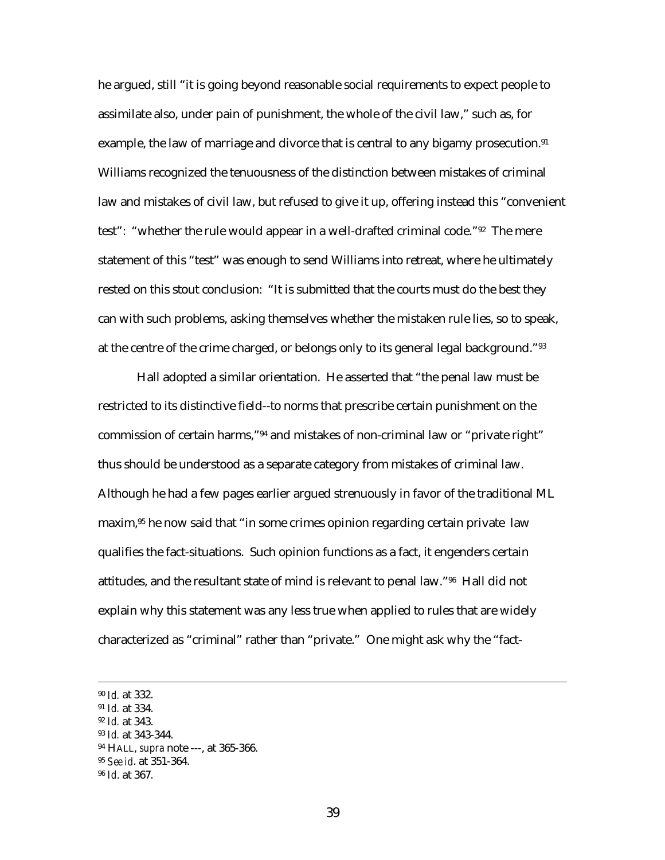he argued, still "it is going beyond reasonable social requirements to expect people to assimilate also, under pain of punishment, the whole of the civil law," such as, for example, the law of marriage and divorce that is central to any bigamy prosecution.<sup>91</sup> Williams recognized the tenuousness of the distinction between mistakes of criminal law and mistakes of civil law, but refused to give it up, offering instead this "convenient test": "whether the rule would appear in a well-drafted criminal code."92 The mere statement of this "test" was enough to send Williams into retreat, where he ultimately rested on this stout conclusion: "It is submitted that the courts must do the best they can with such problems, asking themselves whether the mistaken rule lies, so to speak, at the centre of the crime charged, or belongs only to its general legal background."93

Hall adopted a similar orientation. He asserted that "the penal law must be restricted to its distinctive field--to norms that prescribe certain punishment on the commission of certain harms,"94 and mistakes of non-criminal law or "private right" thus should be understood as a separate category from mistakes of criminal law. Although he had a few pages earlier argued strenuously in favor of the traditional ML maxim, $95$  he now said that "in some crimes opinion regarding certain private law qualifies the fact-situations. Such opinion functions as a fact, it engenders certain attitudes, and the resultant state of mind is relevant to penal law."96 Hall did not explain why this statement was any less true when applied to rules that are widely characterized as "criminal" rather than "private." One might ask why the "fact-

 <sup>90</sup> *Id.* at 332.

<sup>91</sup> *Id.* at 334.

<sup>92</sup> *Id.* at 343.

<sup>93</sup> *Id.* at 343-344.

<sup>94</sup> HALL, *supra* note ---, at 365-366.

<sup>95</sup> *See id*. at 351-364.

<sup>96</sup> *Id*. at 367.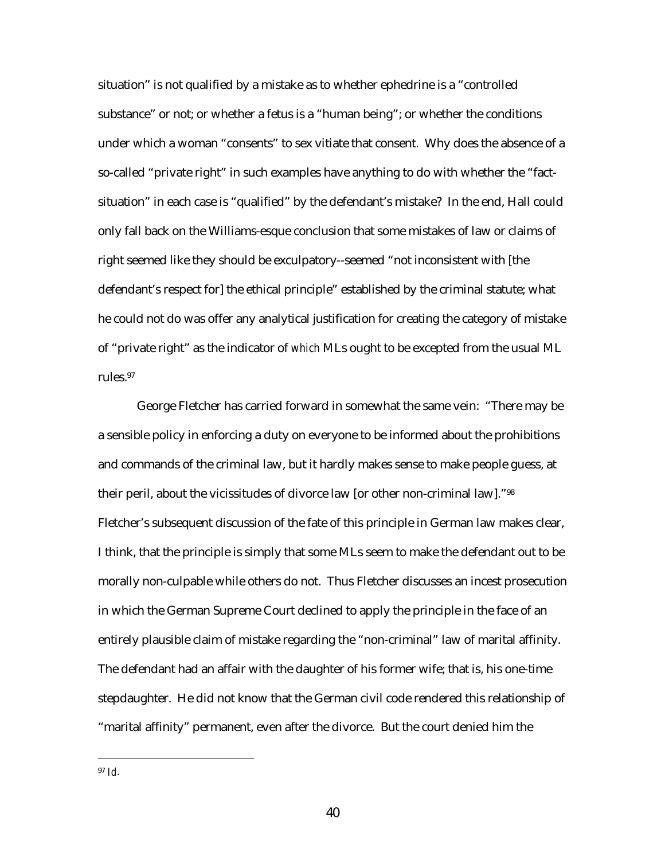situation" is not qualified by a mistake as to whether ephedrine is a "controlled substance" or not; or whether a fetus is a "human being"; or whether the conditions under which a woman "consents" to sex vitiate that consent. Why does the absence of a so-called "private right" in such examples have anything to do with whether the "factsituation" in each case is "qualified" by the defendant's mistake? In the end, Hall could only fall back on the Williams-esque conclusion that some mistakes of law or claims of right seemed like they should be exculpatory--seemed "not inconsistent with [the defendant's respect for] the ethical principle" established by the criminal statute; what he could not do was offer any analytical justification for creating the category of mistake of "private right" as the indicator of *which* MLs ought to be excepted from the usual ML rules.97

George Fletcher has carried forward in somewhat the same vein: "There may be a sensible policy in enforcing a duty on everyone to be informed about the prohibitions and commands of the criminal law, but it hardly makes sense to make people guess, at their peril, about the vicissitudes of divorce law [or other non-criminal law]."98 Fletcher's subsequent discussion of the fate of this principle in German law makes clear, I think, that the principle is simply that some MLs seem to make the defendant out to be morally non-culpable while others do not. Thus Fletcher discusses an incest prosecution in which the German Supreme Court declined to apply the principle in the face of an entirely plausible claim of mistake regarding the "non-criminal" law of marital affinity. The defendant had an affair with the daughter of his former wife; that is, his one-time stepdaughter. He did not know that the German civil code rendered this relationship of "marital affinity" permanent, even after the divorce. But the court denied him the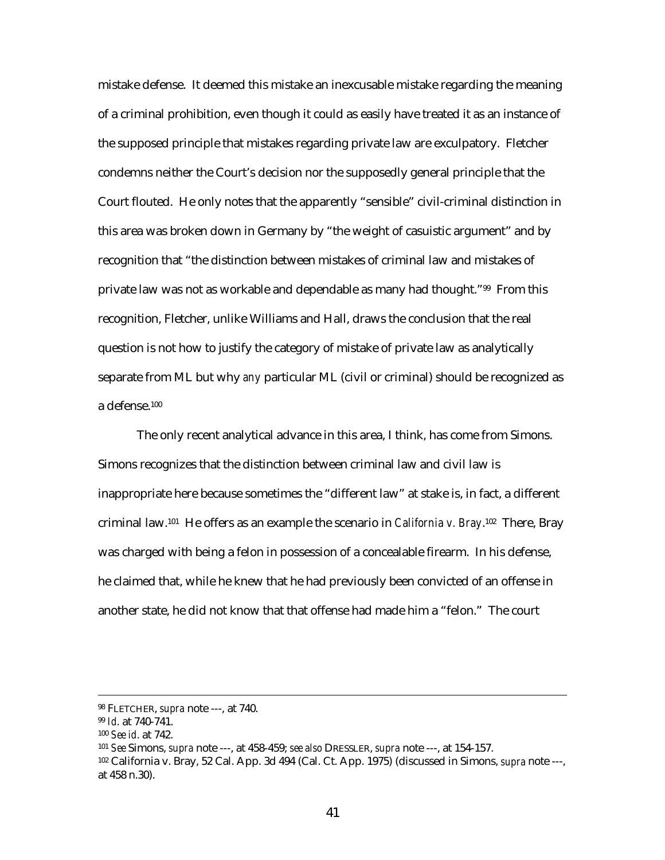mistake defense. It deemed this mistake an inexcusable mistake regarding the meaning of a criminal prohibition, even though it could as easily have treated it as an instance of the supposed principle that mistakes regarding private law are exculpatory. Fletcher condemns neither the Court's decision nor the supposedly general principle that the Court flouted. He only notes that the apparently "sensible" civil-criminal distinction in this area was broken down in Germany by "the weight of casuistic argument" and by recognition that "the distinction between mistakes of criminal law and mistakes of private law was not as workable and dependable as many had thought."99 From this recognition, Fletcher, unlike Williams and Hall, draws the conclusion that the real question is not how to justify the category of mistake of private law as analytically separate from ML but why *any* particular ML (civil or criminal) should be recognized as a defense.100

The only recent analytical advance in this area, I think, has come from Simons. Simons recognizes that the distinction between criminal law and civil law is inappropriate here because sometimes the "different law" at stake is, in fact, a different criminal law.101 He offers as an example the scenario in *California v. Bray*.102 There, Bray was charged with being a felon in possession of a concealable firearm. In his defense, he claimed that, while he knew that he had previously been convicted of an offense in another state, he did not know that that offense had made him a "felon." The court

 <sup>98</sup> FLETCHER, *supra* note ---, at 740.

<sup>99</sup> *Id*. at 740-741.

<sup>100</sup> *See id*. at 742.

<sup>101</sup> *See* Simons, *supra* note ---, at 458-459; *see also* DRESSLER, *supra* note ---, at 154-157.

<sup>102</sup> California v. Bray, 52 Cal. App. 3d 494 (Cal. Ct. App. 1975) (discussed in Simons, *supra* note ---, at 458 n.30).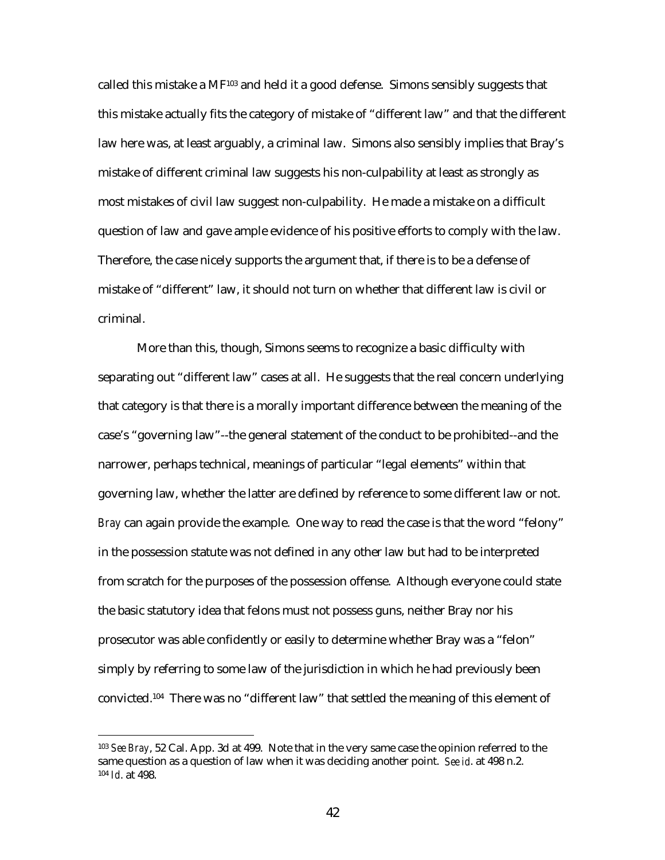called this mistake a  $MF^{103}$  and held it a good defense. Simons sensibly suggests that this mistake actually fits the category of mistake of "different law" and that the different law here was, at least arguably, a criminal law. Simons also sensibly implies that Bray's mistake of different criminal law suggests his non-culpability at least as strongly as most mistakes of civil law suggest non-culpability. He made a mistake on a difficult question of law and gave ample evidence of his positive efforts to comply with the law. Therefore, the case nicely supports the argument that, if there is to be a defense of mistake of "different" law, it should not turn on whether that different law is civil or criminal.

More than this, though, Simons seems to recognize a basic difficulty with separating out "different law" cases at all. He suggests that the real concern underlying that category is that there is a morally important difference between the meaning of the case's "governing law"--the general statement of the conduct to be prohibited--and the narrower, perhaps technical, meanings of particular "legal elements" within that governing law, whether the latter are defined by reference to some different law or not. *Bray* can again provide the example. One way to read the case is that the word "felony" in the possession statute was not defined in any other law but had to be interpreted from scratch for the purposes of the possession offense. Although everyone could state the basic statutory idea that felons must not possess guns, neither Bray nor his prosecutor was able confidently or easily to determine whether Bray was a "felon" simply by referring to some law of the jurisdiction in which he had previously been convicted.104 There was no "different law" that settled the meaning of this element of

<sup>103</sup> *See Bray*, 52 Cal. App. 3d at 499. Note that in the very same case the opinion referred to the same question as a question of law when it was deciding another point. *See id*. at 498 n.2. <sup>104</sup> *Id*. at 498.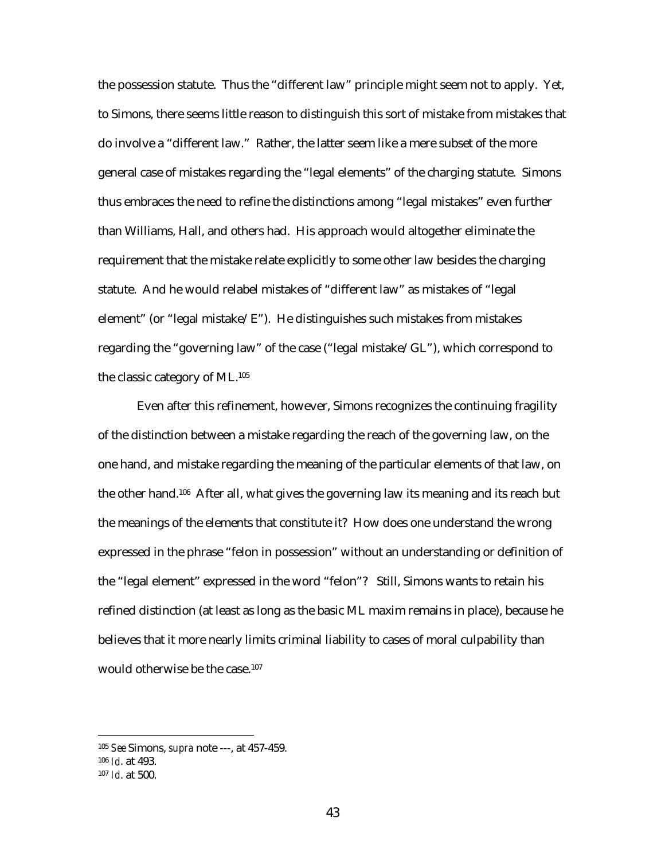the possession statute. Thus the "different law" principle might seem not to apply. Yet, to Simons, there seems little reason to distinguish this sort of mistake from mistakes that do involve a "different law." Rather, the latter seem like a mere subset of the more general case of mistakes regarding the "legal elements" of the charging statute. Simons thus embraces the need to refine the distinctions among "legal mistakes" even further than Williams, Hall, and others had. His approach would altogether eliminate the requirement that the mistake relate explicitly to some other law besides the charging statute. And he would relabel mistakes of "different law" as mistakes of "legal element" (or "legal mistake/E"). He distinguishes such mistakes from mistakes regarding the "governing law" of the case ("legal mistake/GL"), which correspond to the classic category of ML.105

Even after this refinement, however, Simons recognizes the continuing fragility of the distinction between a mistake regarding the reach of the governing law, on the one hand, and mistake regarding the meaning of the particular elements of that law, on the other hand.106 After all, what gives the governing law its meaning and its reach but the meanings of the elements that constitute it? How does one understand the wrong expressed in the phrase "felon in possession" without an understanding or definition of the "legal element" expressed in the word "felon"? Still, Simons wants to retain his refined distinction (at least as long as the basic ML maxim remains in place), because he believes that it more nearly limits criminal liability to cases of moral culpability than would otherwise be the case.107

<sup>106</sup> *Id*. at 493.

<sup>105</sup> *See* Simons, *supra* note ---, at 457-459.

<sup>107</sup> *Id*. at 500.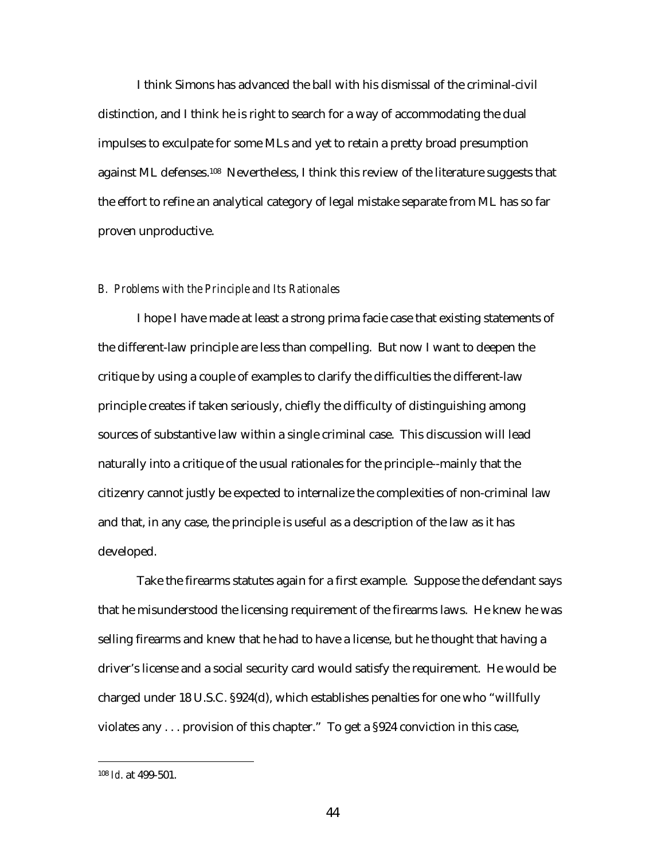I think Simons has advanced the ball with his dismissal of the criminal-civil distinction, and I think he is right to search for a way of accommodating the dual impulses to exculpate for some MLs and yet to retain a pretty broad presumption against ML defenses.<sup>108</sup> Nevertheless, I think this review of the literature suggests that the effort to refine an analytical category of legal mistake separate from ML has so far proven unproductive.

### *B. Problems with the Principle and Its Rationales*

I hope I have made at least a strong prima facie case that existing statements of the different-law principle are less than compelling. But now I want to deepen the critique by using a couple of examples to clarify the difficulties the different-law principle creates if taken seriously, chiefly the difficulty of distinguishing among sources of substantive law within a single criminal case. This discussion will lead naturally into a critique of the usual rationales for the principle--mainly that the citizenry cannot justly be expected to internalize the complexities of non-criminal law and that, in any case, the principle is useful as a description of the law as it has developed.

Take the firearms statutes again for a first example. Suppose the defendant says that he misunderstood the licensing requirement of the firearms laws. He knew he was selling firearms and knew that he had to have a license, but he thought that having a driver's license and a social security card would satisfy the requirement. He would be charged under 18 U.S.C. §924(d), which establishes penalties for one who "willfully violates any . . . provision of this chapter." To get a §924 conviction in this case,

<sup>108</sup> *Id*. at 499-501.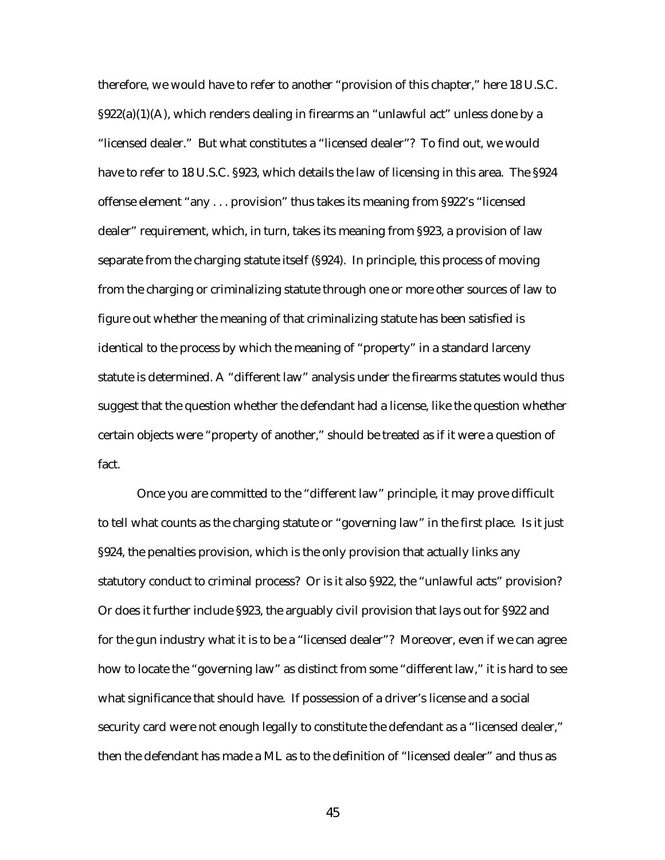therefore, we would have to refer to another "provision of this chapter," here 18 U.S.C.  $\S922(a)(1)(A)$ , which renders dealing in firearms an "unlawful act" unless done by a "licensed dealer." But what constitutes a "licensed dealer"? To find out, we would have to refer to 18 U.S.C. §923, which details the law of licensing in this area. The §924 offense element "any . . . provision" thus takes its meaning from §922's "licensed dealer" requirement, which, in turn, takes its meaning from §923, a provision of law separate from the charging statute itself (§924). In principle, this process of moving from the charging or criminalizing statute through one or more other sources of law to figure out whether the meaning of that criminalizing statute has been satisfied is identical to the process by which the meaning of "property" in a standard larceny statute is determined. A "different law" analysis under the firearms statutes would thus suggest that the question whether the defendant had a license, like the question whether certain objects were "property of another," should be treated as if it were a question of fact.

Once you are committed to the "different law" principle, it may prove difficult to tell what counts as the charging statute or "governing law" in the first place. Is it just §924, the penalties provision, which is the only provision that actually links any statutory conduct to criminal process? Or is it also §922, the "unlawful acts" provision? Or does it further include §923, the arguably civil provision that lays out for §922 and for the gun industry what it is to be a "licensed dealer"? Moreover, even if we can agree how to locate the "governing law" as distinct from some "different law," it is hard to see what significance that should have. If possession of a driver's license and a social security card were not enough legally to constitute the defendant as a "licensed dealer," then the defendant has made a ML as to the definition of "licensed dealer" and thus as

45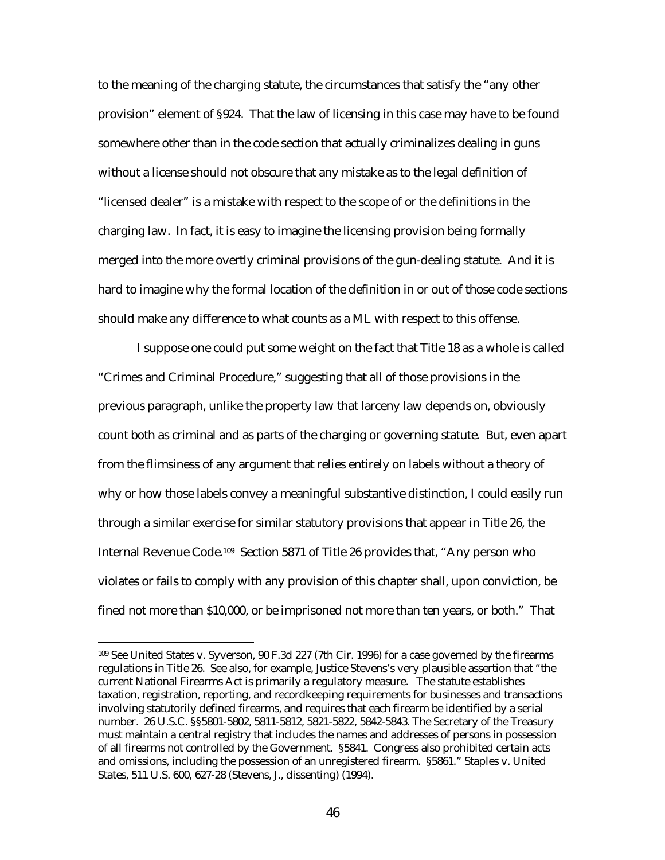to the meaning of the charging statute, the circumstances that satisfy the "any other provision" element of §924. That the law of licensing in this case may have to be found somewhere other than in the code section that actually criminalizes dealing in guns without a license should not obscure that any mistake as to the legal definition of "licensed dealer" is a mistake with respect to the scope of or the definitions in the charging law. In fact, it is easy to imagine the licensing provision being formally merged into the more overtly criminal provisions of the gun-dealing statute. And it is hard to imagine why the formal location of the definition in or out of those code sections should make any difference to what counts as a ML with respect to this offense.

I suppose one could put some weight on the fact that Title 18 as a whole is called "Crimes and Criminal Procedure," suggesting that all of those provisions in the previous paragraph, unlike the property law that larceny law depends on, obviously count both as criminal and as parts of the charging or governing statute. But, even apart from the flimsiness of any argument that relies entirely on labels without a theory of why or how those labels convey a meaningful substantive distinction, I could easily run through a similar exercise for similar statutory provisions that appear in Title 26, the Internal Revenue Code.109 Section 5871 of Title 26 provides that, "Any person who violates or fails to comply with any provision of this chapter shall, upon conviction, be fined not more than \$10,000, or be imprisoned not more than ten years, or both." That

<sup>109</sup> See United States v. Syverson, 90 F.3d 227 (7th Cir. 1996) for a case governed by the firearms regulations in Title 26. See also, for example, Justice Stevens's very plausible assertion that "the current National Firearms Act is primarily a regulatory measure. The statute establishes taxation, registration, reporting, and recordkeeping requirements for businesses and transactions involving statutorily defined firearms, and requires that each firearm be identified by a serial number. 26 U.S.C. §§5801-5802, 5811-5812, 5821-5822, 5842-5843. The Secretary of the Treasury must maintain a central registry that includes the names and addresses of persons in possession of all firearms not controlled by the Government. §5841. Congress also prohibited certain acts and omissions, including the possession of an unregistered firearm. §5861." Staples v. United States, 511 U.S. 600, 627-28 (Stevens, J., dissenting) (1994).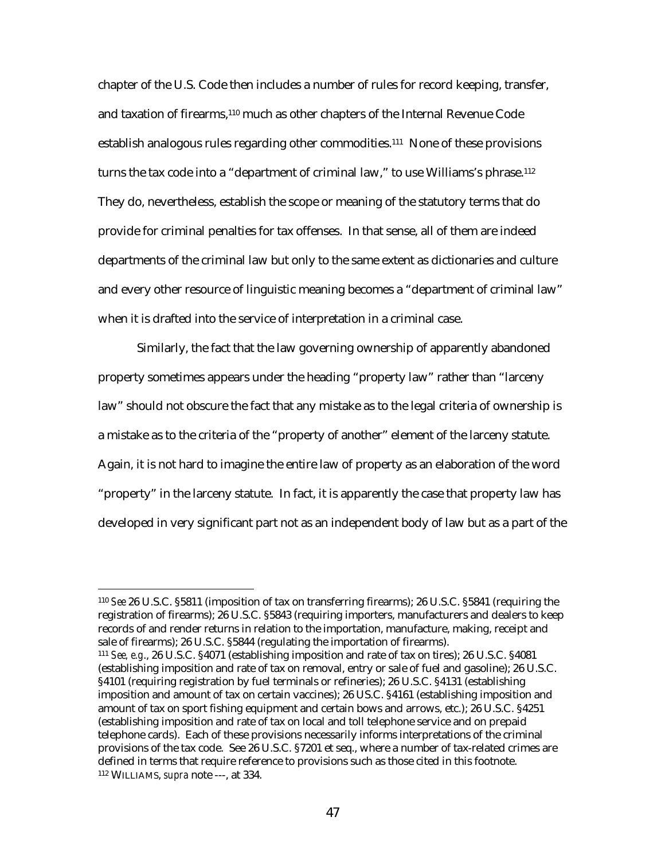chapter of the U.S. Code then includes a number of rules for record keeping, transfer, and taxation of firearms,110 much as other chapters of the Internal Revenue Code establish analogous rules regarding other commodities.111 None of these provisions turns the tax code into a "department of criminal law," to use Williams's phrase.<sup>112</sup> They do, nevertheless, establish the scope or meaning of the statutory terms that do provide for criminal penalties for tax offenses. In that sense, all of them are indeed departments of the criminal law but only to the same extent as dictionaries and culture and every other resource of linguistic meaning becomes a "department of criminal law" when it is drafted into the service of interpretation in a criminal case.

Similarly, the fact that the law governing ownership of apparently abandoned property sometimes appears under the heading "property law" rather than "larceny law" should not obscure the fact that any mistake as to the legal criteria of ownership is a mistake as to the criteria of the "property of another" element of the larceny statute. Again, it is not hard to imagine the entire law of property as an elaboration of the word "property" in the larceny statute. In fact, it is apparently the case that property law has developed in very significant part not as an independent body of law but as a part of the

<sup>110</sup> *See* 26 U.S.C. §5811 (imposition of tax on transferring firearms); 26 U.S.C. §5841 (requiring the registration of firearms); 26 U.S.C. §5843 (requiring importers, manufacturers and dealers to keep records of and render returns in relation to the importation, manufacture, making, receipt and sale of firearms); 26 U.S.C. §5844 (regulating the importation of firearms).

<sup>111</sup> *See, e.g*., 26 U.S.C. §4071 (establishing imposition and rate of tax on tires); 26 U.S.C. §4081 (establishing imposition and rate of tax on removal, entry or sale of fuel and gasoline); 26 U.S.C. §4101 (requiring registration by fuel terminals or refineries); 26 U.S.C. §4131 (establishing imposition and amount of tax on certain vaccines); 26 US.C. §4161 (establishing imposition and amount of tax on sport fishing equipment and certain bows and arrows, etc.); 26 U.S.C. §4251 (establishing imposition and rate of tax on local and toll telephone service and on prepaid telephone cards). Each of these provisions necessarily informs interpretations of the criminal provisions of the tax code. See 26 U.S.C. §7201 et seq., where a number of tax-related crimes are defined in terms that require reference to provisions such as those cited in this footnote. 112 WILLIAMS, *supra* note ---, at 334.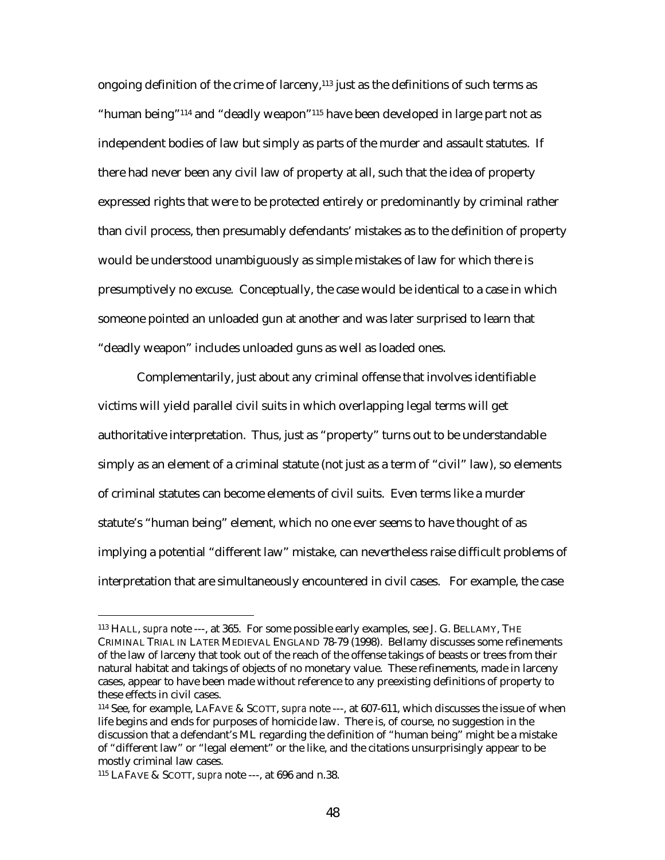ongoing definition of the crime of larceny, $113$  just as the definitions of such terms as "human being"114 and "deadly weapon"115 have been developed in large part not as independent bodies of law but simply as parts of the murder and assault statutes. If there had never been any civil law of property at all, such that the idea of property expressed rights that were to be protected entirely or predominantly by criminal rather than civil process, then presumably defendants' mistakes as to the definition of property would be understood unambiguously as simple mistakes of law for which there is presumptively no excuse. Conceptually, the case would be identical to a case in which someone pointed an unloaded gun at another and was later surprised to learn that "deadly weapon" includes unloaded guns as well as loaded ones.

Complementarily, just about any criminal offense that involves identifiable victims will yield parallel civil suits in which overlapping legal terms will get authoritative interpretation. Thus, just as "property" turns out to be understandable simply as an element of a criminal statute (not just as a term of "civil" law), so elements of criminal statutes can become elements of civil suits. Even terms like a murder statute's "human being" element, which no one ever seems to have thought of as implying a potential "different law" mistake, can nevertheless raise difficult problems of interpretation that are simultaneously encountered in civil cases. For example, the case

<sup>113</sup> HALL, *supra* note ---, at 365. For some possible early examples, see J. G. BELLAMY, THE CRIMINAL TRIAL IN LATER MEDIEVAL ENGLAND 78-79 (1998). Bellamy discusses some refinements of the law of larceny that took out of the reach of the offense takings of beasts or trees from their natural habitat and takings of objects of no monetary value. These refinements, made in larceny cases, appear to have been made without reference to any preexisting definitions of property to these effects in civil cases.

<sup>114</sup> See, for example, LAFAVE & SCOTT, *supra* note ---, at 607-611, which discusses the issue of when life begins and ends for purposes of homicide law. There is, of course, no suggestion in the discussion that a defendant's ML regarding the definition of "human being" might be a mistake of "different law" or "legal element" or the like, and the citations unsurprisingly appear to be mostly criminal law cases.

<sup>115</sup> LAFAVE & SCOTT, *supra* note ---, at 696 and n.38.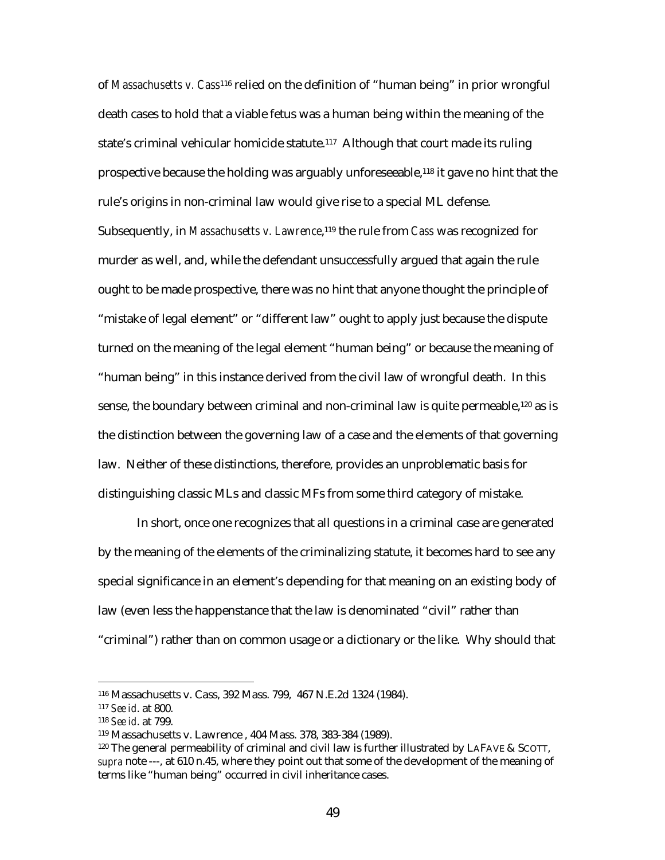of *Massachusetts v. Cass*116 relied on the definition of "human being" in prior wrongful death cases to hold that a viable fetus was a human being within the meaning of the state's criminal vehicular homicide statute.117 Although that court made its ruling prospective because the holding was arguably unforeseeable,118 it gave no hint that the rule's origins in non-criminal law would give rise to a special ML defense. Subsequently, in *Massachusetts v. Lawrence*,119 the rule from *Cass* was recognized for murder as well, and, while the defendant unsuccessfully argued that again the rule ought to be made prospective, there was no hint that anyone thought the principle of "mistake of legal element" or "different law" ought to apply just because the dispute turned on the meaning of the legal element "human being" or because the meaning of "human being" in this instance derived from the civil law of wrongful death. In this sense, the boundary between criminal and non-criminal law is quite permeable,120 as is the distinction between the governing law of a case and the elements of that governing law. Neither of these distinctions, therefore, provides an unproblematic basis for distinguishing classic MLs and classic MFs from some third category of mistake.

In short, once one recognizes that all questions in a criminal case are generated by the meaning of the elements of the criminalizing statute, it becomes hard to see any special significance in an element's depending for that meaning on an existing body of law (even less the happenstance that the law is denominated "civil" rather than "criminal") rather than on common usage or a dictionary or the like. Why should that

<sup>116</sup> Massachusetts v. Cass, 392 Mass. 799, 467 N.E.2d 1324 (1984).

<sup>117</sup> *See id*. at 800.

<sup>118</sup> *See id*. at 799.

<sup>119</sup> Massachusetts v. Lawrence , 404 Mass. 378, 383-384 (1989).

 $120$  The general permeability of criminal and civil law is further illustrated by LAFAVE & SCOTT, *supra* note ---, at 610 n.45, where they point out that some of the development of the meaning of terms like "human being" occurred in civil inheritance cases.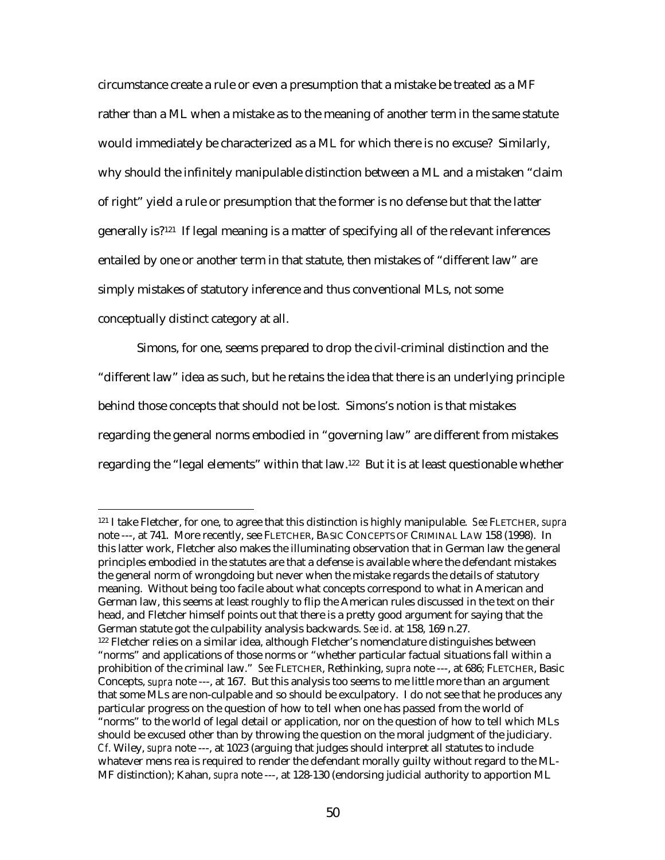circumstance create a rule or even a presumption that a mistake be treated as a MF rather than a ML when a mistake as to the meaning of another term in the same statute would immediately be characterized as a ML for which there is no excuse? Similarly, why should the infinitely manipulable distinction between a ML and a mistaken "claim of right" yield a rule or presumption that the former is no defense but that the latter generally is?121 If legal meaning is a matter of specifying all of the relevant inferences entailed by one or another term in that statute, then mistakes of "different law" are simply mistakes of statutory inference and thus conventional MLs, not some conceptually distinct category at all.

Simons, for one, seems prepared to drop the civil-criminal distinction and the "different law" idea as such, but he retains the idea that there is an underlying principle behind those concepts that should not be lost. Simons's notion is that mistakes regarding the general norms embodied in "governing law" are different from mistakes regarding the "legal elements" within that law.122 But it is at least questionable whether

<sup>121</sup> I take Fletcher, for one, to agree that this distinction is highly manipulable. *See* FLETCHER, *supra* note ---, at 741. More recently, see FLETCHER, BASIC CONCEPTS OF CRIMINAL LAW 158 (1998). In this latter work, Fletcher also makes the illuminating observation that in German law the general principles embodied in the statutes are that a defense is available where the defendant mistakes the general norm of wrongdoing but never when the mistake regards the details of statutory meaning. Without being too facile about what concepts correspond to what in American and German law, this seems at least roughly to flip the American rules discussed in the text on their head, and Fletcher himself points out that there is a pretty good argument for saying that the German statute got the culpability analysis backwards. *See id*. at 158, 169 n.27. 122 Fletcher relies on a similar idea, although Fletcher's nomenclature distinguishes between "norms" and applications of those norms or "whether particular factual situations fall within a prohibition of the criminal law." *See* FLETCHER, Rethinking, *supra* note ---, at 686; FLETCHER, Basic Concepts, *supra* note ---, at 167. But this analysis too seems to me little more than an argument that some MLs are non-culpable and so should be exculpatory. I do not see that he produces any particular progress on the question of how to tell when one has passed from the world of "norms" to the world of legal detail or application, nor on the question of how to tell which MLs should be excused other than by throwing the question on the moral judgment of the judiciary. *Cf*. Wiley, *supra* note ---, at 1023 (arguing that judges should interpret all statutes to include whatever mens rea is required to render the defendant morally guilty without regard to the ML-MF distinction); Kahan, *supra* note ---, at 128-130 (endorsing judicial authority to apportion ML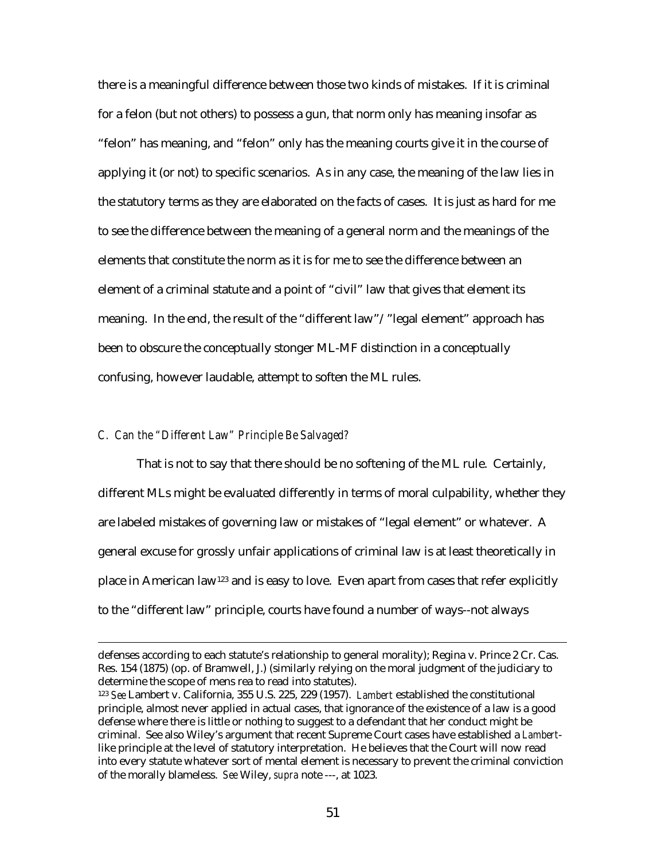there is a meaningful difference between those two kinds of mistakes. If it is criminal for a felon (but not others) to possess a gun, that norm only has meaning insofar as "felon" has meaning, and "felon" only has the meaning courts give it in the course of applying it (or not) to specific scenarios. As in any case, the meaning of the law lies in the statutory terms as they are elaborated on the facts of cases. It is just as hard for me to see the difference between the meaning of a general norm and the meanings of the elements that constitute the norm as it is for me to see the difference between an element of a criminal statute and a point of "civil" law that gives that element its meaning. In the end, the result of the "different law"/"legal element" approach has been to obscure the conceptually stonger ML-MF distinction in a conceptually confusing, however laudable, attempt to soften the ML rules.

# *C. Can the "Different Law" Principle Be Salvaged?*

 $\overline{a}$ 

That is not to say that there should be no softening of the ML rule. Certainly, different MLs might be evaluated differently in terms of moral culpability, whether they are labeled mistakes of governing law or mistakes of "legal element" or whatever. A general excuse for grossly unfair applications of criminal law is at least theoretically in place in American law123 and is easy to love. Even apart from cases that refer explicitly to the "different law" principle, courts have found a number of ways--not always

defenses according to each statute's relationship to general morality); Regina v. Prince 2 Cr. Cas. Res. 154 (1875) (op. of Bramwell, J.) (similarly relying on the moral judgment of the judiciary to determine the scope of mens rea to read into statutes).

<sup>123</sup> *See* Lambert v. California, 355 U.S. 225, 229 (1957). *Lambert* established the constitutional principle, almost never applied in actual cases, that ignorance of the existence of a law is a good defense where there is little or nothing to suggest to a defendant that her conduct might be criminal. See also Wiley's argument that recent Supreme Court cases have established a *Lambert*like principle at the level of statutory interpretation. He believes that the Court will now read into every statute whatever sort of mental element is necessary to prevent the criminal conviction of the morally blameless. *See* Wiley, *supra* note ---, at 1023.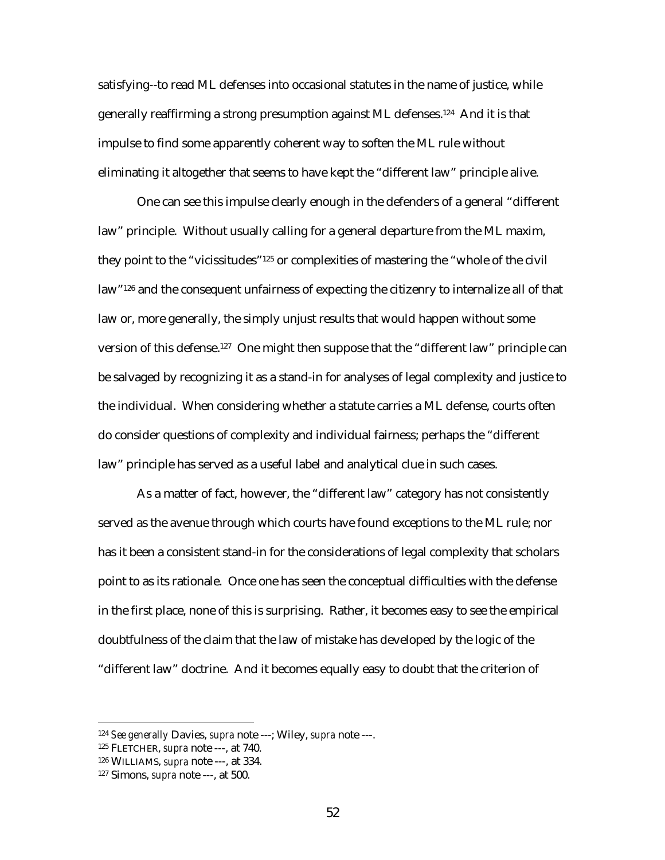satisfying--to read ML defenses into occasional statutes in the name of justice, while generally reaffirming a strong presumption against ML defenses.124 And it is that impulse to find some apparently coherent way to soften the ML rule without eliminating it altogether that seems to have kept the "different law" principle alive.

One can see this impulse clearly enough in the defenders of a general "different law" principle. Without usually calling for a general departure from the ML maxim, they point to the "vicissitudes"125 or complexities of mastering the "whole of the civil law"126 and the consequent unfairness of expecting the citizenry to internalize all of that law or, more generally, the simply unjust results that would happen without some version of this defense.127 One might then suppose that the "different law" principle can be salvaged by recognizing it as a stand-in for analyses of legal complexity and justice to the individual. When considering whether a statute carries a ML defense, courts often do consider questions of complexity and individual fairness; perhaps the "different law" principle has served as a useful label and analytical clue in such cases.

As a matter of fact, however, the "different law" category has not consistently served as the avenue through which courts have found exceptions to the ML rule; nor has it been a consistent stand-in for the considerations of legal complexity that scholars point to as its rationale. Once one has seen the conceptual difficulties with the defense in the first place, none of this is surprising. Rather, it becomes easy to see the empirical doubtfulness of the claim that the law of mistake has developed by the logic of the "different law" doctrine. And it becomes equally easy to doubt that the criterion of

<sup>124</sup> *See generally* Davies, *supra* note ---; Wiley, *supra* note ---.

<sup>125</sup> FLETCHER, *supra* note ---, at 740.

<sup>126</sup> WILLIAMS, *supra* note ---, at 334.

<sup>127</sup> Simons, *supra* note ---, at 500.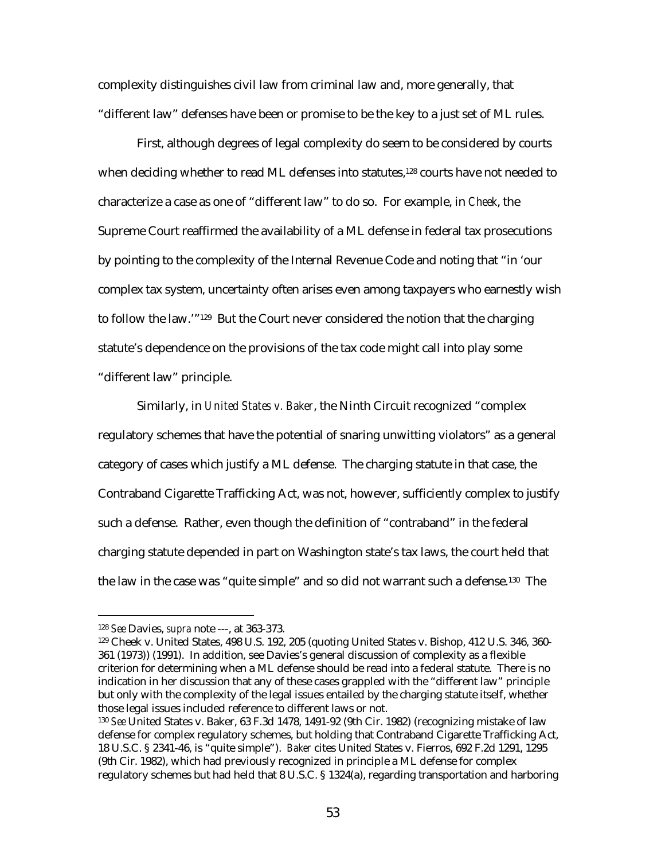complexity distinguishes civil law from criminal law and, more generally, that "different law" defenses have been or promise to be the key to a just set of ML rules.

First, although degrees of legal complexity do seem to be considered by courts when deciding whether to read ML defenses into statutes,<sup>128</sup> courts have not needed to characterize a case as one of "different law" to do so. For example, in *Cheek*, the Supreme Court reaffirmed the availability of a ML defense in federal tax prosecutions by pointing to the complexity of the Internal Revenue Code and noting that "in 'our complex tax system, uncertainty often arises even among taxpayers who earnestly wish to follow the law.'"129 But the Court never considered the notion that the charging statute's dependence on the provisions of the tax code might call into play some "different law" principle.

Similarly, in *United States v. Baker*, the Ninth Circuit recognized "complex regulatory schemes that have the potential of snaring unwitting violators" as a general category of cases which justify a ML defense. The charging statute in that case, the Contraband Cigarette Trafficking Act, was not, however, sufficiently complex to justify such a defense. Rather, even though the definition of "contraband" in the federal charging statute depended in part on Washington state's tax laws, the court held that the law in the case was "quite simple" and so did not warrant such a defense.130 The

<sup>128</sup> *See* Davies, *supra* note ---, at 363-373.

<sup>129</sup> Cheek v. United States, 498 U.S. 192, 205 (quoting United States v. Bishop, 412 U.S. 346, 360- 361 (1973)) (1991). In addition, see Davies's general discussion of complexity as a flexible criterion for determining when a ML defense should be read into a federal statute. There is no indication in her discussion that any of these cases grappled with the "different law" principle but only with the complexity of the legal issues entailed by the charging statute itself, whether those legal issues included reference to different laws or not.

<sup>130</sup> *See* United States v. Baker, 63 F.3d 1478, 1491-92 (9th Cir. 1982) (recognizing mistake of law defense for complex regulatory schemes, but holding that Contraband Cigarette Trafficking Act, 18 U.S.C. § 2341-46, is "quite simple"). *Baker* cites United States v. Fierros, 692 F.2d 1291, 1295 (9th Cir. 1982), which had previously recognized in principle a ML defense for complex regulatory schemes but had held that 8 U.S.C. § 1324(a), regarding transportation and harboring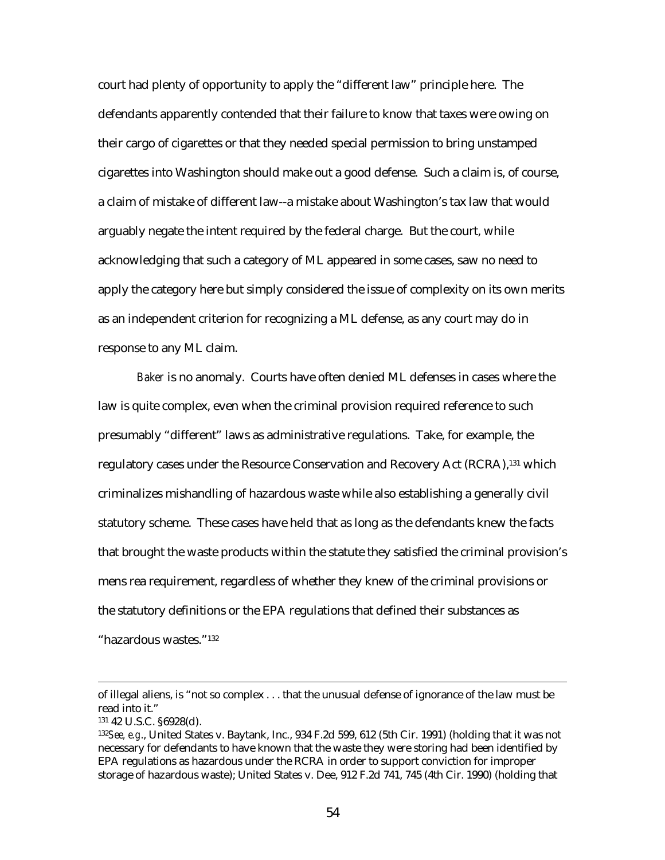court had plenty of opportunity to apply the "different law" principle here. The defendants apparently contended that their failure to know that taxes were owing on their cargo of cigarettes or that they needed special permission to bring unstamped cigarettes into Washington should make out a good defense. Such a claim is, of course, a claim of mistake of different law--a mistake about Washington's tax law that would arguably negate the intent required by the federal charge. But the court, while acknowledging that such a category of ML appeared in some cases, saw no need to apply the category here but simply considered the issue of complexity on its own merits as an independent criterion for recognizing a ML defense, as any court may do in response to any ML claim.

*Baker* is no anomaly. Courts have often denied ML defenses in cases where the law is quite complex, even when the criminal provision required reference to such presumably "different" laws as administrative regulations. Take, for example, the regulatory cases under the Resource Conservation and Recovery Act (RCRA),131 which criminalizes mishandling of hazardous waste while also establishing a generally civil statutory scheme. These cases have held that as long as the defendants knew the facts that brought the waste products within the statute they satisfied the criminal provision's mens rea requirement, regardless of whether they knew of the criminal provisions or the statutory definitions or the EPA regulations that defined their substances as

"hazardous wastes."132

of illegal aliens, is "not so complex . . . that the unusual defense of ignorance of the law must be read into it."

<sup>131 42</sup> U.S.C. §6928(d).

<sup>132</sup>*See, e.g*., United States v. Baytank, Inc., 934 F.2d 599, 612 (5th Cir. 1991) (holding that it was not necessary for defendants to have known that the waste they were storing had been identified by EPA regulations as hazardous under the RCRA in order to support conviction for improper storage of hazardous waste); United States v. Dee, 912 F.2d 741, 745 (4th Cir. 1990) (holding that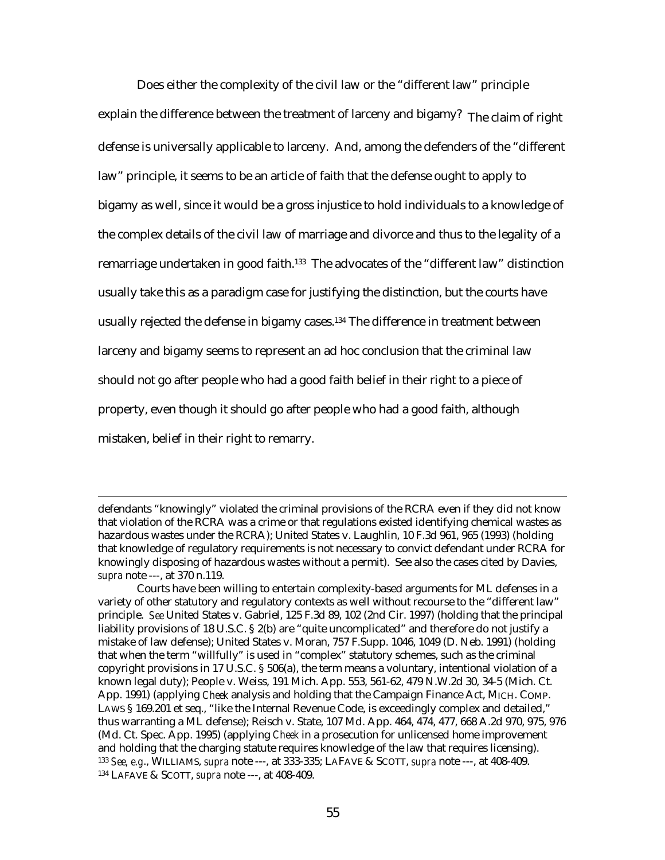Does either the complexity of the civil law or the "different law" principle explain the difference between the treatment of larceny and bigamy? The claim of right defense is universally applicable to larceny. And, among the defenders of the "different law" principle, it seems to be an article of faith that the defense ought to apply to bigamy as well, since it would be a gross injustice to hold individuals to a knowledge of the complex details of the civil law of marriage and divorce and thus to the legality of a remarriage undertaken in good faith.<sup>133</sup> The advocates of the "different law" distinction usually take this as a paradigm case for justifying the distinction, but the courts have usually rejected the defense in bigamy cases.<sup>134</sup> The difference in treatment between larceny and bigamy seems to represent an ad hoc conclusion that the criminal law should not go after people who had a good faith belief in their right to a piece of property, even though it should go after people who had a good faith, although mistaken, belief in their right to remarry.

defendants "knowingly" violated the criminal provisions of the RCRA even if they did not know that violation of the RCRA was a crime or that regulations existed identifying chemical wastes as hazardous wastes under the RCRA); United States v. Laughlin, 10 F.3d 961, 965 (1993) (holding that knowledge of regulatory requirements is not necessary to convict defendant under RCRA for knowingly disposing of hazardous wastes without a permit). See also the cases cited by Davies, *supra* note ---, at 370 n.119.

Courts have been willing to entertain complexity-based arguments for ML defenses in a variety of other statutory and regulatory contexts as well without recourse to the "different law" principle. *See* United States v. Gabriel, 125 F.3d 89, 102 (2nd Cir. 1997) (holding that the principal liability provisions of 18 U.S.C. § 2(b) are "quite uncomplicated" and therefore do not justify a mistake of law defense); United States v. Moran, 757 F.Supp. 1046, 1049 (D. Neb. 1991) (holding that when the term "willfully" is used in "complex" statutory schemes, such as the criminal copyright provisions in 17 U.S.C. § 506(a), the term means a voluntary, intentional violation of a known legal duty); People v. Weiss, 191 Mich. App. 553, 561-62, 479 N.W.2d 30, 34-5 (Mich. Ct. App. 1991) (applying *Cheek* analysis and holding that the Campaign Finance Act, MICH. COMP. LAWS § 169.201 et seq., "like the Internal Revenue Code, is exceedingly complex and detailed," thus warranting a ML defense); Reisch v. State, 107 Md. App. 464, 474, 477, 668 A.2d 970, 975, 976 (Md. Ct. Spec. App. 1995) (applying *Cheek* in a prosecution for unlicensed home improvement and holding that the charging statute requires knowledge of the law that requires licensing). <sup>133</sup> *See, e.g*., WILLIAMS, *supra* note ---, at 333-335; LAFAVE & SCOTT, *supra* note ---, at 408-409. 134 LAFAVE & SCOTT, *supra* note ---, at 408-409.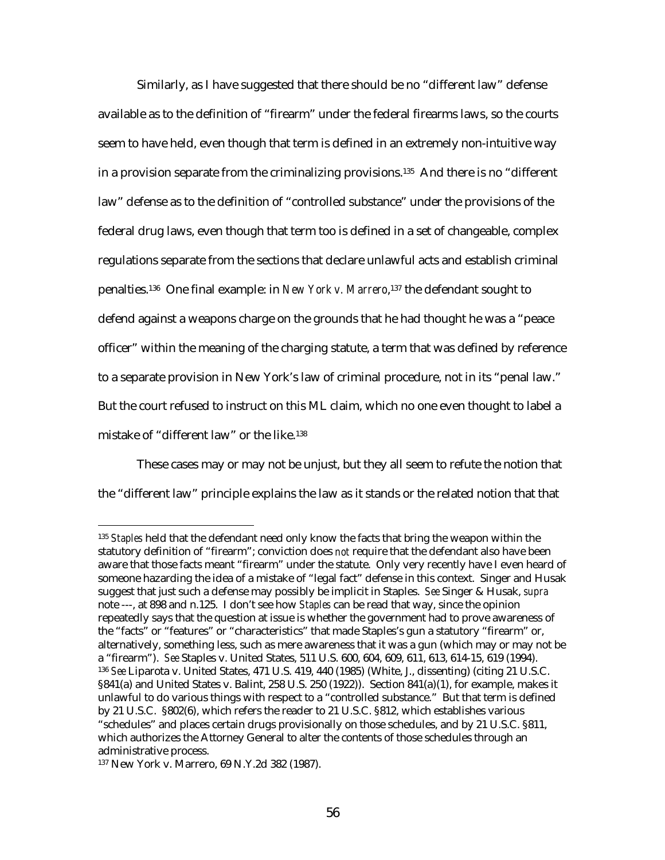Similarly, as I have suggested that there should be no "different law" defense available as to the definition of "firearm" under the federal firearms laws, so the courts seem to have held, even though that term is defined in an extremely non-intuitive way in a provision separate from the criminalizing provisions.<sup>135</sup> And there is no "different law" defense as to the definition of "controlled substance" under the provisions of the federal drug laws, even though that term too is defined in a set of changeable, complex regulations separate from the sections that declare unlawful acts and establish criminal penalties.136 One final example: in *New York v. Marrero*,137 the defendant sought to defend against a weapons charge on the grounds that he had thought he was a "peace officer" within the meaning of the charging statute, a term that was defined by reference to a separate provision in New York's law of criminal procedure, not in its "penal law." But the court refused to instruct on this ML claim, which no one even thought to label a mistake of "different law" or the like.138

These cases may or may not be unjust, but they all seem to refute the notion that the "different law" principle explains the law as it stands or the related notion that that

<sup>135</sup> *Staples* held that the defendant need only know the facts that bring the weapon within the statutory definition of "firearm"; conviction does *not* require that the defendant also have been aware that those facts meant "firearm" under the statute. Only very recently have I even heard of someone hazarding the idea of a mistake of "legal fact" defense in this context. Singer and Husak suggest that just such a defense may possibly be implicit in Staples. *See* Singer & Husak, *supra* note ---, at 898 and n.125. I don't see how *Staples* can be read that way, since the opinion repeatedly says that the question at issue is whether the government had to prove awareness of the "facts" or "features" or "characteristics" that made Staples's gun a statutory "firearm" or, alternatively, something less, such as mere awareness that it was a gun (which may or may not be a "firearm"). *See* Staples v. United States, 511 U.S. 600, 604, 609, 611, 613, 614-15, 619 (1994). <sup>136</sup> *See* Liparota v. United States, 471 U.S. 419, 440 (1985) (White, J., dissenting) (citing 21 U.S.C. §841(a) and United States v. Balint, 258 U.S. 250 (1922)). Section 841(a)(1), for example, makes it unlawful to do various things with respect to a "controlled substance." But that term is defined by 21 U.S.C. §802(6), which refers the reader to 21 U.S.C. §812, which establishes various "schedules" and places certain drugs provisionally on those schedules, and by 21 U.S.C. §811, which authorizes the Attorney General to alter the contents of those schedules through an administrative process.

<sup>137</sup> New York v. Marrero, 69 N.Y.2d 382 (1987).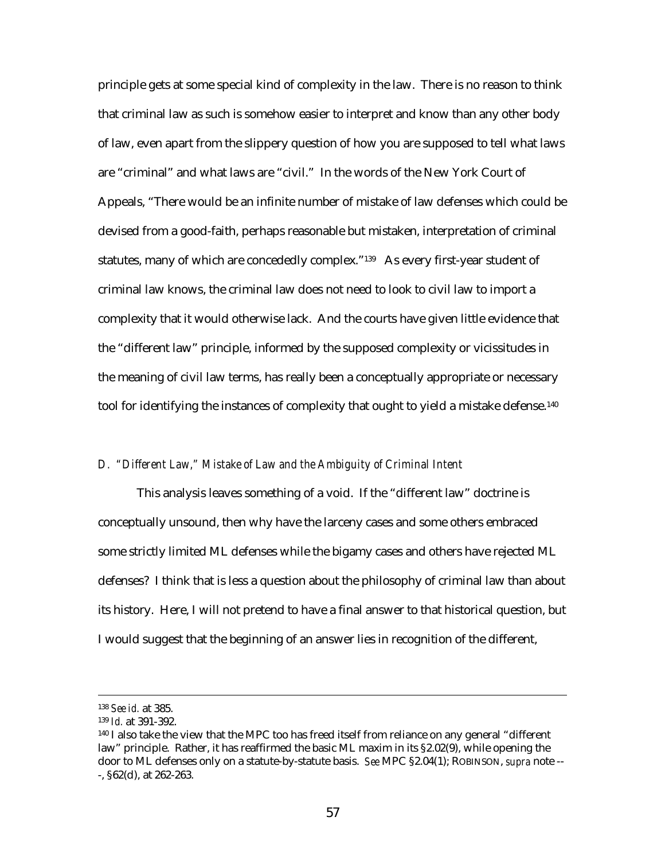principle gets at some special kind of complexity in the law. There is no reason to think that criminal law as such is somehow easier to interpret and know than any other body of law, even apart from the slippery question of how you are supposed to tell what laws are "criminal" and what laws are "civil." In the words of the New York Court of Appeals, "There would be an infinite number of mistake of law defenses which could be devised from a good-faith, perhaps reasonable but mistaken, interpretation of criminal statutes, many of which are concededly complex."<sup>139</sup> As every first-year student of criminal law knows, the criminal law does not need to look to civil law to import a complexity that it would otherwise lack. And the courts have given little evidence that the "different law" principle, informed by the supposed complexity or vicissitudes in the meaning of civil law terms, has really been a conceptually appropriate or necessary tool for identifying the instances of complexity that ought to yield a mistake defense.<sup>140</sup>

### *D. "Different Law," Mistake of Law and the Ambiguity of Criminal Intent*

This analysis leaves something of a void. If the "different law" doctrine is conceptually unsound, then why have the larceny cases and some others embraced some strictly limited ML defenses while the bigamy cases and others have rejected ML defenses? I think that is less a question about the philosophy of criminal law than about its history. Here, I will not pretend to have a final answer to that historical question, but I would suggest that the beginning of an answer lies in recognition of the different,

 <sup>138</sup> *See id.* at 385.

<sup>139</sup> *Id.* at 391-392.

<sup>140</sup> I also take the view that the MPC too has freed itself from reliance on any general "different law" principle. Rather, it has reaffirmed the basic ML maxim in its §2.02(9), while opening the door to ML defenses only on a statute-by-statute basis. *See* MPC §2.04(1); ROBINSON, *supra* note -- -, §62(d), at 262-263.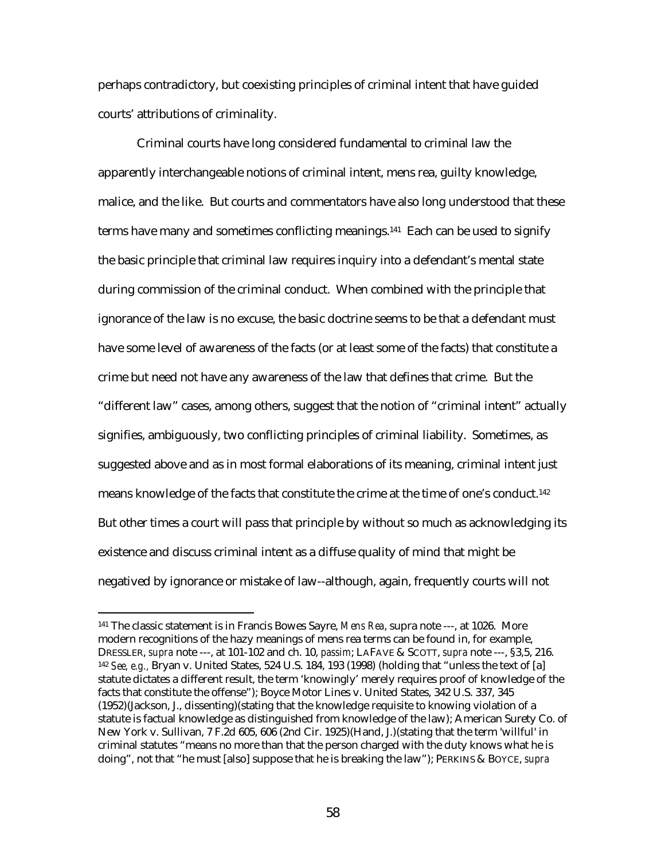perhaps contradictory, but coexisting principles of criminal intent that have guided courts' attributions of criminality.

Criminal courts have long considered fundamental to criminal law the apparently interchangeable notions of criminal intent, mens rea, guilty knowledge, malice, and the like. But courts and commentators have also long understood that these terms have many and sometimes conflicting meanings.141 Each can be used to signify the basic principle that criminal law requires inquiry into a defendant's mental state during commission of the criminal conduct. When combined with the principle that ignorance of the law is no excuse, the basic doctrine seems to be that a defendant must have some level of awareness of the facts (or at least some of the facts) that constitute a crime but need not have any awareness of the law that defines that crime. But the "different law" cases, among others, suggest that the notion of "criminal intent" actually signifies, ambiguously, two conflicting principles of criminal liability. Sometimes, as suggested above and as in most formal elaborations of its meaning, criminal intent just means knowledge of the facts that constitute the crime at the time of one's conduct.142 But other times a court will pass that principle by without so much as acknowledging its existence and discuss criminal intent as a diffuse quality of mind that might be negatived by ignorance or mistake of law--although, again, frequently courts will not

<sup>141</sup> The classic statement is in Francis Bowes Sayre, *Mens Rea*, supra note ---, at 1026. More modern recognitions of the hazy meanings of mens rea terms can be found in, for example, DRESSLER, *supra* note ---, at 101-102 and ch. 10, *passim*; LAFAVE & SCOTT, *supra* note ---, §3,5, 216. <sup>142</sup> *See, e.g.,* Bryan v. United States, 524 U.S. 184, 193 (1998) (holding that "unless the text of [a] statute dictates a different result, the term 'knowingly' merely requires proof of knowledge of the facts that constitute the offense"); Boyce Motor Lines v. United States, 342 U.S. 337, 345 (1952)(Jackson, J., dissenting)(stating that the knowledge requisite to knowing violation of a statute is factual knowledge as distinguished from knowledge of the law); American Surety Co. of New York v. Sullivan, 7 F.2d 605, 606 (2nd Cir. 1925)(Hand, J.)(stating that the term 'willful' in criminal statutes "means no more than that the person charged with the duty knows what he is doing", not that "he must [also] suppose that he is breaking the law"); PERKINS & BOYCE, *supra*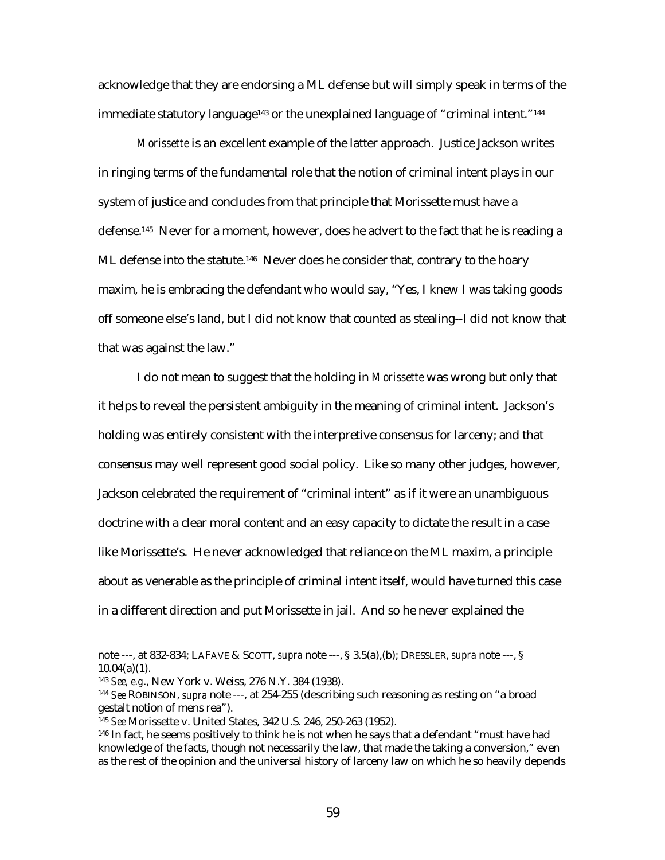acknowledge that they are endorsing a ML defense but will simply speak in terms of the immediate statutory language<sup>143</sup> or the unexplained language of "criminal intent."<sup>144</sup>

 *Morissette* is an excellent example of the latter approach. Justice Jackson writes in ringing terms of the fundamental role that the notion of criminal intent plays in our system of justice and concludes from that principle that Morissette must have a defense.145 Never for a moment, however, does he advert to the fact that he is reading a ML defense into the statute.<sup>146</sup> Never does he consider that, contrary to the hoary maxim, he is embracing the defendant who would say, "Yes, I knew I was taking goods off someone else's land, but I did not know that counted as stealing--I did not know that that was against the law."

I do not mean to suggest that the holding in *Morissette* was wrong but only that it helps to reveal the persistent ambiguity in the meaning of criminal intent. Jackson's holding was entirely consistent with the interpretive consensus for larceny; and that consensus may well represent good social policy. Like so many other judges, however, Jackson celebrated the requirement of "criminal intent" as if it were an unambiguous doctrine with a clear moral content and an easy capacity to dictate the result in a case like Morissette's. He never acknowledged that reliance on the ML maxim, a principle about as venerable as the principle of criminal intent itself, would have turned this case in a different direction and put Morissette in jail. And so he never explained the

note ---, at 832-834; LAFAVE & SCOTT, *supra* note ---, § 3.5(a),(b); DRESSLER, *supra* note ---, §  $10.04(a)(1)$ .

<sup>143</sup> *See, e.g*., New York v. Weiss, 276 N.Y. 384 (1938).

<sup>144</sup> *See* ROBINSON, *supra* note ---, at 254-255 (describing such reasoning as resting on "a broad gestalt notion of mens rea").

<sup>145</sup> *See* Morissette v. United States, 342 U.S. 246, 250-263 (1952).

<sup>146</sup> In fact, he seems positively to think he is not when he says that a defendant "must have had knowledge of the facts, though not necessarily the law, that made the taking a conversion," even as the rest of the opinion and the universal history of larceny law on which he so heavily depends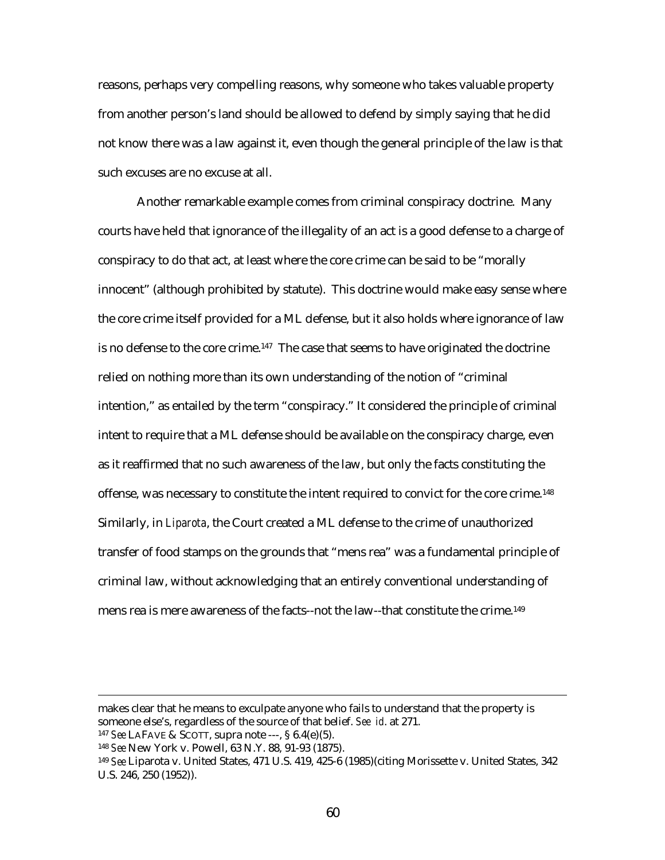reasons, perhaps very compelling reasons, why someone who takes valuable property from another person's land should be allowed to defend by simply saying that he did not know there was a law against it, even though the general principle of the law is that such excuses are no excuse at all.

Another remarkable example comes from criminal conspiracy doctrine. Many courts have held that ignorance of the illegality of an act is a good defense to a charge of conspiracy to do that act, at least where the core crime can be said to be "morally innocent" (although prohibited by statute). This doctrine would make easy sense where the core crime itself provided for a ML defense, but it also holds where ignorance of law is no defense to the core crime.<sup>147</sup> The case that seems to have originated the doctrine relied on nothing more than its own understanding of the notion of "criminal intention," as entailed by the term "conspiracy." It considered the principle of criminal intent to require that a ML defense should be available on the conspiracy charge, even as it reaffirmed that no such awareness of the law, but only the facts constituting the offense, was necessary to constitute the intent required to convict for the core crime.148 Similarly, in *Liparota*, the Court created a ML defense to the crime of unauthorized transfer of food stamps on the grounds that "mens rea" was a fundamental principle of criminal law, without acknowledging that an entirely conventional understanding of mens rea is mere awareness of the facts--not the law--that constitute the crime.149

makes clear that he means to exculpate anyone who fails to understand that the property is someone else's, regardless of the source of that belief. *See id*. at 271.

<sup>147</sup> *See* LAFAVE & SCOTT, supra note ---, § 6.4(e)(5).

<sup>148</sup> *See* New York v. Powell, 63 N.Y. 88, 91-93 (1875).

<sup>149</sup> *See* Liparota v. United States, 471 U.S. 419, 425-6 (1985)(citing Morissette v. United States, 342 U.S. 246, 250 (1952)).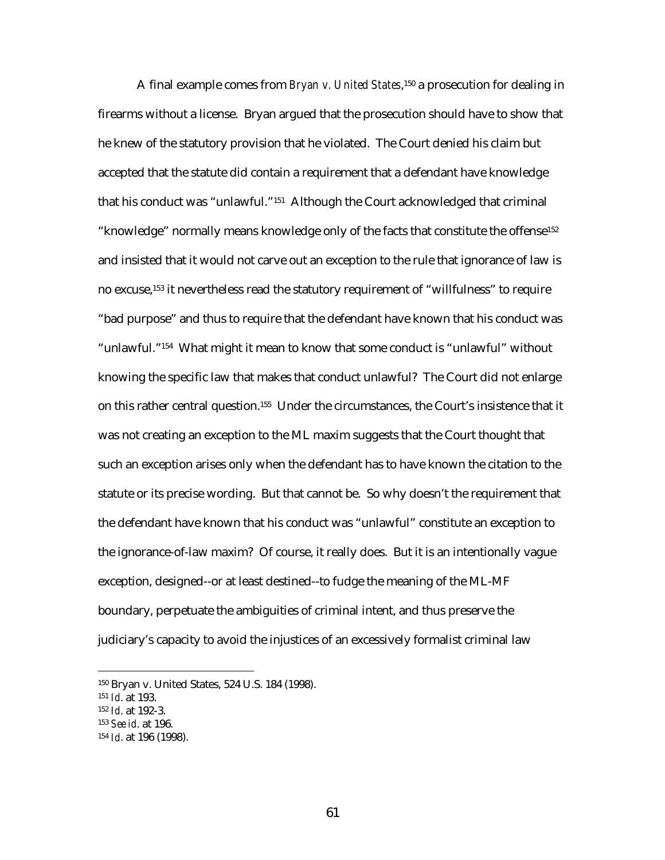A final example comes from *Bryan v. United States*,150 a prosecution for dealing in firearms without a license. Bryan argued that the prosecution should have to show that he knew of the statutory provision that he violated. The Court denied his claim but accepted that the statute did contain a requirement that a defendant have knowledge that his conduct was "unlawful."151 Although the Court acknowledged that criminal "knowledge" normally means knowledge only of the facts that constitute the offense152 and insisted that it would not carve out an exception to the rule that ignorance of law is no excuse,153 it nevertheless read the statutory requirement of "willfulness" to require "bad purpose" and thus to require that the defendant have known that his conduct was "unlawful."154 What might it mean to know that some conduct is "unlawful" without knowing the specific law that makes that conduct unlawful? The Court did not enlarge on this rather central question.155 Under the circumstances, the Court's insistence that it was not creating an exception to the ML maxim suggests that the Court thought that such an exception arises only when the defendant has to have known the citation to the statute or its precise wording. But that cannot be. So why doesn't the requirement that the defendant have known that his conduct was "unlawful" constitute an exception to the ignorance-of-law maxim? Of course, it really does. But it is an intentionally vague exception, designed--or at least destined--to fudge the meaning of the ML-MF boundary, perpetuate the ambiguities of criminal intent, and thus preserve the judiciary's capacity to avoid the injustices of an excessively formalist criminal law

<sup>150</sup> Bryan v. United States, 524 U.S. 184 (1998).

<sup>151</sup> *Id*. at 193.

<sup>152</sup> *Id*. at 192-3.

<sup>153</sup> *See id*. at 196.

<sup>154</sup> *Id*. at 196 (1998).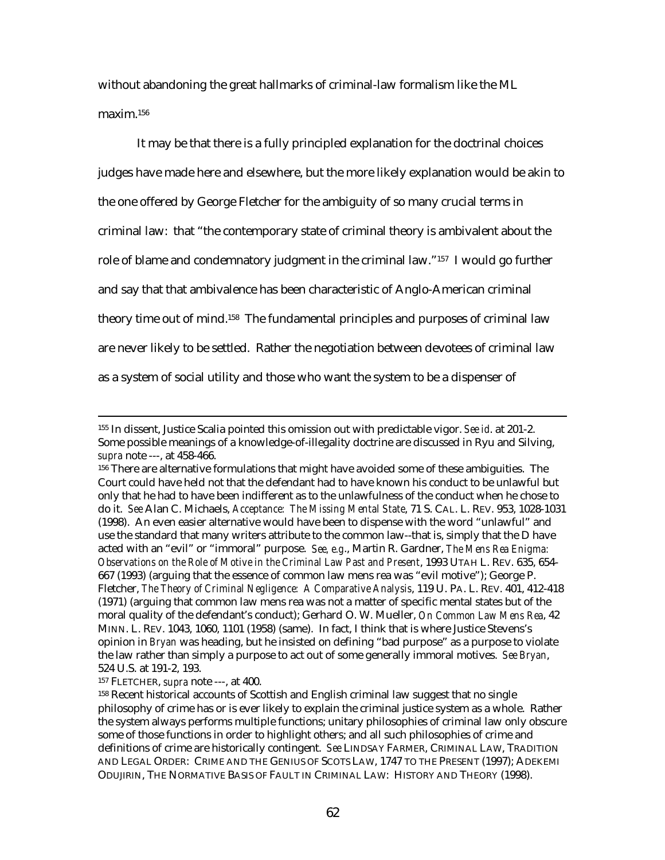without abandoning the great hallmarks of criminal-law formalism like the ML maxim.156

It may be that there is a fully principled explanation for the doctrinal choices judges have made here and elsewhere, but the more likely explanation would be akin to the one offered by George Fletcher for the ambiguity of so many crucial terms in criminal law: that "the contemporary state of criminal theory is ambivalent about the role of blame and condemnatory judgment in the criminal law."157 I would go further and say that that ambivalence has been characteristic of Anglo-American criminal theory time out of mind.158 The fundamental principles and purposes of criminal law are never likely to be settled. Rather the negotiation between devotees of criminal law as a system of social utility and those who want the system to be a dispenser of

157 FLETCHER, *supra* note ---, at 400.

 <sup>155</sup> In dissent, Justice Scalia pointed this omission out with predictable vigor. *See id*. at 201-2. Some possible meanings of a knowledge-of-illegality doctrine are discussed in Ryu and Silving, *supra* note ---, at 458-466.

<sup>156</sup> There are alternative formulations that might have avoided some of these ambiguities. The Court could have held not that the defendant had to have known his conduct to be unlawful but only that he had to have been indifferent as to the unlawfulness of the conduct when he chose to do it. *See* Alan C. Michaels, *Acceptance: The Missing Mental State*, 71 S. CAL. L. REV. 953, 1028-1031 (1998). An even easier alternative would have been to dispense with the word "unlawful" and use the standard that many writers attribute to the common law--that is, simply that the D have acted with an "evil" or "immoral" purpose. *See, e.g*., Martin R. Gardner, *The Mens Rea Enigma: Observations on the Role of Motive in the Criminal Law Past and Present*, 1993 UTAH L. REV. 635, 654- 667 (1993) (arguing that the essence of common law mens rea was "evil motive"); George P. Fletcher, *The Theory of Criminal Negligence: A Comparative Analysis*, 119 U. PA. L. REV. 401, 412-418 (1971) (arguing that common law mens rea was not a matter of specific mental states but of the moral quality of the defendant's conduct); Gerhard O. W. Mueller, *On Common Law Mens Rea*, 42 MINN. L. REV. 1043, 1060, 1101 (1958) (same). In fact, I think that is where Justice Stevens's opinion in *Bryan* was heading, but he insisted on defining "bad purpose" as a purpose to violate the law rather than simply a purpose to act out of some generally immoral motives. *See Bryan*, 524 U.S. at 191-2, 193.

<sup>158</sup> Recent historical accounts of Scottish and English criminal law suggest that no single philosophy of crime has or is ever likely to explain the criminal justice system as a whole. Rather the system always performs multiple functions; unitary philosophies of criminal law only obscure some of those functions in order to highlight others; and all such philosophies of crime and definitions of crime are historically contingent. *See* LINDSAY FARMER, CRIMINAL LAW, TRADITION AND LEGAL ORDER: CRIME AND THE GENIUS OF SCOTS LAW, 1747 TO THE PRESENT (1997); ADEKEMI ODUJIRIN, THE NORMATIVE BASIS OF FAULT IN CRIMINAL LAW: HISTORY AND THEORY (1998).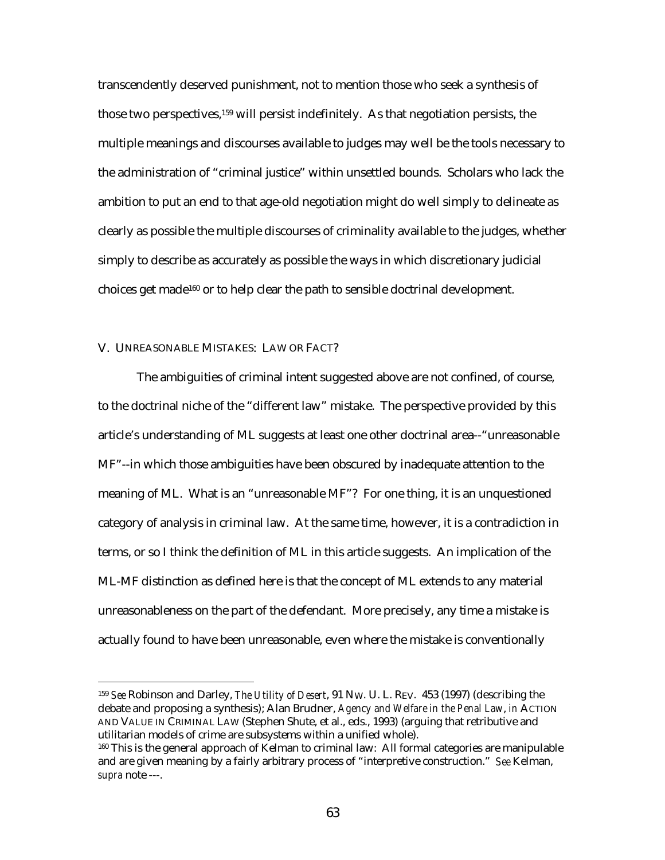transcendently deserved punishment, not to mention those who seek a synthesis of those two perspectives,159 will persist indefinitely. As that negotiation persists, the multiple meanings and discourses available to judges may well be the tools necessary to the administration of "criminal justice" within unsettled bounds. Scholars who lack the ambition to put an end to that age-old negotiation might do well simply to delineate as clearly as possible the multiple discourses of criminality available to the judges, whether simply to describe as accurately as possible the ways in which discretionary judicial choices get made160 or to help clear the path to sensible doctrinal development.

### V. UNREASONABLE MISTAKES: LAW OR FACT?

 $\overline{a}$ 

The ambiguities of criminal intent suggested above are not confined, of course, to the doctrinal niche of the "different law" mistake. The perspective provided by this article's understanding of ML suggests at least one other doctrinal area--"unreasonable MF"--in which those ambiguities have been obscured by inadequate attention to the meaning of ML. What is an "unreasonable MF"? For one thing, it is an unquestioned category of analysis in criminal law. At the same time, however, it is a contradiction in terms, or so I think the definition of ML in this article suggests. An implication of the ML-MF distinction as defined here is that the concept of ML extends to any material unreasonableness on the part of the defendant. More precisely, any time a mistake is actually found to have been unreasonable, even where the mistake is conventionally

<sup>159</sup> *See* Robinson and Darley, *The Utility of Desert*, 91 NW. U. L. REV. 453 (1997) (describing the debate and proposing a synthesis); Alan Brudner, *Agency and Welfare in the Penal Law*, *in* ACTION AND VALUE IN CRIMINAL LAW (Stephen Shute, et al., eds., 1993) (arguing that retributive and utilitarian models of crime are subsystems within a unified whole).

<sup>160</sup> This is the general approach of Kelman to criminal law: All formal categories are manipulable and are given meaning by a fairly arbitrary process of "interpretive construction." *See* Kelman, *supra* note ---.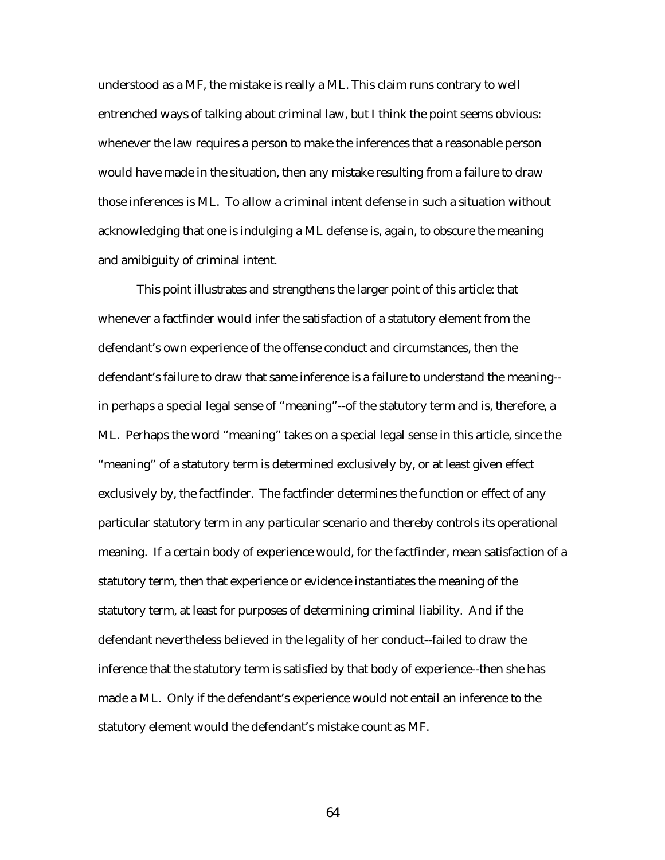understood as a MF, the mistake is really a ML. This claim runs contrary to well entrenched ways of talking about criminal law, but I think the point seems obvious: whenever the law requires a person to make the inferences that a reasonable person would have made in the situation, then any mistake resulting from a failure to draw those inferences is ML. To allow a criminal intent defense in such a situation without acknowledging that one is indulging a ML defense is, again, to obscure the meaning and amibiguity of criminal intent.

This point illustrates and strengthens the larger point of this article: that whenever a factfinder would infer the satisfaction of a statutory element from the defendant's own experience of the offense conduct and circumstances, then the defendant's failure to draw that same inference is a failure to understand the meaning- in perhaps a special legal sense of "meaning"--of the statutory term and is, therefore, a ML. Perhaps the word "meaning" takes on a special legal sense in this article, since the "meaning" of a statutory term is determined exclusively by, or at least given effect exclusively by, the factfinder. The factfinder determines the function or effect of any particular statutory term in any particular scenario and thereby controls its operational meaning. If a certain body of experience would, for the factfinder, mean satisfaction of a statutory term, then that experience or evidence instantiates the meaning of the statutory term, at least for purposes of determining criminal liability. And if the defendant nevertheless believed in the legality of her conduct--failed to draw the inference that the statutory term is satisfied by that body of experience--then she has made a ML. Only if the defendant's experience would not entail an inference to the statutory element would the defendant's mistake count as MF.

64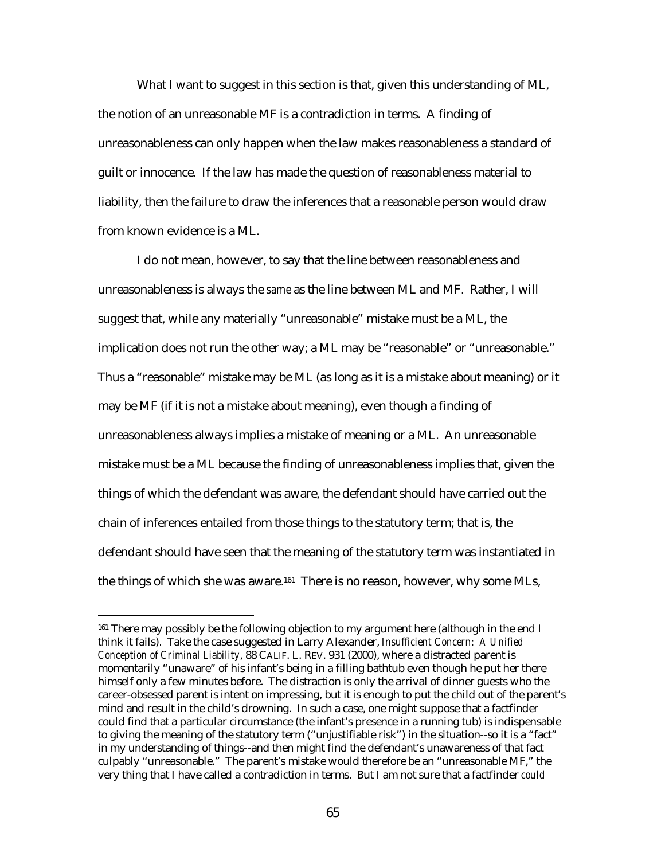What I want to suggest in this section is that, given this understanding of ML, the notion of an unreasonable MF is a contradiction in terms. A finding of unreasonableness can only happen when the law makes reasonableness a standard of guilt or innocence. If the law has made the question of reasonableness material to liability, then the failure to draw the inferences that a reasonable person would draw from known evidence is a ML.

I do not mean, however, to say that the line between reasonableness and unreasonableness is always the *same* as the line between ML and MF. Rather, I will suggest that, while any materially "unreasonable" mistake must be a ML, the implication does not run the other way; a ML may be "reasonable" or "unreasonable." Thus a "reasonable" mistake may be ML (as long as it is a mistake about meaning) or it may be MF (if it is not a mistake about meaning), even though a finding of unreasonableness always implies a mistake of meaning or a ML. An unreasonable mistake must be a ML because the finding of unreasonableness implies that, given the things of which the defendant was aware, the defendant should have carried out the chain of inferences entailed from those things to the statutory term; that is, the defendant should have seen that the meaning of the statutory term was instantiated in the things of which she was aware.<sup>161</sup> There is no reason, however, why some MLs,

<sup>&</sup>lt;sup>161</sup> There may possibly be the following objection to my argument here (although in the end I think it fails). Take the case suggested in Larry Alexander, *Insufficient Concern: A Unified Conception of Criminal Liability*, 88 CALIF. L. REV. 931 (2000), where a distracted parent is momentarily "unaware" of his infant's being in a filling bathtub even though he put her there himself only a few minutes before. The distraction is only the arrival of dinner guests who the career-obsessed parent is intent on impressing, but it is enough to put the child out of the parent's mind and result in the child's drowning. In such a case, one might suppose that a factfinder could find that a particular circumstance (the infant's presence in a running tub) is indispensable to giving the meaning of the statutory term ("unjustifiable risk") in the situation--so it is a "fact" in my understanding of things--and then might find the defendant's unawareness of that fact culpably "unreasonable." The parent's mistake would therefore be an "unreasonable MF," the very thing that I have called a contradiction in terms. But I am not sure that a factfinder *could*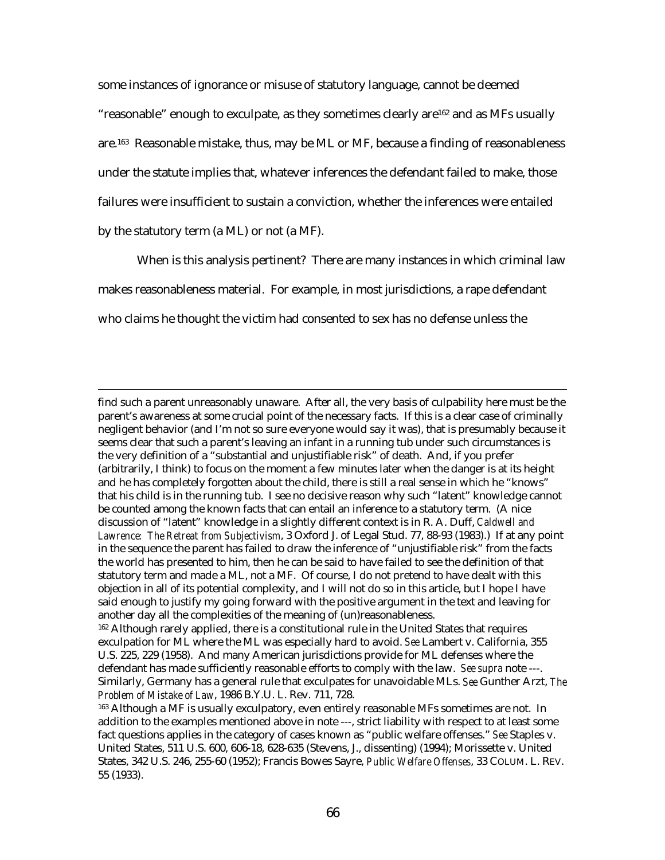some instances of ignorance or misuse of statutory language, cannot be deemed "reasonable" enough to exculpate, as they sometimes clearly are162 and as MFs usually are.163 Reasonable mistake, thus, may be ML or MF, because a finding of reasonableness under the statute implies that, whatever inferences the defendant failed to make, those failures were insufficient to sustain a conviction, whether the inferences were entailed by the statutory term (a ML) or not (a MF).

When is this analysis pertinent? There are many instances in which criminal law makes reasonableness material. For example, in most jurisdictions, a rape defendant who claims he thought the victim had consented to sex has no defense unless the

find such a parent unreasonably unaware. After all, the very basis of culpability here must be the parent's awareness at some crucial point of the necessary facts. If this is a clear case of criminally negligent behavior (and I'm not so sure everyone would say it was), that is presumably because it seems clear that such a parent's leaving an infant in a running tub under such circumstances is the very definition of a "substantial and unjustifiable risk" of death. And, if you prefer (arbitrarily, I think) to focus on the moment a few minutes later when the danger is at its height and he has completely forgotten about the child, there is still a real sense in which he "knows" that his child is in the running tub. I see no decisive reason why such "latent" knowledge cannot be counted among the known facts that can entail an inference to a statutory term. (A nice discussion of "latent" knowledge in a slightly different context is in R. A. Duff, *Caldwell and Lawrence: The Retreat from Subjectivism*, 3 Oxford J. of Legal Stud. 77, 88-93 (1983).) If at any point in the sequence the parent has failed to draw the inference of "unjustifiable risk" from the facts the world has presented to him, then he can be said to have failed to see the definition of that statutory term and made a ML, not a MF. Of course, I do not pretend to have dealt with this objection in all of its potential complexity, and I will not do so in this article, but I hope I have said enough to justify my going forward with the positive argument in the text and leaving for another day all the complexities of the meaning of (un)reasonableness.

<sup>162</sup> Although rarely applied, there is a constitutional rule in the United States that requires exculpation for ML where the ML was especially hard to avoid. *See* Lambert v. California, 355 U.S. 225, 229 (1958). And many American jurisdictions provide for ML defenses where the defendant has made sufficiently reasonable efforts to comply with the law. *See supra* note ---. Similarly, Germany has a general rule that exculpates for unavoidable MLs. *See* Gunther Arzt, *The Problem of Mistake of Law*, 1986 B.Y.U. L. Rev. 711, 728.

<sup>&</sup>lt;sup>163</sup> Although a MF is usually exculpatory, even entirely reasonable MFs sometimes are not. In addition to the examples mentioned above in note ---, strict liability with respect to at least some fact questions applies in the category of cases known as "public welfare offenses." *See* Staples v. United States, 511 U.S. 600, 606-18, 628-635 (Stevens, J., dissenting) (1994); Morissette v. United States, 342 U.S. 246, 255-60 (1952); Francis Bowes Sayre, *Public Welfare Offenses*, 33 COLUM. L. REV. 55 (1933).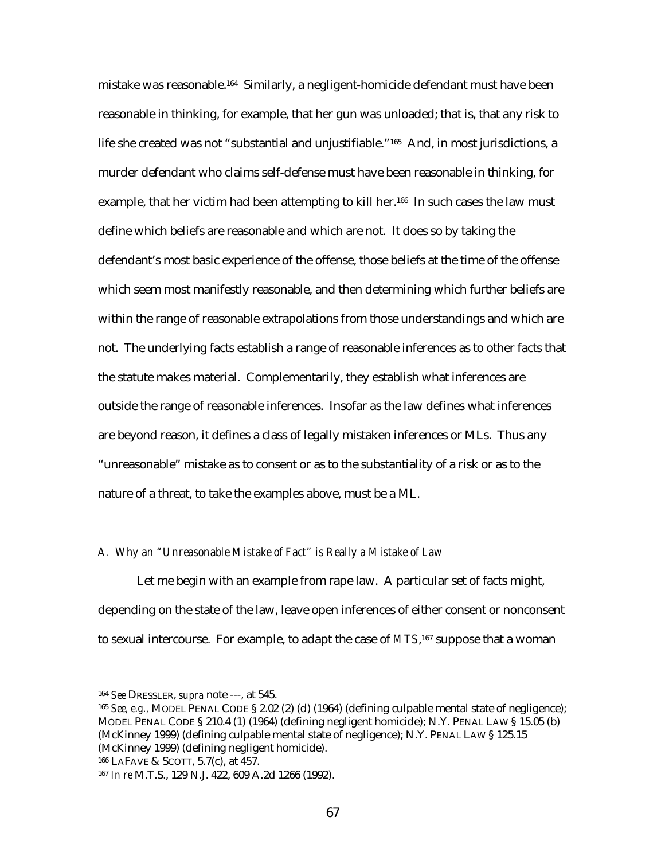mistake was reasonable.164 Similarly, a negligent-homicide defendant must have been reasonable in thinking, for example, that her gun was unloaded; that is, that any risk to life she created was not "substantial and unjustifiable."<sup>165</sup> And, in most jurisdictions, a murder defendant who claims self-defense must have been reasonable in thinking, for example, that her victim had been attempting to kill her.<sup>166</sup> In such cases the law must define which beliefs are reasonable and which are not. It does so by taking the defendant's most basic experience of the offense, those beliefs at the time of the offense which seem most manifestly reasonable, and then determining which further beliefs are within the range of reasonable extrapolations from those understandings and which are not. The underlying facts establish a range of reasonable inferences as to other facts that the statute makes material. Complementarily, they establish what inferences are outside the range of reasonable inferences. Insofar as the law defines what inferences are beyond reason, it defines a class of legally mistaken inferences or MLs. Thus any "unreasonable" mistake as to consent or as to the substantiality of a risk or as to the nature of a threat, to take the examples above, must be a ML.

## *A. Why an "Unreasonable Mistake of Fact" is Really a Mistake of Law*

Let me begin with an example from rape law. A particular set of facts might, depending on the state of the law, leave open inferences of either consent or nonconsent to sexual intercourse. For example, to adapt the case of *MTS*,167 suppose that a woman

<sup>164</sup> *See* DRESSLER, *supra* note ---, at 545.

<sup>165</sup> *See, e.g.,* MODEL PENAL CODE § 2.02 (2) (d) (1964) (defining culpable mental state of negligence); MODEL PENAL CODE § 210.4 (1) (1964) (defining negligent homicide); N.Y. PENAL LAW § 15.05 (b) (McKinney 1999) (defining culpable mental state of negligence); N.Y. PENAL LAW § 125.15 (McKinney 1999) (defining negligent homicide).

<sup>166</sup> LAFAVE & SCOTT, 5.7(c), at 457.

<sup>167</sup> *In re* M.T.S., 129 N.J. 422, 609 A.2d 1266 (1992).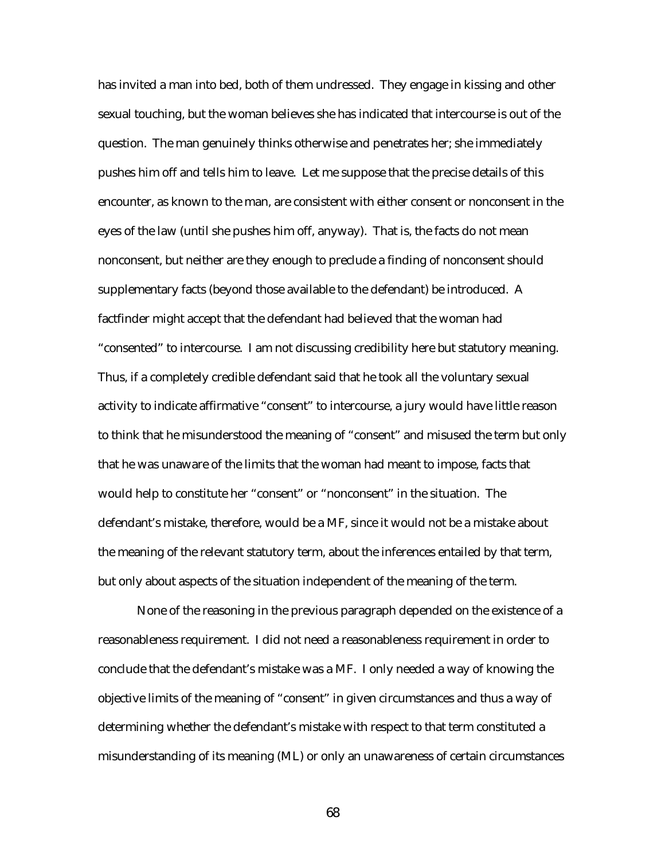has invited a man into bed, both of them undressed. They engage in kissing and other sexual touching, but the woman believes she has indicated that intercourse is out of the question. The man genuinely thinks otherwise and penetrates her; she immediately pushes him off and tells him to leave. Let me suppose that the precise details of this encounter, as known to the man, are consistent with either consent or nonconsent in the eyes of the law (until she pushes him off, anyway). That is, the facts do not mean nonconsent, but neither are they enough to preclude a finding of nonconsent should supplementary facts (beyond those available to the defendant) be introduced. A factfinder might accept that the defendant had believed that the woman had "consented" to intercourse. I am not discussing credibility here but statutory meaning. Thus, if a completely credible defendant said that he took all the voluntary sexual activity to indicate affirmative "consent" to intercourse, a jury would have little reason to think that he misunderstood the meaning of "consent" and misused the term but only that he was unaware of the limits that the woman had meant to impose, facts that would help to constitute her "consent" or "nonconsent" in the situation. The defendant's mistake, therefore, would be a MF, since it would not be a mistake about the meaning of the relevant statutory term, about the inferences entailed by that term, but only about aspects of the situation independent of the meaning of the term.

None of the reasoning in the previous paragraph depended on the existence of a reasonableness requirement. I did not need a reasonableness requirement in order to conclude that the defendant's mistake was a MF. I only needed a way of knowing the objective limits of the meaning of "consent" in given circumstances and thus a way of determining whether the defendant's mistake with respect to that term constituted a misunderstanding of its meaning (ML) or only an unawareness of certain circumstances

68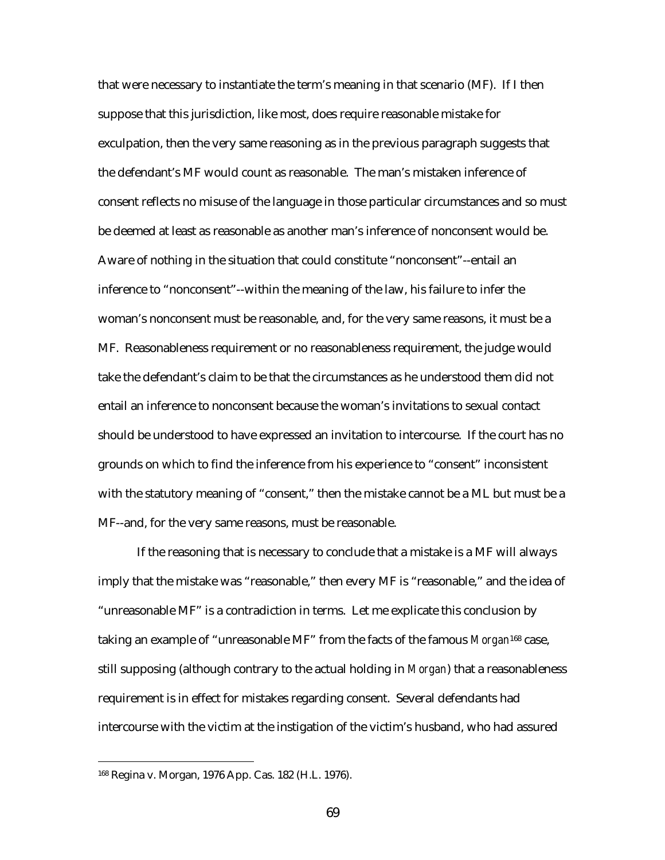that were necessary to instantiate the term's meaning in that scenario (MF). If I then suppose that this jurisdiction, like most, does require reasonable mistake for exculpation, then the very same reasoning as in the previous paragraph suggests that the defendant's MF would count as reasonable. The man's mistaken inference of consent reflects no misuse of the language in those particular circumstances and so must be deemed at least as reasonable as another man's inference of nonconsent would be. Aware of nothing in the situation that could constitute "nonconsent"--entail an inference to "nonconsent"--within the meaning of the law, his failure to infer the woman's nonconsent must be reasonable, and, for the very same reasons, it must be a MF. Reasonableness requirement or no reasonableness requirement, the judge would take the defendant's claim to be that the circumstances as he understood them did not entail an inference to nonconsent because the woman's invitations to sexual contact should be understood to have expressed an invitation to intercourse. If the court has no grounds on which to find the inference from his experience to "consent" inconsistent with the statutory meaning of "consent," then the mistake cannot be a ML but must be a MF--and, for the very same reasons, must be reasonable.

If the reasoning that is necessary to conclude that a mistake is a MF will always imply that the mistake was "reasonable," then every MF is "reasonable," and the idea of "unreasonable MF" is a contradiction in terms. Let me explicate this conclusion by taking an example of "unreasonable MF" from the facts of the famous *Morgan*168 case, still supposing (although contrary to the actual holding in *Morgan*) that a reasonableness requirement is in effect for mistakes regarding consent. Several defendants had intercourse with the victim at the instigation of the victim's husband, who had assured

<sup>168</sup> Regina v. Morgan, 1976 App. Cas. 182 (H.L. 1976).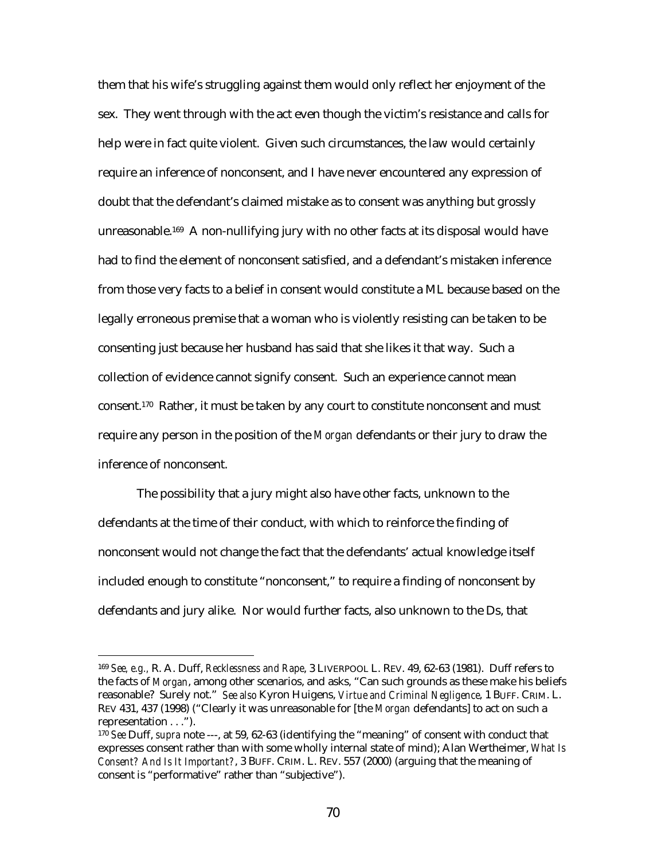them that his wife's struggling against them would only reflect her enjoyment of the sex. They went through with the act even though the victim's resistance and calls for help were in fact quite violent. Given such circumstances, the law would certainly require an inference of nonconsent, and I have never encountered any expression of doubt that the defendant's claimed mistake as to consent was anything but grossly unreasonable.169 A non-nullifying jury with no other facts at its disposal would have had to find the element of nonconsent satisfied, and a defendant's mistaken inference from those very facts to a belief in consent would constitute a ML because based on the legally erroneous premise that a woman who is violently resisting can be taken to be consenting just because her husband has said that she likes it that way. Such a collection of evidence cannot signify consent. Such an experience cannot mean consent.170 Rather, it must be taken by any court to constitute nonconsent and must require any person in the position of the *Morgan* defendants or their jury to draw the inference of nonconsent.

The possibility that a jury might also have other facts, unknown to the defendants at the time of their conduct, with which to reinforce the finding of nonconsent would not change the fact that the defendants' actual knowledge itself included enough to constitute "nonconsent," to require a finding of nonconsent by defendants and jury alike. Nor would further facts, also unknown to the Ds, that

<sup>169</sup> *See, e.g.,* R. A. Duff, *Recklessness and Rape*, 3 LIVERPOOL L. REV. 49, 62-63 (1981). Duff refers to the facts of *Morgan*, among other scenarios, and asks, "Can such grounds as these make his beliefs reasonable? Surely not." *See also* Kyron Huigens, *Virtue and Criminal Negligence*, 1 BUFF. CRIM. L. REV 431, 437 (1998) ("Clearly it was unreasonable for [the *Morgan* defendants] to act on such a representation . . .").

<sup>170</sup> *See* Duff, *supra* note ---, at 59, 62-63 (identifying the "meaning" of consent with conduct that expresses consent rather than with some wholly internal state of mind); Alan Wertheimer, *What Is Consent? And Is It Important?*, 3 BUFF. CRIM. L. REV. 557 (2000) (arguing that the meaning of consent is "performative" rather than "subjective").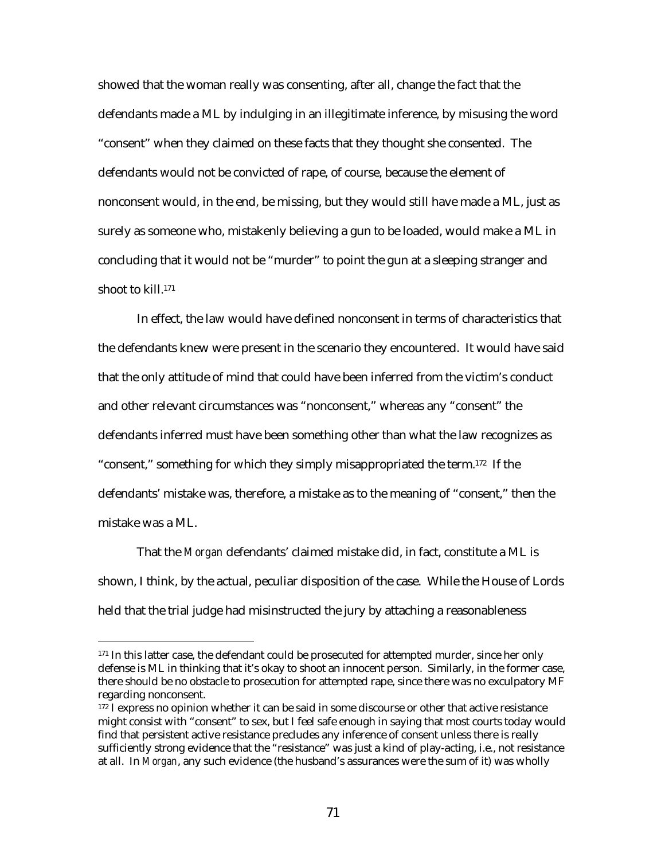showed that the woman really was consenting, after all, change the fact that the defendants made a ML by indulging in an illegitimate inference, by misusing the word "consent" when they claimed on these facts that they thought she consented. The defendants would not be convicted of rape, of course, because the element of nonconsent would, in the end, be missing, but they would still have made a ML, just as surely as someone who, mistakenly believing a gun to be loaded, would make a ML in concluding that it would not be "murder" to point the gun at a sleeping stranger and shoot to kill.171

In effect, the law would have defined nonconsent in terms of characteristics that the defendants knew were present in the scenario they encountered. It would have said that the only attitude of mind that could have been inferred from the victim's conduct and other relevant circumstances was "nonconsent," whereas any "consent" the defendants inferred must have been something other than what the law recognizes as "consent," something for which they simply misappropriated the term.172 If the defendants' mistake was, therefore, a mistake as to the meaning of "consent," then the mistake was a ML.

That the *Morgan* defendants' claimed mistake did, in fact, constitute a ML is shown, I think, by the actual, peculiar disposition of the case. While the House of Lords held that the trial judge had misinstructed the jury by attaching a reasonableness

<sup>&</sup>lt;sup>171</sup> In this latter case, the defendant could be prosecuted for attempted murder, since her only defense is ML in thinking that it's okay to shoot an innocent person. Similarly, in the former case, there should be no obstacle to prosecution for attempted rape, since there was no exculpatory MF regarding nonconsent.

<sup>&</sup>lt;sup>172</sup> I express no opinion whether it can be said in some discourse or other that active resistance might consist with "consent" to sex, but I feel safe enough in saying that most courts today would find that persistent active resistance precludes any inference of consent unless there is really sufficiently strong evidence that the "resistance" was just a kind of play-acting, i.e., not resistance at all. In *Morgan*, any such evidence (the husband's assurances were the sum of it) was wholly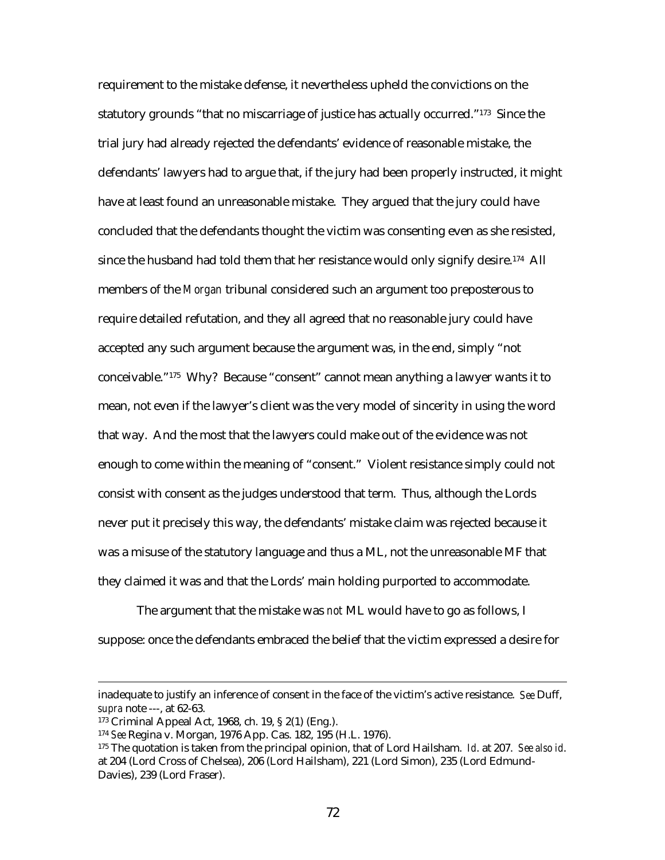requirement to the mistake defense, it nevertheless upheld the convictions on the statutory grounds "that no miscarriage of justice has actually occurred."173 Since the trial jury had already rejected the defendants' evidence of reasonable mistake, the defendants' lawyers had to argue that, if the jury had been properly instructed, it might have at least found an unreasonable mistake. They argued that the jury could have concluded that the defendants thought the victim was consenting even as she resisted, since the husband had told them that her resistance would only signify desire.174 All members of the *Morgan* tribunal considered such an argument too preposterous to require detailed refutation, and they all agreed that no reasonable jury could have accepted any such argument because the argument was, in the end, simply "not conceivable."175 Why? Because "consent" cannot mean anything a lawyer wants it to mean, not even if the lawyer's client was the very model of sincerity in using the word that way. And the most that the lawyers could make out of the evidence was not enough to come within the meaning of "consent." Violent resistance simply could not consist with consent as the judges understood that term. Thus, although the Lords never put it precisely this way, the defendants' mistake claim was rejected because it was a misuse of the statutory language and thus a ML, not the unreasonable MF that they claimed it was and that the Lords' main holding purported to accommodate.

The argument that the mistake was *not* ML would have to go as follows, I suppose: once the defendants embraced the belief that the victim expressed a desire for

inadequate to justify an inference of consent in the face of the victim's active resistance. *See* Duff, *supra* note ---, at 62-63.

<sup>173</sup> Criminal Appeal Act, 1968, ch. 19, § 2(1) (Eng.).

<sup>174</sup> *See* Regina v. Morgan, 1976 App. Cas. 182, 195 (H.L. 1976).

<sup>175</sup> The quotation is taken from the principal opinion, that of Lord Hailsham. *Id*. at 207. *See also id*. at 204 (Lord Cross of Chelsea), 206 (Lord Hailsham), 221 (Lord Simon), 235 (Lord Edmund-Davies), 239 (Lord Fraser).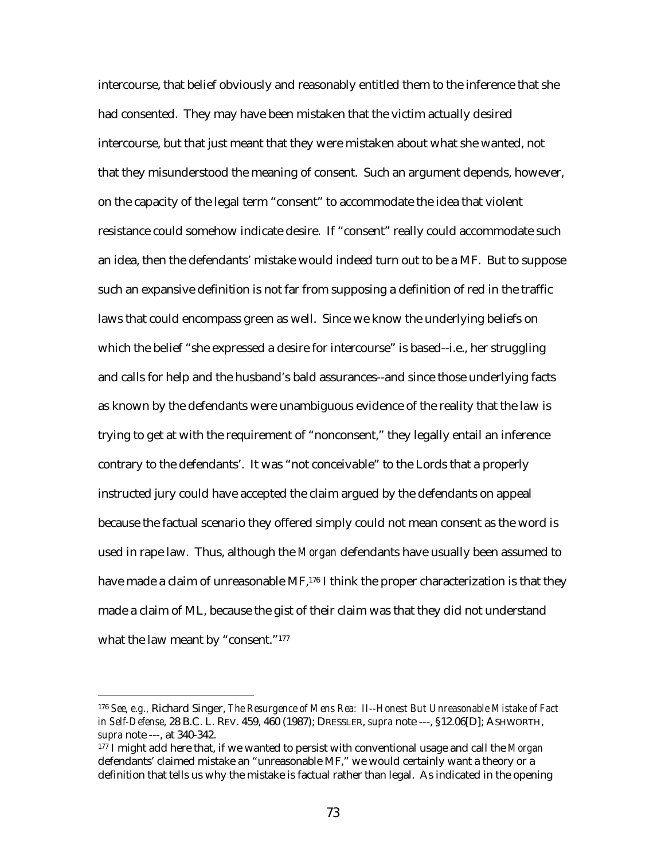intercourse, that belief obviously and reasonably entitled them to the inference that she had consented. They may have been mistaken that the victim actually desired intercourse, but that just meant that they were mistaken about what she wanted, not that they misunderstood the meaning of consent. Such an argument depends, however, on the capacity of the legal term "consent" to accommodate the idea that violent resistance could somehow indicate desire. If "consent" really could accommodate such an idea, then the defendants' mistake would indeed turn out to be a MF. But to suppose such an expansive definition is not far from supposing a definition of red in the traffic laws that could encompass green as well. Since we know the underlying beliefs on which the belief "she expressed a desire for intercourse" is based--i.e., her struggling and calls for help and the husband's bald assurances--and since those underlying facts as known by the defendants were unambiguous evidence of the reality that the law is trying to get at with the requirement of "nonconsent," they legally entail an inference contrary to the defendants'. It was "not conceivable" to the Lords that a properly instructed jury could have accepted the claim argued by the defendants on appeal because the factual scenario they offered simply could not mean consent as the word is used in rape law. Thus, although the *Morgan* defendants have usually been assumed to have made a claim of unreasonable MF,<sup>176</sup> I think the proper characterization is that they made a claim of ML, because the gist of their claim was that they did not understand what the law meant by "consent."<sup>177</sup>

<sup>176</sup> *See, e.g.,* Richard Singer, *The Resurgence of Mens Rea: II--Honest But Unreasonable Mistake of Fact in Self-Defense*, 28 B.C. L. REV. 459, 460 (1987); DRESSLER, *supra* note ---, §12.06[D]; ASHWORTH, *supra* note ---, at 340-342.

<sup>177</sup> I might add here that, if we wanted to persist with conventional usage and call the *Morgan* defendants' claimed mistake an "unreasonable MF," we would certainly want a theory or a definition that tells us why the mistake is factual rather than legal. As indicated in the opening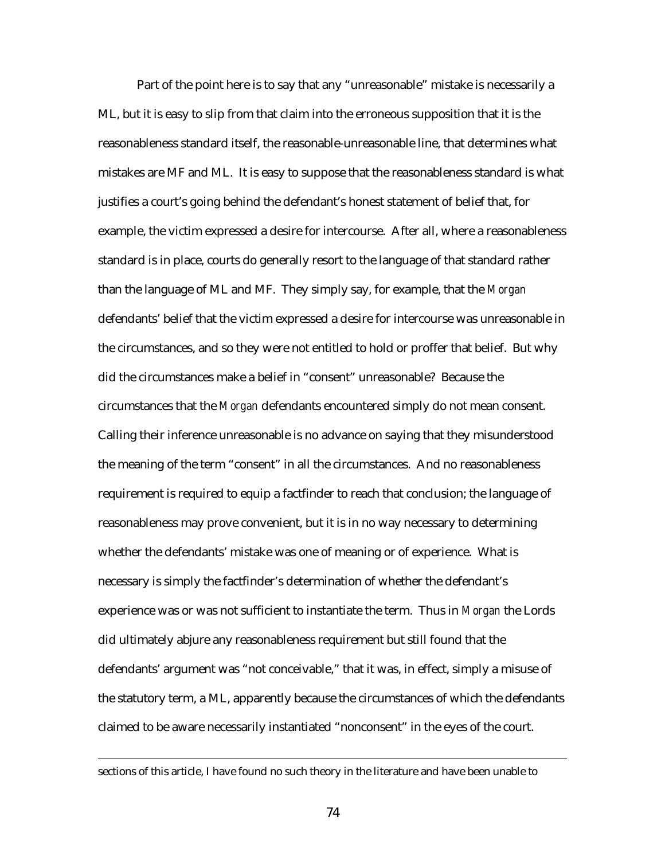Part of the point here is to say that any "unreasonable" mistake is necessarily a ML, but it is easy to slip from that claim into the erroneous supposition that it is the reasonableness standard itself, the reasonable-unreasonable line, that determines what mistakes are MF and ML. It is easy to suppose that the reasonableness standard is what justifies a court's going behind the defendant's honest statement of belief that, for example, the victim expressed a desire for intercourse. After all, where a reasonableness standard is in place, courts do generally resort to the language of that standard rather than the language of ML and MF. They simply say, for example, that the *Morgan* defendants' belief that the victim expressed a desire for intercourse was unreasonable in the circumstances, and so they were not entitled to hold or proffer that belief. But why did the circumstances make a belief in "consent" unreasonable? Because the circumstances that the *Morgan* defendants encountered simply do not mean consent. Calling their inference unreasonable is no advance on saying that they misunderstood the meaning of the term "consent" in all the circumstances. And no reasonableness requirement is required to equip a factfinder to reach that conclusion; the language of reasonableness may prove convenient, but it is in no way necessary to determining whether the defendants' mistake was one of meaning or of experience. What is necessary is simply the factfinder's determination of whether the defendant's experience was or was not sufficient to instantiate the term. Thus in *Morgan* the Lords did ultimately abjure any reasonableness requirement but still found that the defendants' argument was "not conceivable," that it was, in effect, simply a misuse of the statutory term, a ML, apparently because the circumstances of which the defendants claimed to be aware necessarily instantiated "nonconsent" in the eyes of the court.

sections of this article, I have found no such theory in the literature and have been unable to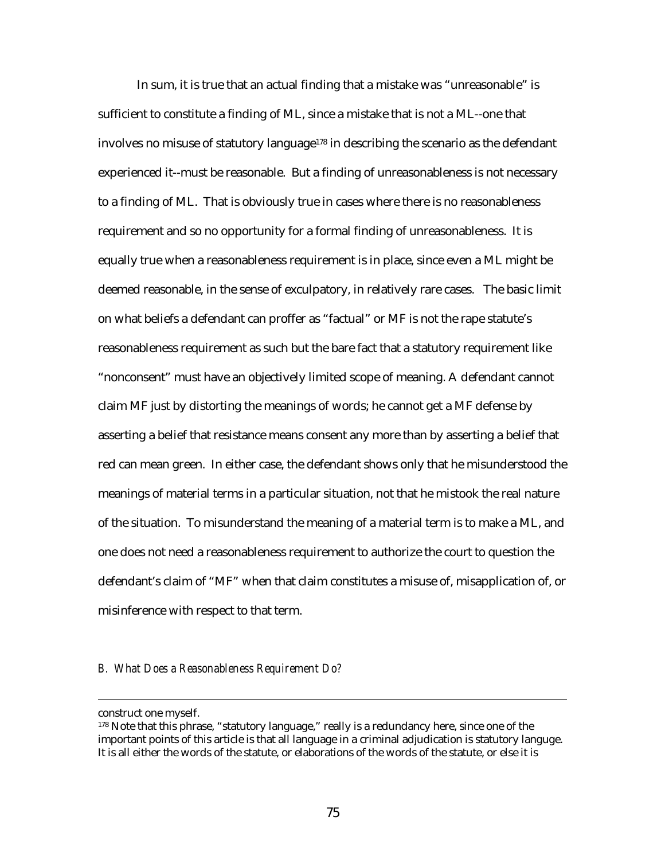In sum, it is true that an actual finding that a mistake was "unreasonable" is sufficient to constitute a finding of ML, since a mistake that is not a ML--one that involves no misuse of statutory language<sup>178</sup> in describing the scenario as the defendant experienced it--must be reasonable. But a finding of unreasonableness is not necessary to a finding of ML. That is obviously true in cases where there is no reasonableness requirement and so no opportunity for a formal finding of unreasonableness. It is equally true when a reasonableness requirement is in place, since even a ML might be deemed reasonable, in the sense of exculpatory, in relatively rare cases. The basic limit on what beliefs a defendant can proffer as "factual" or MF is not the rape statute's reasonableness requirement as such but the bare fact that a statutory requirement like "nonconsent" must have an objectively limited scope of meaning. A defendant cannot claim MF just by distorting the meanings of words; he cannot get a MF defense by asserting a belief that resistance means consent any more than by asserting a belief that red can mean green. In either case, the defendant shows only that he misunderstood the meanings of material terms in a particular situation, not that he mistook the real nature of the situation. To misunderstand the meaning of a material term is to make a ML, and one does not need a reasonableness requirement to authorize the court to question the defendant's claim of "MF" when that claim constitutes a misuse of, misapplication of, or misinference with respect to that term.

## *B. What Does a Reasonableness Requirement Do?*

construct one myself.

<sup>&</sup>lt;sup>178</sup> Note that this phrase, "statutory language," really is a redundancy here, since one of the important points of this article is that all language in a criminal adjudication is statutory languge. It is all either the words of the statute, or elaborations of the words of the statute, or else it is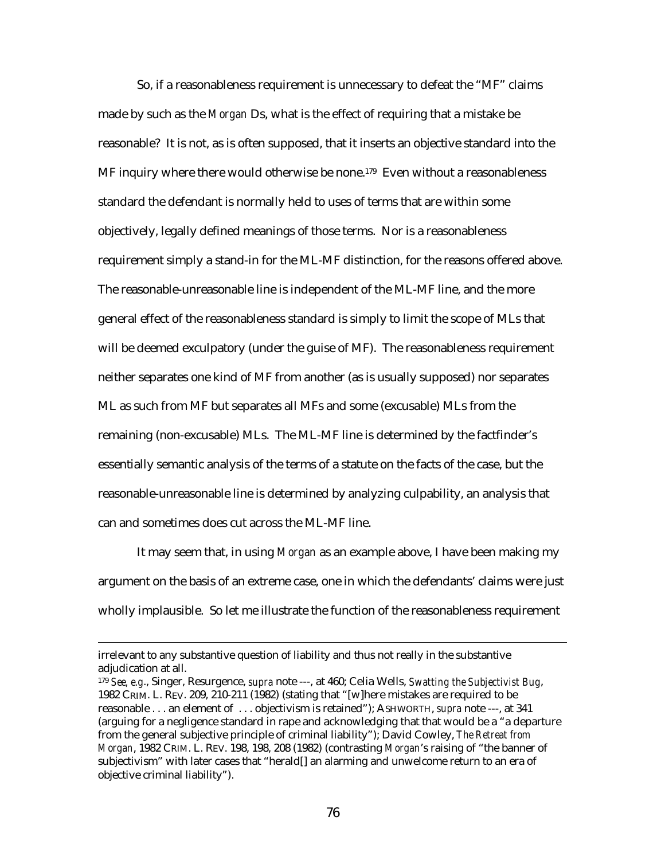So, if a reasonableness requirement is unnecessary to defeat the "MF" claims made by such as the *Morgan* Ds, what is the effect of requiring that a mistake be reasonable? It is not, as is often supposed, that it inserts an objective standard into the MF inquiry where there would otherwise be none.<sup>179</sup> Even without a reasonableness standard the defendant is normally held to uses of terms that are within some objectively, legally defined meanings of those terms. Nor is a reasonableness requirement simply a stand-in for the ML-MF distinction, for the reasons offered above. The reasonable-unreasonable line is independent of the ML-MF line, and the more general effect of the reasonableness standard is simply to limit the scope of MLs that will be deemed exculpatory (under the guise of MF). The reasonableness requirement neither separates one kind of MF from another (as is usually supposed) nor separates ML as such from MF but separates all MFs and some (excusable) MLs from the remaining (non-excusable) MLs. The ML-MF line is determined by the factfinder's essentially semantic analysis of the terms of a statute on the facts of the case, but the reasonable-unreasonable line is determined by analyzing culpability, an analysis that can and sometimes does cut across the ML-MF line.

It may seem that, in using *Morgan* as an example above, I have been making my argument on the basis of an extreme case, one in which the defendants' claims were just wholly implausible. So let me illustrate the function of the reasonableness requirement

irrelevant to any substantive question of liability and thus not really in the substantive adjudication at all.

<sup>179</sup> *See, e.g*., Singer, Resurgence, *supra* note ---, at 460; Celia Wells, *Swatting the Subjectivist Bug*, 1982 CRIM. L. REV. 209, 210-211 (1982) (stating that "[w]here mistakes are required to be reasonable . . . an element of . . . objectivism is retained"); ASHWORTH, *supra* note ---, at 341 (arguing for a negligence standard in rape and acknowledging that that would be a "a departure from the general subjective principle of criminal liability"); David Cowley, *The Retreat from Morgan*, 1982 CRIM. L. REV. 198, 198, 208 (1982) (contrasting *Morgan*'s raising of "the banner of subjectivism" with later cases that "herald[] an alarming and unwelcome return to an era of objective criminal liability").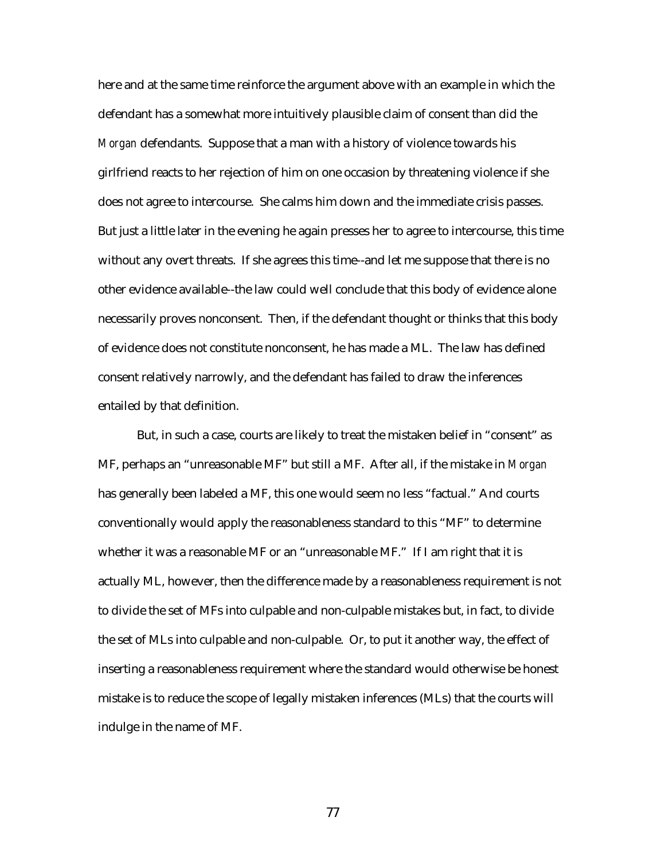here and at the same time reinforce the argument above with an example in which the defendant has a somewhat more intuitively plausible claim of consent than did the *Morgan* defendants. Suppose that a man with a history of violence towards his girlfriend reacts to her rejection of him on one occasion by threatening violence if she does not agree to intercourse. She calms him down and the immediate crisis passes. But just a little later in the evening he again presses her to agree to intercourse, this time without any overt threats. If she agrees this time--and let me suppose that there is no other evidence available--the law could well conclude that this body of evidence alone necessarily proves nonconsent. Then, if the defendant thought or thinks that this body of evidence does not constitute nonconsent, he has made a ML. The law has defined consent relatively narrowly, and the defendant has failed to draw the inferences entailed by that definition.

But, in such a case, courts are likely to treat the mistaken belief in "consent" as MF, perhaps an "unreasonable MF" but still a MF. After all, if the mistake in *Morgan* has generally been labeled a MF, this one would seem no less "factual." And courts conventionally would apply the reasonableness standard to this "MF" to determine whether it was a reasonable MF or an "unreasonable MF." If I am right that it is actually ML, however, then the difference made by a reasonableness requirement is not to divide the set of MFs into culpable and non-culpable mistakes but, in fact, to divide the set of MLs into culpable and non-culpable. Or, to put it another way, the effect of inserting a reasonableness requirement where the standard would otherwise be honest mistake is to reduce the scope of legally mistaken inferences (MLs) that the courts will indulge in the name of MF.

77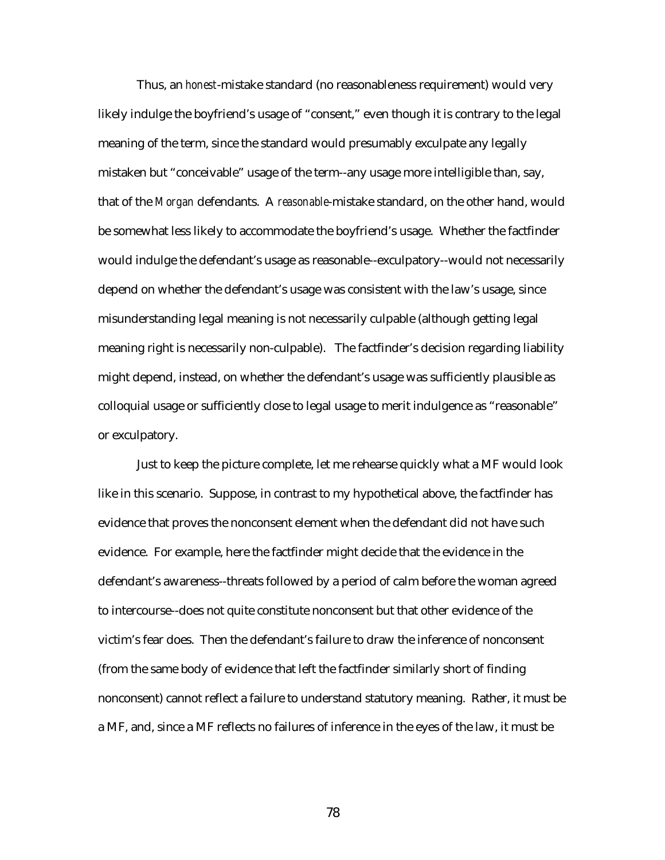Thus, an *honest*-mistake standard (no reasonableness requirement) would very likely indulge the boyfriend's usage of "consent," even though it is contrary to the legal meaning of the term, since the standard would presumably exculpate any legally mistaken but "conceivable" usage of the term--any usage more intelligible than, say, that of the *Morgan* defendants. A *reasonable*-mistake standard, on the other hand, would be somewhat less likely to accommodate the boyfriend's usage. Whether the factfinder would indulge the defendant's usage as reasonable--exculpatory--would not necessarily depend on whether the defendant's usage was consistent with the law's usage, since misunderstanding legal meaning is not necessarily culpable (although getting legal meaning right is necessarily non-culpable). The factfinder's decision regarding liability might depend, instead, on whether the defendant's usage was sufficiently plausible as colloquial usage or sufficiently close to legal usage to merit indulgence as "reasonable" or exculpatory.

Just to keep the picture complete, let me rehearse quickly what a MF would look like in this scenario. Suppose, in contrast to my hypothetical above, the factfinder has evidence that proves the nonconsent element when the defendant did not have such evidence. For example, here the factfinder might decide that the evidence in the defendant's awareness--threats followed by a period of calm before the woman agreed to intercourse--does not quite constitute nonconsent but that other evidence of the victim's fear does. Then the defendant's failure to draw the inference of nonconsent (from the same body of evidence that left the factfinder similarly short of finding nonconsent) cannot reflect a failure to understand statutory meaning. Rather, it must be a MF, and, since a MF reflects no failures of inference in the eyes of the law, it must be

78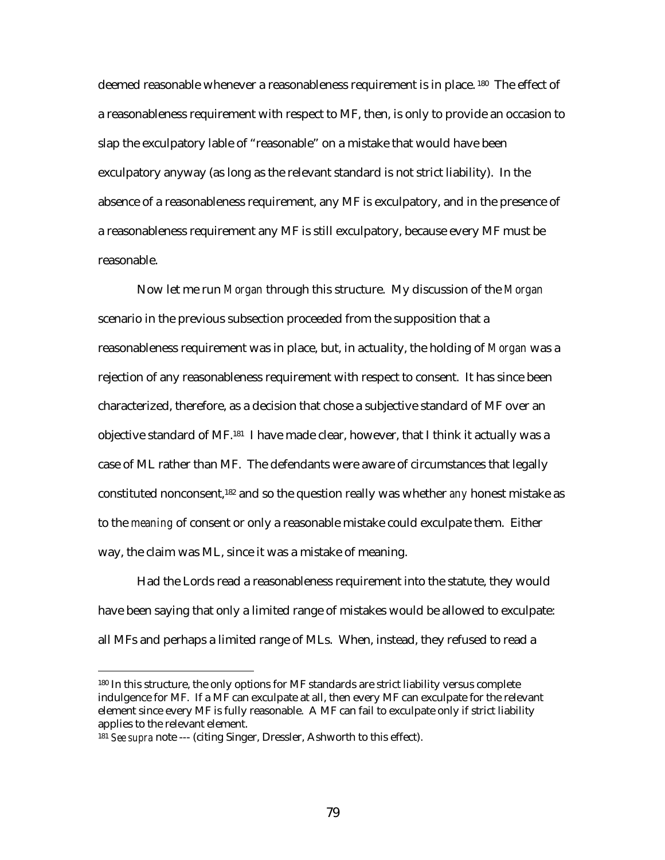deemed reasonable whenever a reasonableness requirement is in place. 180 The effect of a reasonableness requirement with respect to MF, then, is only to provide an occasion to slap the exculpatory lable of "reasonable" on a mistake that would have been exculpatory anyway (as long as the relevant standard is not strict liability). In the absence of a reasonableness requirement, any MF is exculpatory, and in the presence of a reasonableness requirement any MF is still exculpatory, because every MF must be reasonable.

Now let me run *Morgan* through this structure. My discussion of the *Morgan* scenario in the previous subsection proceeded from the supposition that a reasonableness requirement was in place, but, in actuality, the holding of *Morgan* was a rejection of any reasonableness requirement with respect to consent. It has since been characterized, therefore, as a decision that chose a subjective standard of MF over an objective standard of MF.181 I have made clear, however, that I think it actually was a case of ML rather than MF. The defendants were aware of circumstances that legally constituted nonconsent,182 and so the question really was whether *any* honest mistake as to the *meaning* of consent or only a reasonable mistake could exculpate them. Either way, the claim was ML, since it was a mistake of meaning.

Had the Lords read a reasonableness requirement into the statute, they would have been saying that only a limited range of mistakes would be allowed to exculpate: all MFs and perhaps a limited range of MLs. When, instead, they refused to read a

<sup>180</sup> In this structure, the only options for MF standards are strict liability versus complete indulgence for MF. If a MF can exculpate at all, then every MF can exculpate for the relevant element since every MF is fully reasonable. A MF can fail to exculpate only if strict liability applies to the relevant element.

<sup>181</sup> *See supra* note --- (citing Singer, Dressler, Ashworth to this effect).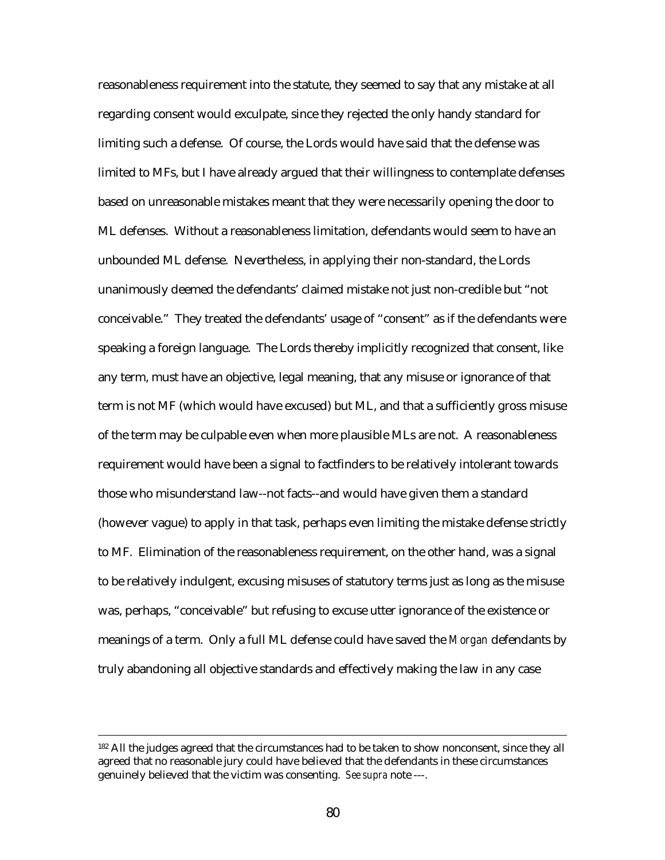reasonableness requirement into the statute, they seemed to say that any mistake at all regarding consent would exculpate, since they rejected the only handy standard for limiting such a defense. Of course, the Lords would have said that the defense was limited to MFs, but I have already argued that their willingness to contemplate defenses based on unreasonable mistakes meant that they were necessarily opening the door to ML defenses. Without a reasonableness limitation, defendants would seem to have an unbounded ML defense. Nevertheless, in applying their non-standard, the Lords unanimously deemed the defendants' claimed mistake not just non-credible but "not conceivable." They treated the defendants' usage of "consent" as if the defendants were speaking a foreign language. The Lords thereby implicitly recognized that consent, like any term, must have an objective, legal meaning, that any misuse or ignorance of that term is not MF (which would have excused) but ML, and that a sufficiently gross misuse of the term may be culpable even when more plausible MLs are not. A reasonableness requirement would have been a signal to factfinders to be relatively intolerant towards those who misunderstand law--not facts--and would have given them a standard (however vague) to apply in that task, perhaps even limiting the mistake defense strictly to MF. Elimination of the reasonableness requirement, on the other hand, was a signal to be relatively indulgent, excusing misuses of statutory terms just as long as the misuse was, perhaps, "conceivable" but refusing to excuse utter ignorance of the existence or meanings of a term. Only a full ML defense could have saved the *Morgan* defendants by truly abandoning all objective standards and effectively making the law in any case

<sup>&</sup>lt;sup>182</sup> All the judges agreed that the circumstances had to be taken to show nonconsent, since they all agreed that no reasonable jury could have believed that the defendants in these circumstances genuinely believed that the victim was consenting. *See supra* note ---.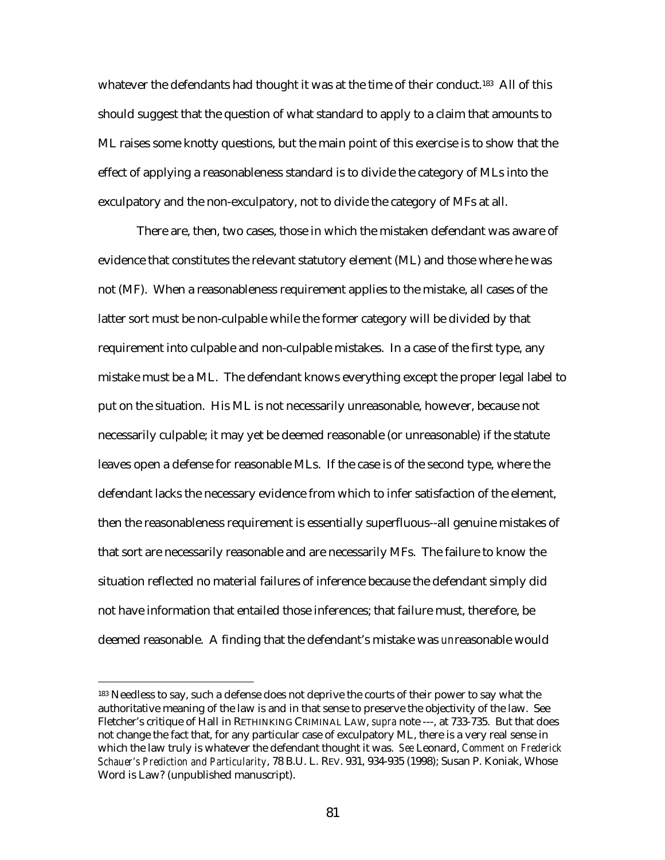whatever the defendants had thought it was at the time of their conduct.<sup>183</sup> All of this should suggest that the question of what standard to apply to a claim that amounts to ML raises some knotty questions, but the main point of this exercise is to show that the effect of applying a reasonableness standard is to divide the category of MLs into the exculpatory and the non-exculpatory, not to divide the category of MFs at all.

There are, then, two cases, those in which the mistaken defendant was aware of evidence that constitutes the relevant statutory element (ML) and those where he was not (MF). When a reasonableness requirement applies to the mistake, all cases of the latter sort must be non-culpable while the former category will be divided by that requirement into culpable and non-culpable mistakes. In a case of the first type, any mistake must be a ML. The defendant knows everything except the proper legal label to put on the situation. His ML is not necessarily unreasonable, however, because not necessarily culpable; it may yet be deemed reasonable (or unreasonable) if the statute leaves open a defense for reasonable MLs. If the case is of the second type, where the defendant lacks the necessary evidence from which to infer satisfaction of the element, then the reasonableness requirement is essentially superfluous--all genuine mistakes of that sort are necessarily reasonable and are necessarily MFs. The failure to know the situation reflected no material failures of inference because the defendant simply did not have information that entailed those inferences; that failure must, therefore, be deemed reasonable. A finding that the defendant's mistake was *un*reasonable would

<sup>&</sup>lt;sup>183</sup> Needless to say, such a defense does not deprive the courts of their power to say what the authoritative meaning of the law is and in that sense to preserve the objectivity of the law. See Fletcher's critique of Hall in RETHINKING CRIMINAL LAW, *supra* note ---, at 733-735. But that does not change the fact that, for any particular case of exculpatory ML, there is a very real sense in which the law truly is whatever the defendant thought it was. *See* Leonard, *Comment on Frederick Schauer's Prediction and Particularity*, 78 B.U. L. REV. 931, 934-935 (1998); Susan P. Koniak, Whose Word is Law? (unpublished manuscript).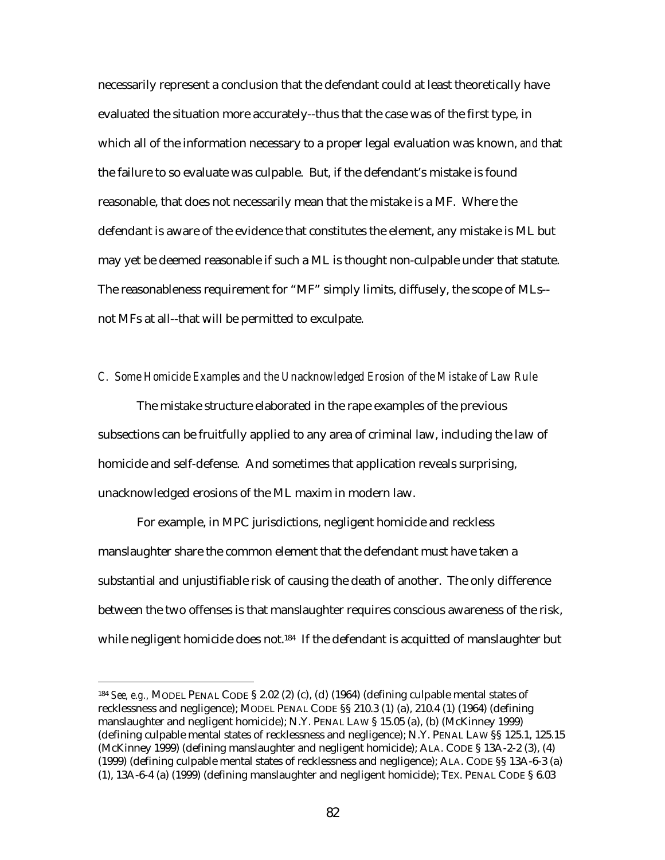necessarily represent a conclusion that the defendant could at least theoretically have evaluated the situation more accurately--thus that the case was of the first type, in which all of the information necessary to a proper legal evaluation was known, *and* that the failure to so evaluate was culpable. But, if the defendant's mistake is found reasonable, that does not necessarily mean that the mistake is a MF. Where the defendant is aware of the evidence that constitutes the element, any mistake is ML but may yet be deemed reasonable if such a ML is thought non-culpable under that statute. The reasonableness requirement for "MF" simply limits, diffusely, the scope of MLs- not MFs at all--that will be permitted to exculpate.

## *C. Some Homicide Examples and the Unacknowledged Erosion of the Mistake of Law Rule*

The mistake structure elaborated in the rape examples of the previous subsections can be fruitfully applied to any area of criminal law, including the law of homicide and self-defense. And sometimes that application reveals surprising, unacknowledged erosions of the ML maxim in modern law.

For example, in MPC jurisdictions, negligent homicide and reckless manslaughter share the common element that the defendant must have taken a substantial and unjustifiable risk of causing the death of another. The only difference between the two offenses is that manslaughter requires conscious awareness of the risk, while negligent homicide does not.<sup>184</sup> If the defendant is acquitted of manslaughter but

<sup>184</sup> *See, e.g.,* MODEL PENAL CODE § 2.02 (2) (c), (d) (1964) (defining culpable mental states of recklessness and negligence); MODEL PENAL CODE §§ 210.3 (1) (a), 210.4 (1) (1964) (defining manslaughter and negligent homicide); N.Y. PENAL LAW § 15.05 (a), (b) (McKinney 1999) (defining culpable mental states of recklessness and negligence); N.Y. PENAL LAW §§ 125.1, 125.15 (McKinney 1999) (defining manslaughter and negligent homicide); ALA. CODE § 13A-2-2 (3), (4) (1999) (defining culpable mental states of recklessness and negligence); ALA. CODE §§ 13A-6-3 (a) (1), 13A-6-4 (a) (1999) (defining manslaughter and negligent homicide); TEX. PENAL CODE § 6.03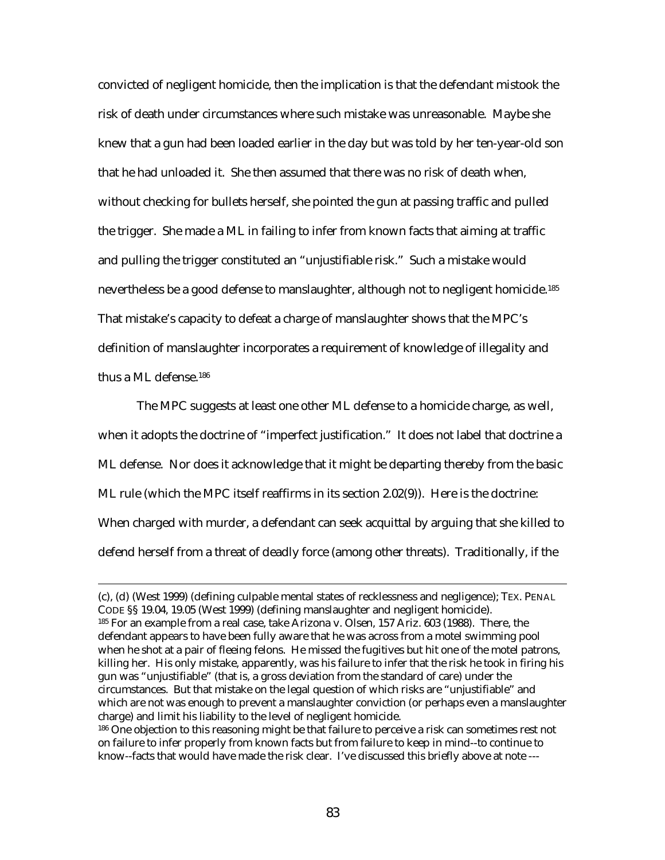convicted of negligent homicide, then the implication is that the defendant mistook the risk of death under circumstances where such mistake was unreasonable. Maybe she knew that a gun had been loaded earlier in the day but was told by her ten-year-old son that he had unloaded it. She then assumed that there was no risk of death when, without checking for bullets herself, she pointed the gun at passing traffic and pulled the trigger. She made a ML in failing to infer from known facts that aiming at traffic and pulling the trigger constituted an "unjustifiable risk." Such a mistake would nevertheless be a good defense to manslaughter, although not to negligent homicide.185 That mistake's capacity to defeat a charge of manslaughter shows that the MPC's definition of manslaughter incorporates a requirement of knowledge of illegality and thus a ML defense.186

The MPC suggests at least one other ML defense to a homicide charge, as well, when it adopts the doctrine of "imperfect justification." It does not label that doctrine a ML defense. Nor does it acknowledge that it might be departing thereby from the basic ML rule (which the MPC itself reaffirms in its section 2.02(9)). Here is the doctrine: When charged with murder, a defendant can seek acquittal by arguing that she killed to defend herself from a threat of deadly force (among other threats). Traditionally, if the

<sup>(</sup>c), (d) (West 1999) (defining culpable mental states of recklessness and negligence); TEX. PENAL CODE §§ 19.04, 19.05 (West 1999) (defining manslaughter and negligent homicide). 185 For an example from a real case, take Arizona v. Olsen, 157 Ariz. 603 (1988). There, the defendant appears to have been fully aware that he was across from a motel swimming pool when he shot at a pair of fleeing felons. He missed the fugitives but hit one of the motel patrons, killing her. His only mistake, apparently, was his failure to infer that the risk he took in firing his gun was "unjustifiable" (that is, a gross deviation from the standard of care) under the circumstances. But that mistake on the legal question of which risks are "unjustifiable" and which are not was enough to prevent a manslaughter conviction (or perhaps even a manslaughter charge) and limit his liability to the level of negligent homicide.

<sup>&</sup>lt;sup>186</sup> One objection to this reasoning might be that failure to perceive a risk can sometimes rest not on failure to infer properly from known facts but from failure to keep in mind--to continue to know--facts that would have made the risk clear. I've discussed this briefly above at note ---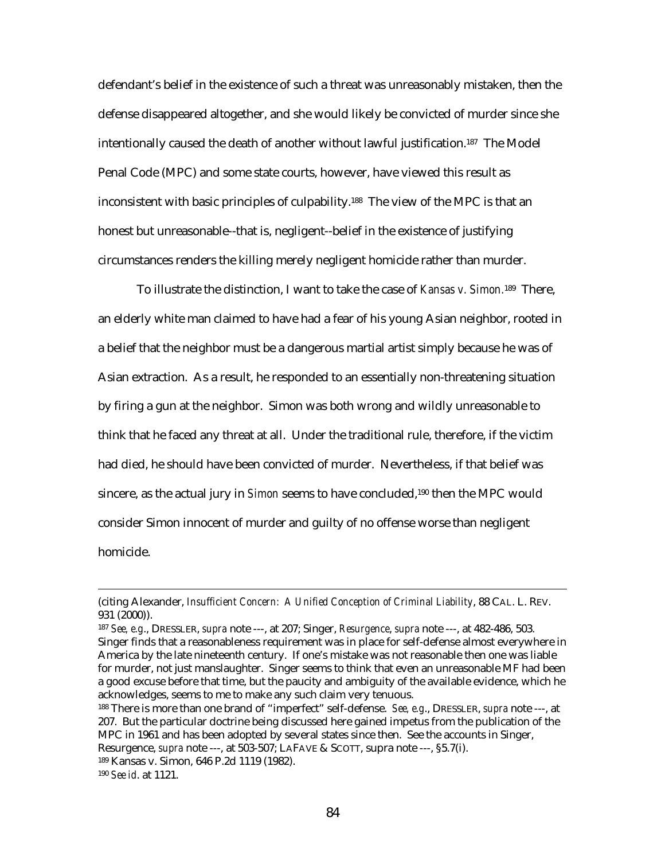defendant's belief in the existence of such a threat was unreasonably mistaken, then the defense disappeared altogether, and she would likely be convicted of murder since she intentionally caused the death of another without lawful justification.187 The Model Penal Code (MPC) and some state courts, however, have viewed this result as inconsistent with basic principles of culpability.188 The view of the MPC is that an honest but unreasonable--that is, negligent--belief in the existence of justifying circumstances renders the killing merely negligent homicide rather than murder.

To illustrate the distinction, I want to take the case of *Kansas v. Simon.*189 There, an elderly white man claimed to have had a fear of his young Asian neighbor, rooted in a belief that the neighbor must be a dangerous martial artist simply because he was of Asian extraction. As a result, he responded to an essentially non-threatening situation by firing a gun at the neighbor. Simon was both wrong and wildly unreasonable to think that he faced any threat at all. Under the traditional rule, therefore, if the victim had died, he should have been convicted of murder. Nevertheless, if that belief was sincere, as the actual jury in *Simon* seems to have concluded,190 then the MPC would consider Simon innocent of murder and guilty of no offense worse than negligent homicide.

<sup>(</sup>citing Alexander, *Insufficient Concern: A Unified Conception of Criminal Liability*, 88 CAL. L. REV. 931 (2000)).

<sup>187</sup> *See, e.g*., DRESSLER, *supra* note ---, at 207; Singer, *Resurgence*, *supra* note ---, at 482-486, 503. Singer finds that a reasonableness requirement was in place for self-defense almost everywhere in America by the late nineteenth century. If one's mistake was not reasonable then one was liable for murder, not just manslaughter. Singer seems to think that even an unreasonable MF had been a good excuse before that time, but the paucity and ambiguity of the available evidence, which he acknowledges, seems to me to make any such claim very tenuous.

<sup>188</sup> There is more than one brand of "imperfect" self-defense. *See, e.g*., DRESSLER, *supra* note ---, at 207. But the particular doctrine being discussed here gained impetus from the publication of the MPC in 1961 and has been adopted by several states since then. See the accounts in Singer, Resurgence, *supra* note ---, at 503-507; LAFAVE & SCOTT, supra note ---, §5.7(i).

<sup>189</sup> Kansas v. Simon, 646 P.2d 1119 (1982).

<sup>190</sup> *See id*. at 1121.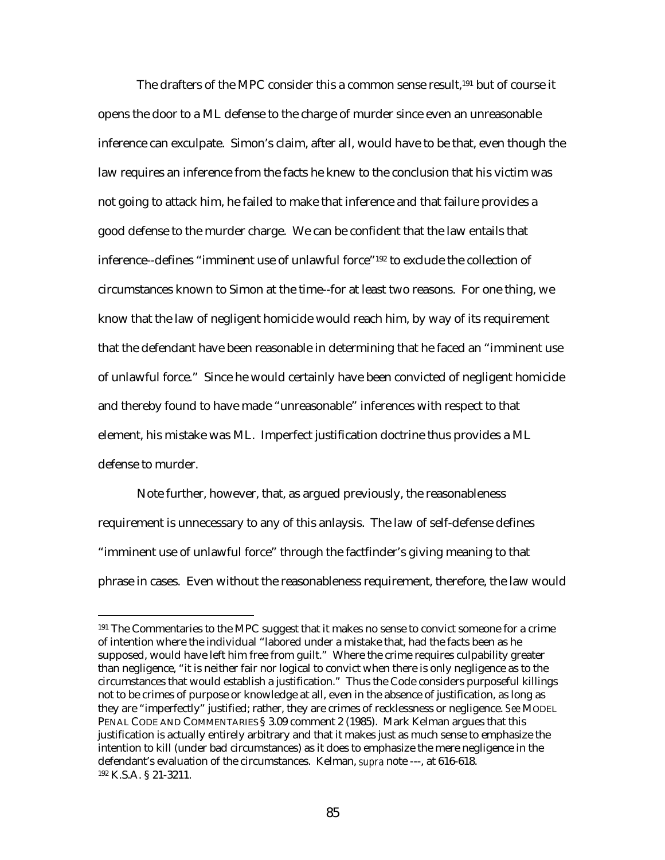The drafters of the MPC consider this a common sense result.<sup>191</sup> but of course it opens the door to a ML defense to the charge of murder since even an unreasonable inference can exculpate. Simon's claim, after all, would have to be that, even though the law requires an inference from the facts he knew to the conclusion that his victim was not going to attack him, he failed to make that inference and that failure provides a good defense to the murder charge. We can be confident that the law entails that inference--defines "imminent use of unlawful force"192 to exclude the collection of circumstances known to Simon at the time--for at least two reasons. For one thing, we know that the law of negligent homicide would reach him, by way of its requirement that the defendant have been reasonable in determining that he faced an "imminent use of unlawful force." Since he would certainly have been convicted of negligent homicide and thereby found to have made "unreasonable" inferences with respect to that element, his mistake was ML. Imperfect justification doctrine thus provides a ML defense to murder.

Note further, however, that, as argued previously, the reasonableness requirement is unnecessary to any of this anlaysis. The law of self-defense defines "imminent use of unlawful force" through the factfinder's giving meaning to that phrase in cases. Even without the reasonableness requirement, therefore, the law would

<sup>&</sup>lt;sup>191</sup> The Commentaries to the MPC suggest that it makes no sense to convict someone for a crime of intention where the individual "labored under a mistake that, had the facts been as he supposed, would have left him free from guilt." Where the crime requires culpability greater than negligence, "it is neither fair nor logical to convict when there is only negligence as to the circumstances that would establish a justification." Thus the Code considers purposeful killings not to be crimes of purpose or knowledge at all, even in the absence of justification, as long as they are "imperfectly" justified; rather, they are crimes of recklessness or negligence. *See* MODEL PENAL CODE AND COMMENTARIES § 3.09 comment 2 (1985). Mark Kelman argues that this justification is actually entirely arbitrary and that it makes just as much sense to emphasize the intention to kill (under bad circumstances) as it does to emphasize the mere negligence in the defendant's evaluation of the circumstances. Kelman, *supra* note ---, at 616-618. 192 K.S.A. § 21-3211.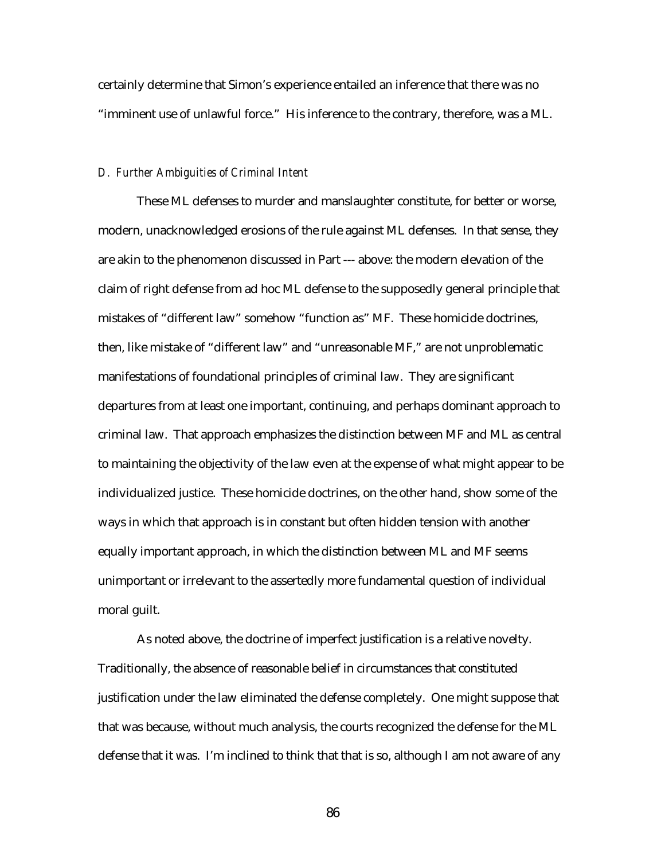certainly determine that Simon's experience entailed an inference that there was no "imminent use of unlawful force." His inference to the contrary, therefore, was a ML.

## *D. Further Ambiguities of Criminal Intent*

These ML defenses to murder and manslaughter constitute, for better or worse, modern, unacknowledged erosions of the rule against ML defenses. In that sense, they are akin to the phenomenon discussed in Part --- above: the modern elevation of the claim of right defense from ad hoc ML defense to the supposedly general principle that mistakes of "different law" somehow "function as" MF. These homicide doctrines, then, like mistake of "different law" and "unreasonable MF," are not unproblematic manifestations of foundational principles of criminal law. They are significant departures from at least one important, continuing, and perhaps dominant approach to criminal law. That approach emphasizes the distinction between MF and ML as central to maintaining the objectivity of the law even at the expense of what might appear to be individualized justice. These homicide doctrines, on the other hand, show some of the ways in which that approach is in constant but often hidden tension with another equally important approach, in which the distinction between ML and MF seems unimportant or irrelevant to the assertedly more fundamental question of individual moral guilt.

As noted above, the doctrine of imperfect justification is a relative novelty. Traditionally, the absence of reasonable belief in circumstances that constituted justification under the law eliminated the defense completely. One might suppose that that was because, without much analysis, the courts recognized the defense for the ML defense that it was. I'm inclined to think that that is so, although I am not aware of any

86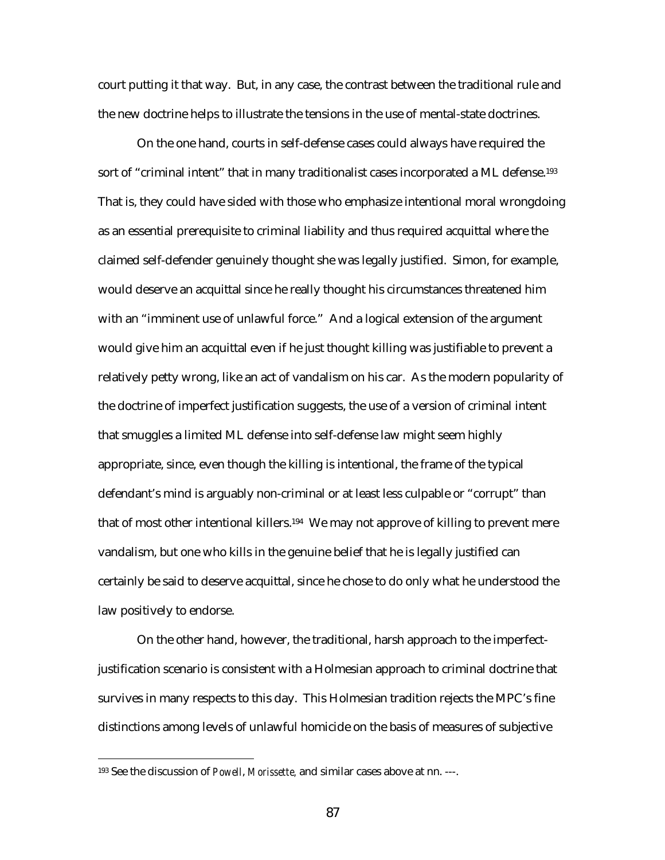court putting it that way. But, in any case, the contrast between the traditional rule and the new doctrine helps to illustrate the tensions in the use of mental-state doctrines.

On the one hand, courts in self-defense cases could always have required the sort of "criminal intent" that in many traditionalist cases incorporated a ML defense.<sup>193</sup> That is, they could have sided with those who emphasize intentional moral wrongdoing as an essential prerequisite to criminal liability and thus required acquittal where the claimed self-defender genuinely thought she was legally justified. Simon, for example, would deserve an acquittal since he really thought his circumstances threatened him with an "imminent use of unlawful force." And a logical extension of the argument would give him an acquittal even if he just thought killing was justifiable to prevent a relatively petty wrong, like an act of vandalism on his car. As the modern popularity of the doctrine of imperfect justification suggests, the use of a version of criminal intent that smuggles a limited ML defense into self-defense law might seem highly appropriate, since, even though the killing is intentional, the frame of the typical defendant's mind is arguably non-criminal or at least less culpable or "corrupt" than that of most other intentional killers.<sup>194</sup> We may not approve of killing to prevent mere vandalism, but one who kills in the genuine belief that he is legally justified can certainly be said to deserve acquittal, since he chose to do only what he understood the law positively to endorse.

On the other hand, however, the traditional, harsh approach to the imperfectjustification scenario is consistent with a Holmesian approach to criminal doctrine that survives in many respects to this day. This Holmesian tradition rejects the MPC's fine distinctions among levels of unlawful homicide on the basis of measures of subjective

<sup>193</sup> See the discussion of *Powell*, *Morissette,* and similar cases above at nn. ---.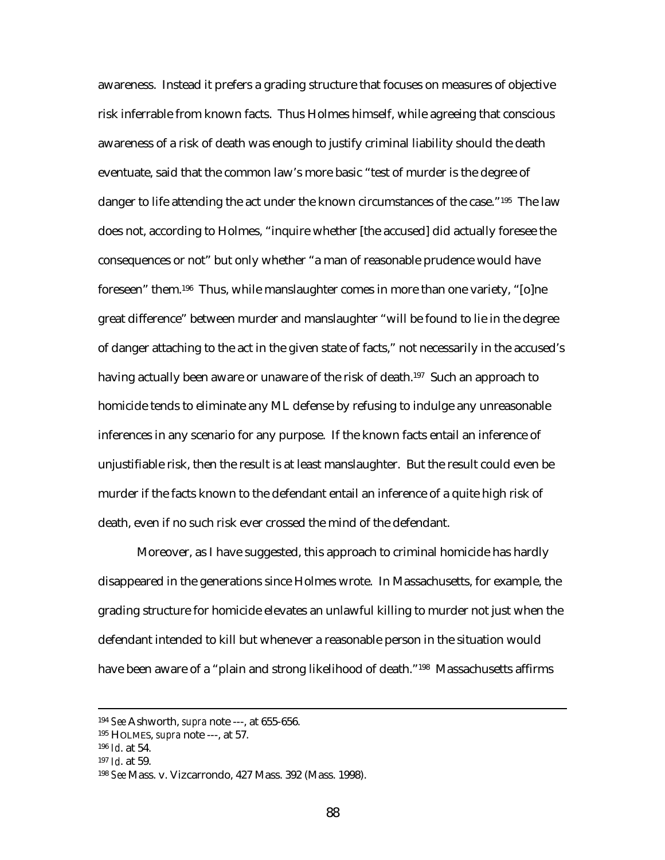awareness. Instead it prefers a grading structure that focuses on measures of objective risk inferrable from known facts. Thus Holmes himself, while agreeing that conscious awareness of a risk of death was enough to justify criminal liability should the death eventuate, said that the common law's more basic "test of murder is the degree of danger to life attending the act under the known circumstances of the case."<sup>195</sup> The law does not, according to Holmes, "inquire whether [the accused] did actually foresee the consequences or not" but only whether "a man of reasonable prudence would have foreseen" them.196 Thus, while manslaughter comes in more than one variety, "[o]ne great difference" between murder and manslaughter "will be found to lie in the degree of danger attaching to the act in the given state of facts," not necessarily in the accused's having actually been aware or unaware of the risk of death.<sup>197</sup> Such an approach to homicide tends to eliminate any ML defense by refusing to indulge any unreasonable inferences in any scenario for any purpose. If the known facts entail an inference of unjustifiable risk, then the result is at least manslaughter. But the result could even be murder if the facts known to the defendant entail an inference of a quite high risk of death, even if no such risk ever crossed the mind of the defendant.

Moreover, as I have suggested, this approach to criminal homicide has hardly disappeared in the generations since Holmes wrote. In Massachusetts, for example, the grading structure for homicide elevates an unlawful killing to murder not just when the defendant intended to kill but whenever a reasonable person in the situation would have been aware of a "plain and strong likelihood of death."198 Massachusetts affirms

 <sup>194</sup> *See* Ashworth, *supra* note ---, at 655-656.

<sup>195</sup> HOLMES, *supra* note ---, at 57.

<sup>196</sup> *Id*. at 54.

<sup>197</sup> *Id*. at 59.

<sup>198</sup> *See* Mass. v. Vizcarrondo, 427 Mass. 392 (Mass. 1998).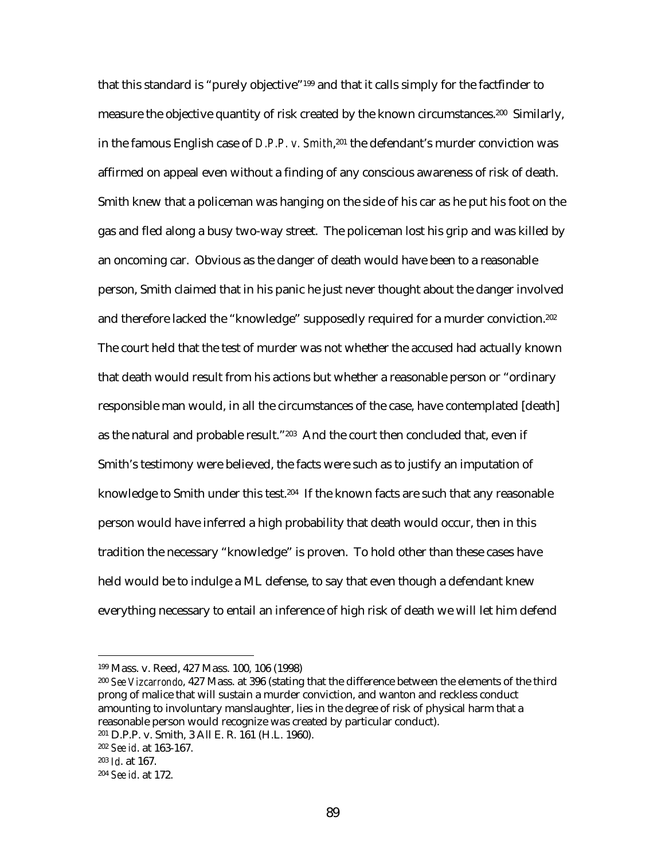that this standard is "purely objective"199 and that it calls simply for the factfinder to measure the objective quantity of risk created by the known circumstances.<sup>200</sup> Similarly, in the famous English case of *D.P.P. v. Smith*,201 the defendant's murder conviction was affirmed on appeal even without a finding of any conscious awareness of risk of death. Smith knew that a policeman was hanging on the side of his car as he put his foot on the gas and fled along a busy two-way street. The policeman lost his grip and was killed by an oncoming car. Obvious as the danger of death would have been to a reasonable person, Smith claimed that in his panic he just never thought about the danger involved and therefore lacked the "knowledge" supposedly required for a murder conviction.<sup>202</sup> The court held that the test of murder was not whether the accused had actually known that death would result from his actions but whether a reasonable person or "ordinary responsible man would, in all the circumstances of the case, have contemplated [death] as the natural and probable result."203 And the court then concluded that, even if Smith's testimony were believed, the facts were such as to justify an imputation of knowledge to Smith under this test.<sup>204</sup> If the known facts are such that any reasonable person would have inferred a high probability that death would occur, then in this tradition the necessary "knowledge" is proven. To hold other than these cases have held would be to indulge a ML defense, to say that even though a defendant knew everything necessary to entail an inference of high risk of death we will let him defend

<sup>199</sup> Mass. v. Reed, 427 Mass. 100, 106 (1998)

<sup>200</sup> *See Vizcarrondo*, 427 Mass. at 396 (stating that the difference between the elements of the third prong of malice that will sustain a murder conviction, and wanton and reckless conduct amounting to involuntary manslaughter, lies in the degree of risk of physical harm that a reasonable person would recognize was created by particular conduct).

<sup>201</sup> D.P.P. v. Smith, 3 All E. R. 161 (H.L. 1960).

<sup>202</sup> *See id*. at 163-167.

<sup>203</sup> *Id*. at 167.

<sup>204</sup> *See id*. at 172.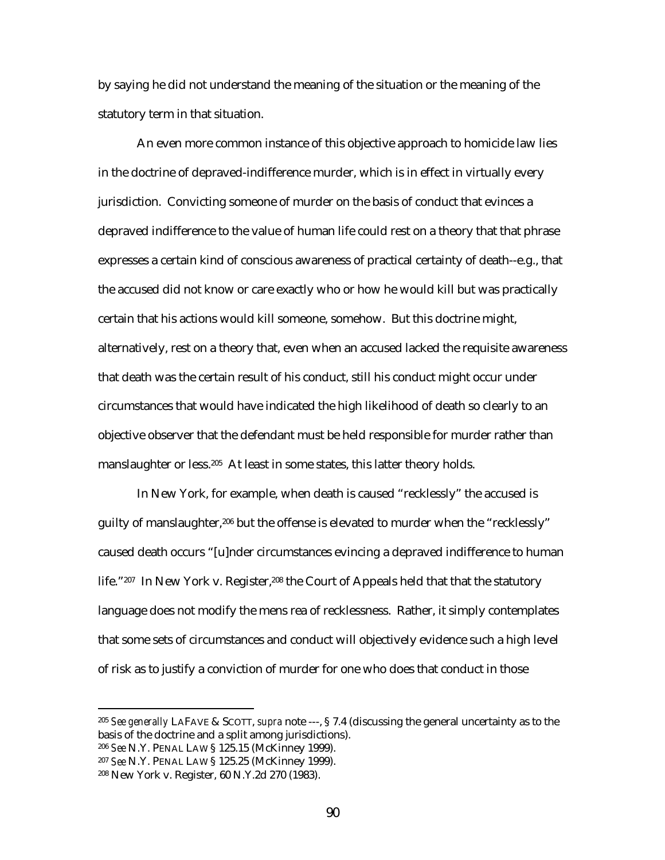by saying he did not understand the meaning of the situation or the meaning of the statutory term in that situation.

An even more common instance of this objective approach to homicide law lies in the doctrine of depraved-indifference murder, which is in effect in virtually every jurisdiction. Convicting someone of murder on the basis of conduct that evinces a depraved indifference to the value of human life could rest on a theory that that phrase expresses a certain kind of conscious awareness of practical certainty of death--e.g., that the accused did not know or care exactly who or how he would kill but was practically certain that his actions would kill someone, somehow. But this doctrine might, alternatively, rest on a theory that, even when an accused lacked the requisite awareness that death was the certain result of his conduct, still his conduct might occur under circumstances that would have indicated the high likelihood of death so clearly to an objective observer that the defendant must be held responsible for murder rather than manslaughter or less.<sup>205</sup> At least in some states, this latter theory holds.

In New York, for example, when death is caused "recklessly" the accused is guilty of manslaughter,<sup>206</sup> but the offense is elevated to murder when the "recklessly" caused death occurs "[u]nder circumstances evincing a depraved indifference to human life."207 In New York v. Register,<sup>208</sup> the Court of Appeals held that that the statutory language does not modify the mens rea of recklessness. Rather, it simply contemplates that some sets of circumstances and conduct will objectively evidence such a high level of risk as to justify a conviction of murder for one who does that conduct in those

<sup>205</sup> *See generally* LAFAVE & SCOTT, *supra* note ---, § 7.4 (discussing the general uncertainty as to the basis of the doctrine and a split among jurisdictions).

<sup>206</sup> *See* N.Y. PENAL LAW § 125.15 (McKinney 1999).

<sup>207</sup> *See* N.Y. PENAL LAW § 125.25 (McKinney 1999).

<sup>208</sup> New York v. Register, 60 N.Y.2d 270 (1983).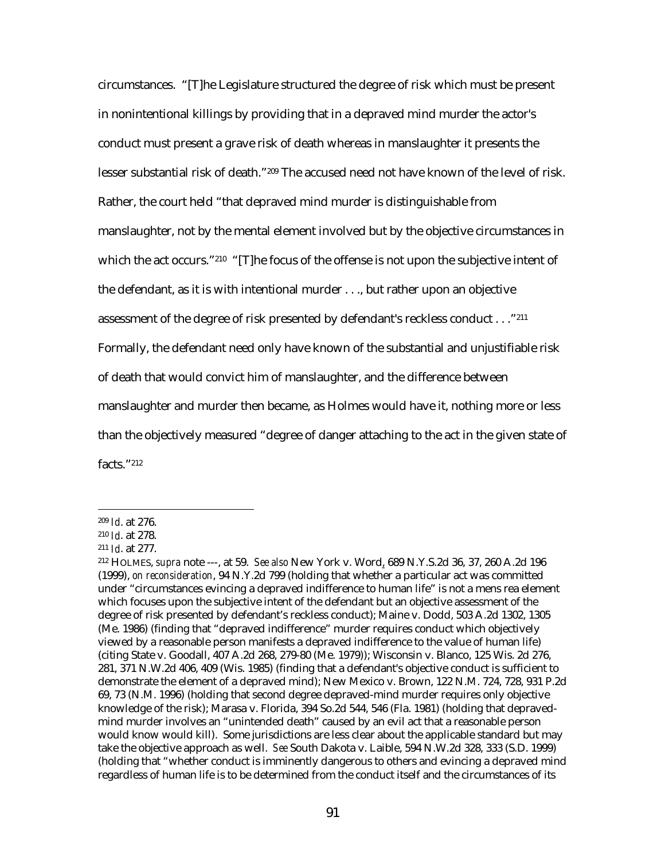circumstances. "[T]he Legislature structured the degree of risk which must be present in nonintentional killings by providing that in a depraved mind murder the actor's conduct must present a grave risk of death whereas in manslaughter it presents the lesser substantial risk of death."209 The accused need not have known of the level of risk. Rather, the court held "that depraved mind murder is distinguishable from manslaughter, not by the mental element involved but by the objective circumstances in which the act occurs."<sup>210</sup> "[T]he focus of the offense is not upon the subjective intent of the defendant, as it is with intentional murder . . ., but rather upon an objective assessment of the degree of risk presented by defendant's reckless conduct . . ."211 Formally, the defendant need only have known of the substantial and unjustifiable risk of death that would convict him of manslaughter, and the difference between manslaughter and murder then became, as Holmes would have it, nothing more or less than the objectively measured "degree of danger attaching to the act in the given state of facts."212

<sup>209</sup> *Id*. at 276.

<sup>210</sup> *Id*. at 278.

<sup>211</sup> *Id*. at 277.

<sup>212</sup> HOLMES, *supra* note ---, at 59. *See also* New York v. Word, 689 N.Y.S.2d 36, 37, 260 A.2d 196 (1999), *on reconsideration*, 94 N.Y.2d 799 (holding that whether a particular act was committed under "circumstances evincing a depraved indifference to human life" is not a mens rea element which focuses upon the subjective intent of the defendant but an objective assessment of the degree of risk presented by defendant's reckless conduct); Maine v. Dodd, 503 A.2d 1302, 1305 (Me. 1986) (finding that "depraved indifference" murder requires conduct which objectively viewed by a reasonable person manifests a depraved indifference to the value of human life) (citing State v. Goodall, 407 A.2d 268, 279-80 (Me. 1979)); Wisconsin v. Blanco, 125 Wis. 2d 276, 281, 371 N.W.2d 406, 409 (Wis. 1985) (finding that a defendant's objective conduct is sufficient to demonstrate the element of a depraved mind); New Mexico v. Brown, 122 N.M. 724, 728, 931 P.2d 69, 73 (N.M. 1996) (holding that second degree depraved-mind murder requires only objective knowledge of the risk); Marasa v. Florida, 394 So.2d 544, 546 (Fla. 1981) (holding that depravedmind murder involves an "unintended death" caused by an evil act that a reasonable person would know would kill). Some jurisdictions are less clear about the applicable standard but may take the objective approach as well. *See* South Dakota v. Laible, 594 N.W.2d 328, 333 (S.D. 1999) (holding that "whether conduct is imminently dangerous to others and evincing a depraved mind regardless of human life is to be determined from the conduct itself and the circumstances of its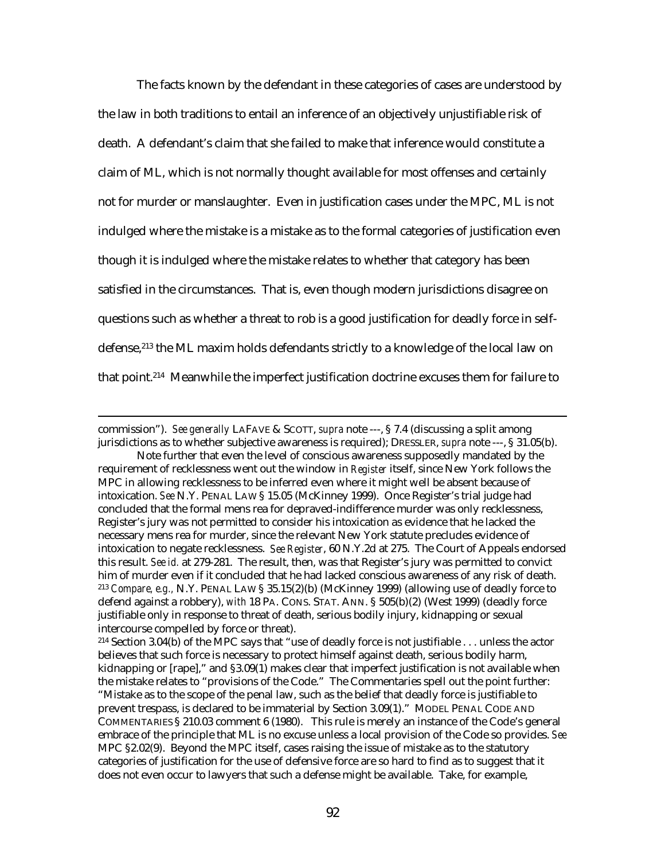The facts known by the defendant in these categories of cases are understood by the law in both traditions to entail an inference of an objectively unjustifiable risk of death. A defendant's claim that she failed to make that inference would constitute a claim of ML, which is not normally thought available for most offenses and certainly not for murder or manslaughter. Even in justification cases under the MPC, ML is not indulged where the mistake is a mistake as to the formal categories of justification even though it is indulged where the mistake relates to whether that category has been satisfied in the circumstances. That is, even though modern jurisdictions disagree on questions such as whether a threat to rob is a good justification for deadly force in selfdefense,213 the ML maxim holds defendants strictly to a knowledge of the local law on that point.214 Meanwhile the imperfect justification doctrine excuses them for failure to

commission"). *See generally* LAFAVE & SCOTT, *supra* note ---, § 7.4 (discussing a split among jurisdictions as to whether subjective awareness is required); DRESSLER, *supra* note ---, § 31.05(b).

Note further that even the level of conscious awareness supposedly mandated by the requirement of recklessness went out the window in *Register* itself, since New York follows the MPC in allowing recklessness to be inferred even where it might well be absent because of intoxication. *See* N.Y. PENAL LAW § 15.05 (McKinney 1999). Once Register's trial judge had concluded that the formal mens rea for depraved-indifference murder was only recklessness, Register's jury was not permitted to consider his intoxication as evidence that he lacked the necessary mens rea for murder, since the relevant New York statute precludes evidence of intoxication to negate recklessness. *See Register*, 60 N.Y.2d at 275. The Court of Appeals endorsed this result. *See id.* at 279-281. The result, then, was that Register's jury was permitted to convict him of murder even if it concluded that he had lacked conscious awareness of any risk of death. <sup>213</sup> *Compare, e.g.,* N.Y. PENAL LAW § 35.15(2)(b) (McKinney 1999) (allowing use of deadly force to defend against a robbery), *with* 18 PA. CONS. STAT. ANN. § 505(b)(2) (West 1999) (deadly force justifiable only in response to threat of death, serious bodily injury, kidnapping or sexual intercourse compelled by force or threat).

<sup>214</sup> Section 3.04(b) of the MPC says that "use of deadly force is not justifiable . . . unless the actor believes that such force is necessary to protect himself against death, serious bodily harm, kidnapping or [rape]," and §3.09(1) makes clear that imperfect justification is not available when the mistake relates to "provisions of the Code." The Commentaries spell out the point further: "Mistake as to the scope of the penal law, such as the belief that deadly force is justifiable to prevent trespass, is declared to be immaterial by Section 3.09(1)." MODEL PENAL CODE AND COMMENTARIES § 210.03 comment 6 (1980). This rule is merely an instance of the Code's general embrace of the principle that ML is no excuse unless a local provision of the Code so provides. *See* MPC §2.02(9). Beyond the MPC itself, cases raising the issue of mistake as to the statutory categories of justification for the use of defensive force are so hard to find as to suggest that it does not even occur to lawyers that such a defense might be available. Take, for example,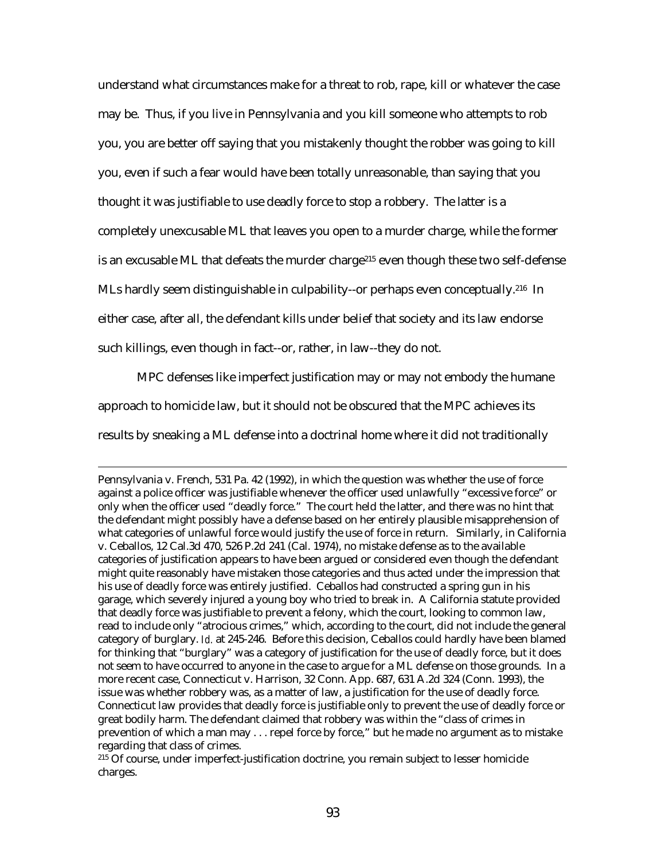understand what circumstances make for a threat to rob, rape, kill or whatever the case may be. Thus, if you live in Pennsylvania and you kill someone who attempts to rob you, you are better off saying that you mistakenly thought the robber was going to kill you, even if such a fear would have been totally unreasonable, than saying that you thought it was justifiable to use deadly force to stop a robbery. The latter is a completely unexcusable ML that leaves you open to a murder charge, while the former is an excusable ML that defeats the murder charge<sup>215</sup> even though these two self-defense MLs hardly seem distinguishable in culpability--or perhaps even conceptually.<sup>216</sup> In either case, after all, the defendant kills under belief that society and its law endorse such killings, even though in fact--or, rather, in law--they do not.

MPC defenses like imperfect justification may or may not embody the humane approach to homicide law, but it should not be obscured that the MPC achieves its results by sneaking a ML defense into a doctrinal home where it did not traditionally

 $\overline{a}$ 

Pennsylvania v. French, 531 Pa. 42 (1992), in which the question was whether the use of force against a police officer was justifiable whenever the officer used unlawfully "excessive force" or only when the officer used "deadly force." The court held the latter, and there was no hint that the defendant might possibly have a defense based on her entirely plausible misapprehension of what categories of unlawful force would justify the use of force in return. Similarly, in California v. Ceballos, 12 Cal.3d 470, 526 P.2d 241 (Cal. 1974), no mistake defense as to the available categories of justification appears to have been argued or considered even though the defendant might quite reasonably have mistaken those categories and thus acted under the impression that his use of deadly force was entirely justified. Ceballos had constructed a spring gun in his garage, which severely injured a young boy who tried to break in. A California statute provided that deadly force was justifiable to prevent a felony, which the court, looking to common law, read to include only "atrocious crimes," which, according to the court, did not include the general category of burglary. *Id.* at 245-246. Before this decision, Ceballos could hardly have been blamed for thinking that "burglary" was a category of justification for the use of deadly force, but it does not seem to have occurred to anyone in the case to argue for a ML defense on those grounds. In a more recent case, Connecticut v. Harrison, 32 Conn. App. 687, 631 A.2d 324 (Conn. 1993), the issue was whether robbery was, as a matter of law, a justification for the use of deadly force. Connecticut law provides that deadly force is justifiable only to prevent the use of deadly force or great bodily harm. The defendant claimed that robbery was within the "class of crimes in prevention of which a man may . . . repel force by force," but he made no argument as to mistake regarding that class of crimes.

215 Of course, under imperfect-justification doctrine, you remain subject to lesser homicide charges.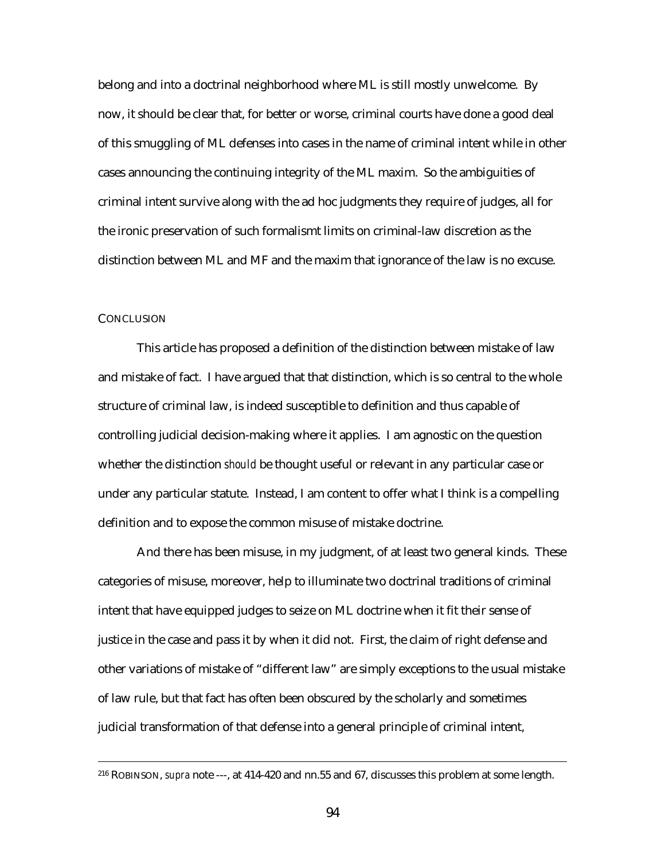belong and into a doctrinal neighborhood where ML is still mostly unwelcome. By now, it should be clear that, for better or worse, criminal courts have done a good deal of this smuggling of ML defenses into cases in the name of criminal intent while in other cases announcing the continuing integrity of the ML maxim. So the ambiguities of criminal intent survive along with the ad hoc judgments they require of judges, all for the ironic preservation of such formalismt limits on criminal-law discretion as the distinction between ML and MF and the maxim that ignorance of the law is no excuse.

## **CONCLUSION**

This article has proposed a definition of the distinction between mistake of law and mistake of fact. I have argued that that distinction, which is so central to the whole structure of criminal law, is indeed susceptible to definition and thus capable of controlling judicial decision-making where it applies. I am agnostic on the question whether the distinction *should* be thought useful or relevant in any particular case or under any particular statute. Instead, I am content to offer what I think is a compelling definition and to expose the common misuse of mistake doctrine.

And there has been misuse, in my judgment, of at least two general kinds. These categories of misuse, moreover, help to illuminate two doctrinal traditions of criminal intent that have equipped judges to seize on ML doctrine when it fit their sense of justice in the case and pass it by when it did not. First, the claim of right defense and other variations of mistake of "different law" are simply exceptions to the usual mistake of law rule, but that fact has often been obscured by the scholarly and sometimes judicial transformation of that defense into a general principle of criminal intent,

 <sup>216</sup> ROBINSON, *supra* note ---, at 414-420 and nn.55 and 67, discusses this problem at some length.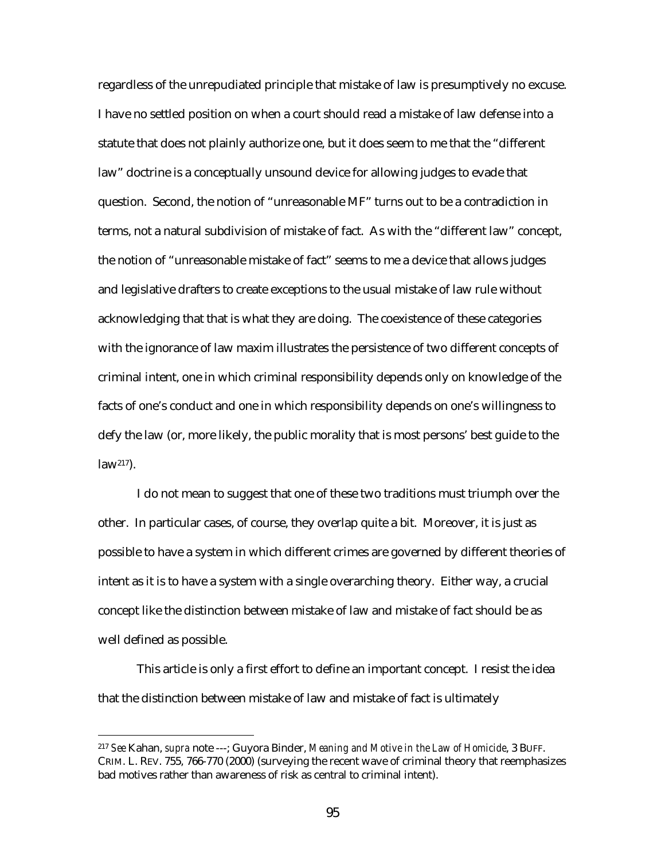regardless of the unrepudiated principle that mistake of law is presumptively no excuse. I have no settled position on when a court should read a mistake of law defense into a statute that does not plainly authorize one, but it does seem to me that the "different law" doctrine is a conceptually unsound device for allowing judges to evade that question. Second, the notion of "unreasonable MF" turns out to be a contradiction in terms, not a natural subdivision of mistake of fact. As with the "different law" concept, the notion of "unreasonable mistake of fact" seems to me a device that allows judges and legislative drafters to create exceptions to the usual mistake of law rule without acknowledging that that is what they are doing. The coexistence of these categories with the ignorance of law maxim illustrates the persistence of two different concepts of criminal intent, one in which criminal responsibility depends only on knowledge of the facts of one's conduct and one in which responsibility depends on one's willingness to defy the law (or, more likely, the public morality that is most persons' best guide to the  $law<sup>217</sup>$ ).

I do not mean to suggest that one of these two traditions must triumph over the other. In particular cases, of course, they overlap quite a bit. Moreover, it is just as possible to have a system in which different crimes are governed by different theories of intent as it is to have a system with a single overarching theory. Either way, a crucial concept like the distinction between mistake of law and mistake of fact should be as well defined as possible.

This article is only a first effort to define an important concept. I resist the idea that the distinction between mistake of law and mistake of fact is ultimately

<sup>217</sup> *See* Kahan, *supra* note ---; Guyora Binder, *Meaning and Motive in the Law of Homicide*, 3 BUFF. CRIM. L. REV. 755, 766-770 (2000) (surveying the recent wave of criminal theory that reemphasizes bad motives rather than awareness of risk as central to criminal intent).